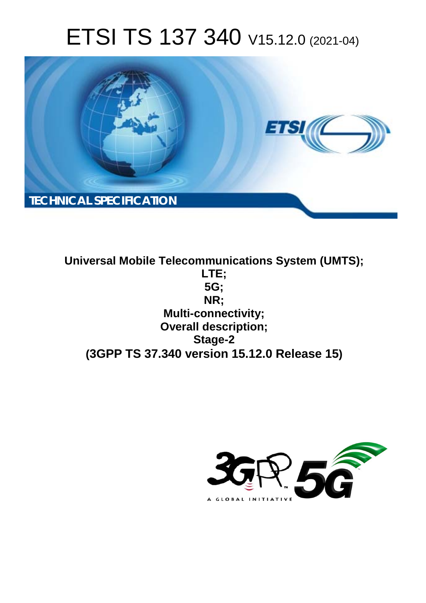# ETSI TS 137 340 V15.12.0 (2021-04)



**Universal Mobile Telecommunications System (UMTS); LTE; 5G; NR; Multi-connectivity; Overall description; Stage-2 (3GPP TS 37.340 version 15.12.0 Release 15)**

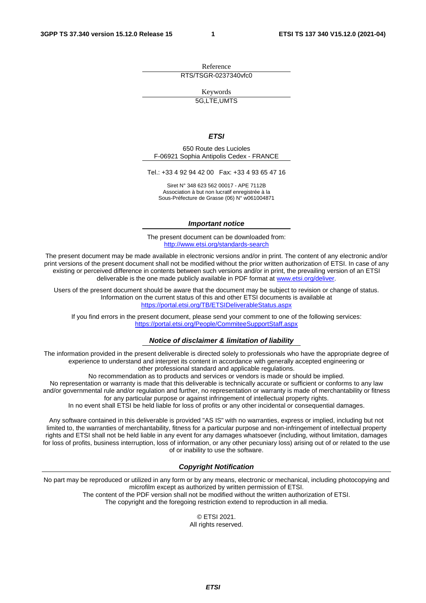Reference RTS/TSGR-0237340vfc0

Keywords

5G,LTE,UMTS

#### *ETSI*

650 Route des Lucioles F-06921 Sophia Antipolis Cedex - FRANCE

Tel.: +33 4 92 94 42 00 Fax: +33 4 93 65 47 16

Siret N° 348 623 562 00017 - APE 7112B Association à but non lucratif enregistrée à la Sous-Préfecture de Grasse (06) N° w061004871

#### *Important notice*

The present document can be downloaded from: <http://www.etsi.org/standards-search>

The present document may be made available in electronic versions and/or in print. The content of any electronic and/or print versions of the present document shall not be modified without the prior written authorization of ETSI. In case of any existing or perceived difference in contents between such versions and/or in print, the prevailing version of an ETSI deliverable is the one made publicly available in PDF format at [www.etsi.org/deliver](http://www.etsi.org/deliver).

Users of the present document should be aware that the document may be subject to revision or change of status. Information on the current status of this and other ETSI documents is available at <https://portal.etsi.org/TB/ETSIDeliverableStatus.aspx>

If you find errors in the present document, please send your comment to one of the following services: <https://portal.etsi.org/People/CommiteeSupportStaff.aspx>

#### *Notice of disclaimer & limitation of liability*

The information provided in the present deliverable is directed solely to professionals who have the appropriate degree of experience to understand and interpret its content in accordance with generally accepted engineering or other professional standard and applicable regulations.

No recommendation as to products and services or vendors is made or should be implied.

No representation or warranty is made that this deliverable is technically accurate or sufficient or conforms to any law and/or governmental rule and/or regulation and further, no representation or warranty is made of merchantability or fitness for any particular purpose or against infringement of intellectual property rights.

In no event shall ETSI be held liable for loss of profits or any other incidental or consequential damages.

Any software contained in this deliverable is provided "AS IS" with no warranties, express or implied, including but not limited to, the warranties of merchantability, fitness for a particular purpose and non-infringement of intellectual property rights and ETSI shall not be held liable in any event for any damages whatsoever (including, without limitation, damages for loss of profits, business interruption, loss of information, or any other pecuniary loss) arising out of or related to the use of or inability to use the software.

### *Copyright Notification*

No part may be reproduced or utilized in any form or by any means, electronic or mechanical, including photocopying and microfilm except as authorized by written permission of ETSI. The content of the PDF version shall not be modified without the written authorization of ETSI.

The copyright and the foregoing restriction extend to reproduction in all media.

© ETSI 2021. All rights reserved.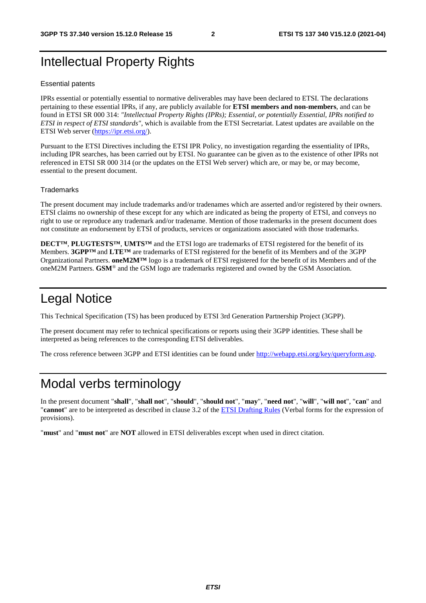## Intellectual Property Rights

#### Essential patents

IPRs essential or potentially essential to normative deliverables may have been declared to ETSI. The declarations pertaining to these essential IPRs, if any, are publicly available for **ETSI members and non-members**, and can be found in ETSI SR 000 314: *"Intellectual Property Rights (IPRs); Essential, or potentially Essential, IPRs notified to ETSI in respect of ETSI standards"*, which is available from the ETSI Secretariat. Latest updates are available on the ETSI Web server (<https://ipr.etsi.org/>).

Pursuant to the ETSI Directives including the ETSI IPR Policy, no investigation regarding the essentiality of IPRs, including IPR searches, has been carried out by ETSI. No guarantee can be given as to the existence of other IPRs not referenced in ETSI SR 000 314 (or the updates on the ETSI Web server) which are, or may be, or may become, essential to the present document.

### **Trademarks**

The present document may include trademarks and/or tradenames which are asserted and/or registered by their owners. ETSI claims no ownership of these except for any which are indicated as being the property of ETSI, and conveys no right to use or reproduce any trademark and/or tradename. Mention of those trademarks in the present document does not constitute an endorsement by ETSI of products, services or organizations associated with those trademarks.

**DECT™**, **PLUGTESTS™**, **UMTS™** and the ETSI logo are trademarks of ETSI registered for the benefit of its Members. **3GPP™** and **LTE™** are trademarks of ETSI registered for the benefit of its Members and of the 3GPP Organizational Partners. **oneM2M™** logo is a trademark of ETSI registered for the benefit of its Members and of the oneM2M Partners. **GSM**® and the GSM logo are trademarks registered and owned by the GSM Association.

## Legal Notice

This Technical Specification (TS) has been produced by ETSI 3rd Generation Partnership Project (3GPP).

The present document may refer to technical specifications or reports using their 3GPP identities. These shall be interpreted as being references to the corresponding ETSI deliverables.

The cross reference between 3GPP and ETSI identities can be found under<http://webapp.etsi.org/key/queryform.asp>.

## Modal verbs terminology

In the present document "**shall**", "**shall not**", "**should**", "**should not**", "**may**", "**need not**", "**will**", "**will not**", "**can**" and "**cannot**" are to be interpreted as described in clause 3.2 of the [ETSI Drafting Rules](https://portal.etsi.org/Services/editHelp!/Howtostart/ETSIDraftingRules.aspx) (Verbal forms for the expression of provisions).

"**must**" and "**must not**" are **NOT** allowed in ETSI deliverables except when used in direct citation.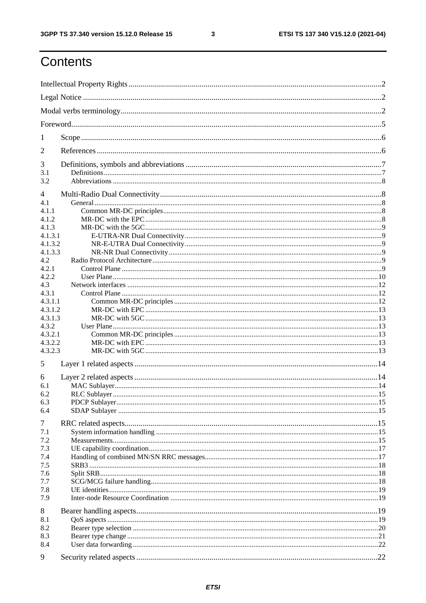$\mathbf{3}$ 

## Contents

| 1            |  |  |  |  |
|--------------|--|--|--|--|
| 2            |  |  |  |  |
| 3            |  |  |  |  |
| 3.1<br>3.2   |  |  |  |  |
| 4            |  |  |  |  |
| 4.1          |  |  |  |  |
| 4.1.1        |  |  |  |  |
| 4.1.2        |  |  |  |  |
| 4.1.3        |  |  |  |  |
| 4.1.3.1      |  |  |  |  |
| 4.1.3.2      |  |  |  |  |
| 4.1.3.3      |  |  |  |  |
| 4.2<br>4.2.1 |  |  |  |  |
| 4.2.2        |  |  |  |  |
| 4.3          |  |  |  |  |
| 4.3.1        |  |  |  |  |
| 4.3.1.1      |  |  |  |  |
| 4.3.1.2      |  |  |  |  |
| 4.3.1.3      |  |  |  |  |
| 4.3.2        |  |  |  |  |
| 4.3.2.1      |  |  |  |  |
| 4.3.2.2      |  |  |  |  |
| 4.3.2.3      |  |  |  |  |
|              |  |  |  |  |
| 5            |  |  |  |  |
| 6            |  |  |  |  |
| 6.1          |  |  |  |  |
| 6.2          |  |  |  |  |
| 6.3          |  |  |  |  |
| 6.4          |  |  |  |  |
| 7            |  |  |  |  |
| 7.1          |  |  |  |  |
| 7.2          |  |  |  |  |
| 7.3          |  |  |  |  |
| 7.4          |  |  |  |  |
| 7.5          |  |  |  |  |
| 7.6          |  |  |  |  |
| 7.7          |  |  |  |  |
| 7.8          |  |  |  |  |
| 7.9          |  |  |  |  |
| 8            |  |  |  |  |
| 8.1          |  |  |  |  |
| 8.2          |  |  |  |  |
| 8.3          |  |  |  |  |
| 8.4          |  |  |  |  |
| 9            |  |  |  |  |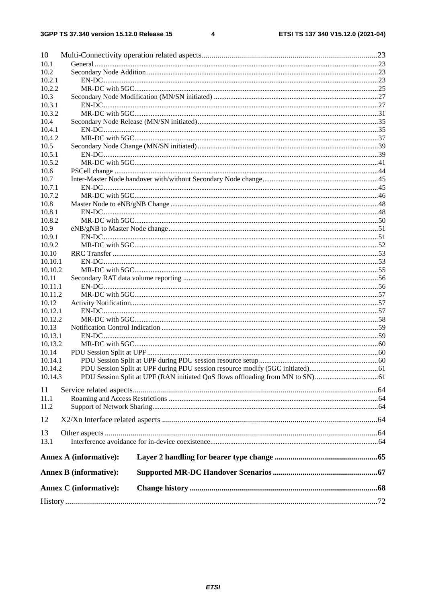#### $\overline{\mathbf{4}}$

| 10               |                               |  |
|------------------|-------------------------------|--|
| 10.1             |                               |  |
| 10.2             |                               |  |
| 10.2.1           |                               |  |
| 10.2.2           |                               |  |
| 10.3             |                               |  |
| 10.3.1           |                               |  |
| 10.3.2           |                               |  |
| 10.4             |                               |  |
| 10.4.1           |                               |  |
| 10.4.2           |                               |  |
| 10.5             |                               |  |
| 10.5.1           |                               |  |
| 10.5.2           |                               |  |
| 10.6             |                               |  |
| 10.7             |                               |  |
| 10.7.1           |                               |  |
| 10.7.2           |                               |  |
| 10.8             |                               |  |
| 10.8.1           |                               |  |
| 10.8.2           |                               |  |
| 10.9             |                               |  |
| 10.9.1           |                               |  |
| 10.9.2           |                               |  |
| 10.10            |                               |  |
| 10.10.1          |                               |  |
| 10.10.2          |                               |  |
| 10.11            |                               |  |
| 10.11.1          |                               |  |
| 10.11.2          |                               |  |
| 10.12            |                               |  |
| 10.12.1          |                               |  |
| 10.12.2          |                               |  |
| 10.13<br>10.13.1 |                               |  |
| 10.13.2          |                               |  |
| 10.14            |                               |  |
| 10.14.1          |                               |  |
| 10.14.2          |                               |  |
| 10.14.3          |                               |  |
|                  |                               |  |
| 11               |                               |  |
| 11.1             |                               |  |
| 11.2             |                               |  |
| 12               |                               |  |
|                  |                               |  |
| 13               |                               |  |
| 13.1             |                               |  |
|                  | <b>Annex A (informative):</b> |  |
|                  | <b>Annex B</b> (informative): |  |
|                  | <b>Annex C</b> (informative): |  |
|                  |                               |  |
|                  |                               |  |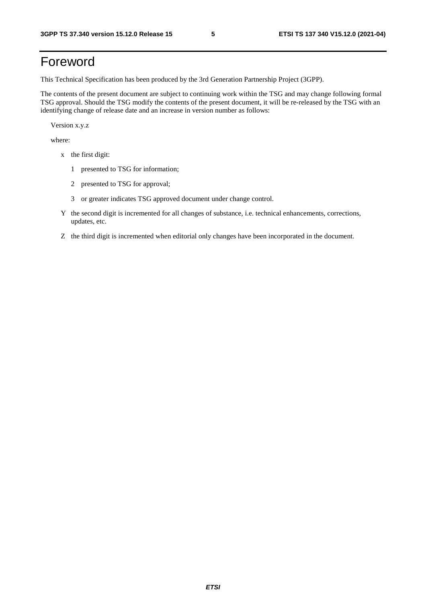## Foreword

This Technical Specification has been produced by the 3rd Generation Partnership Project (3GPP).

The contents of the present document are subject to continuing work within the TSG and may change following formal TSG approval. Should the TSG modify the contents of the present document, it will be re-released by the TSG with an identifying change of release date and an increase in version number as follows:

Version x.y.z

where:

- x the first digit:
	- 1 presented to TSG for information;
	- 2 presented to TSG for approval;
	- 3 or greater indicates TSG approved document under change control.
- Y the second digit is incremented for all changes of substance, i.e. technical enhancements, corrections, updates, etc.
- Z the third digit is incremented when editorial only changes have been incorporated in the document.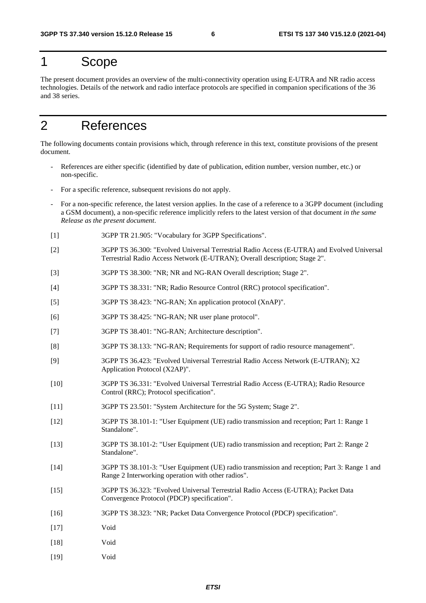## 1 Scope

The present document provides an overview of the multi-connectivity operation using E-UTRA and NR radio access technologies. Details of the network and radio interface protocols are specified in companion specifications of the 36 and 38 series.

## 2 References

The following documents contain provisions which, through reference in this text, constitute provisions of the present document.

- References are either specific (identified by date of publication, edition number, version number, etc.) or non-specific.
- For a specific reference, subsequent revisions do not apply.
- For a non-specific reference, the latest version applies. In the case of a reference to a 3GPP document (including a GSM document), a non-specific reference implicitly refers to the latest version of that document *in the same Release as the present document*.
- [1] 3GPP TR 21.905: "Vocabulary for 3GPP Specifications".
- [2] 3GPP TS 36.300: "Evolved Universal Terrestrial Radio Access (E-UTRA) and Evolved Universal Terrestrial Radio Access Network (E-UTRAN); Overall description; Stage 2".
- [3] 3GPP TS 38.300: "NR; NR and NG-RAN Overall description; Stage 2".
- [4] 3GPP TS 38.331: "NR; Radio Resource Control (RRC) protocol specification".
- [5] 3GPP TS 38.423: "NG-RAN; Xn application protocol (XnAP)".
- [6] 3GPP TS 38.425: "NG-RAN; NR user plane protocol".
- [7] 3GPP TS 38.401: "NG-RAN; Architecture description".
- [8] 3GPP TS 38.133: "NG-RAN; Requirements for support of radio resource management".
- [9] 3GPP TS 36.423: "Evolved Universal Terrestrial Radio Access Network (E-UTRAN); X2 Application Protocol (X2AP)".
- [10] 3GPP TS 36.331: "Evolved Universal Terrestrial Radio Access (E-UTRA); Radio Resource Control (RRC); Protocol specification".
- [11] 3GPP TS 23.501: "System Architecture for the 5G System; Stage 2".
- [12] 3GPP TS 38.101-1: "User Equipment (UE) radio transmission and reception; Part 1: Range 1 Standalone".
- [13] 3GPP TS 38.101-2: "User Equipment (UE) radio transmission and reception; Part 2: Range 2 Standalone".
- [14] 3GPP TS 38.101-3: "User Equipment (UE) radio transmission and reception; Part 3: Range 1 and Range 2 Interworking operation with other radios".
- [15] 3GPP TS 36.323: "Evolved Universal Terrestrial Radio Access (E-UTRA); Packet Data Convergence Protocol (PDCP) specification".
- [16] 3GPP TS 38.323: "NR; Packet Data Convergence Protocol (PDCP) specification".
- [17] Void
- [18] Void
- [19] Void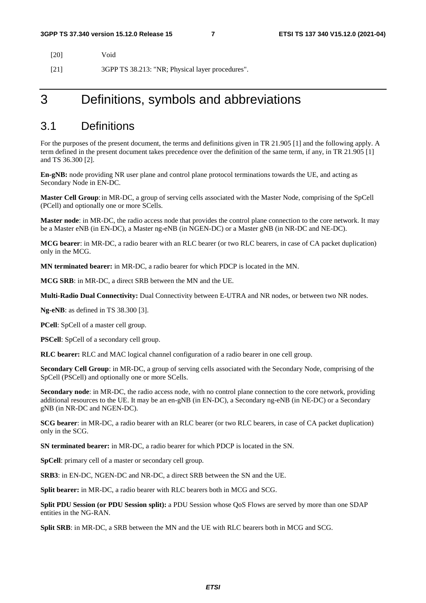| [20] | Void                                             |
|------|--------------------------------------------------|
| [21] | 3GPP TS 38.213: "NR; Physical layer procedures". |

## 3 Definitions, symbols and abbreviations

### 3.1 Definitions

For the purposes of the present document, the terms and definitions given in TR 21.905 [1] and the following apply. A term defined in the present document takes precedence over the definition of the same term, if any, in TR 21.905 [1] and TS 36.300 [2].

**En-gNB:** node providing NR user plane and control plane protocol terminations towards the UE, and acting as Secondary Node in EN-DC.

**Master Cell Group**: in MR-DC, a group of serving cells associated with the Master Node, comprising of the SpCell (PCell) and optionally one or more SCells.

**Master node**: in MR-DC, the radio access node that provides the control plane connection to the core network. It may be a Master eNB (in EN-DC), a Master ng-eNB (in NGEN-DC) or a Master gNB (in NR-DC and NE-DC).

**MCG bearer**: in MR-DC, a radio bearer with an RLC bearer (or two RLC bearers, in case of CA packet duplication) only in the MCG.

**MN terminated bearer:** in MR-DC, a radio bearer for which PDCP is located in the MN.

**MCG SRB**: in MR-DC, a direct SRB between the MN and the UE.

**Multi-Radio Dual Connectivity:** Dual Connectivity between E-UTRA and NR nodes, or between two NR nodes.

**Ng-eNB**: as defined in TS 38.300 [3].

**PCell**: SpCell of a master cell group.

**PSCell**: SpCell of a secondary cell group.

**RLC bearer:** RLC and MAC logical channel configuration of a radio bearer in one cell group.

**Secondary Cell Group**: in MR-DC, a group of serving cells associated with the Secondary Node, comprising of the SpCell (PSCell) and optionally one or more SCells.

**Secondary node**: in MR-DC, the radio access node, with no control plane connection to the core network, providing additional resources to the UE. It may be an en-gNB (in EN-DC), a Secondary ng-eNB (in NE-DC) or a Secondary gNB (in NR-DC and NGEN-DC).

**SCG bearer**: in MR-DC, a radio bearer with an RLC bearer (or two RLC bearers, in case of CA packet duplication) only in the SCG.

**SN terminated bearer:** in MR-DC, a radio bearer for which PDCP is located in the SN.

**SpCell**: primary cell of a master or secondary cell group.

**SRB3**: in EN-DC, NGEN-DC and NR-DC, a direct SRB between the SN and the UE.

**Split bearer:** in MR-DC, a radio bearer with RLC bearers both in MCG and SCG.

**Split PDU Session (or PDU Session split):** a PDU Session whose QoS Flows are served by more than one SDAP entities in the NG-RAN.

**Split SRB**: in MR-DC, a SRB between the MN and the UE with RLC bearers both in MCG and SCG.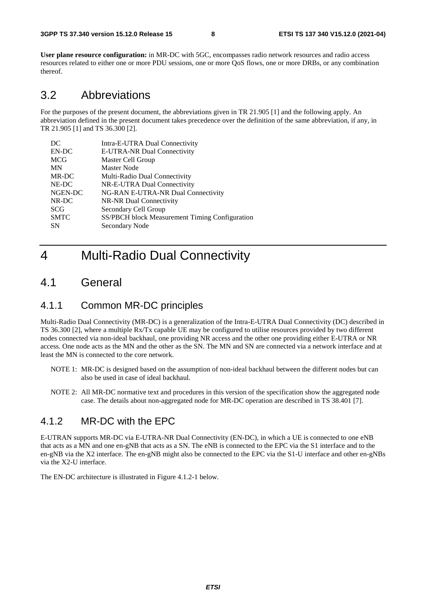**User plane resource configuration:** in MR-DC with 5GC, encompasses radio network resources and radio access resources related to either one or more PDU sessions, one or more QoS flows, one or more DRBs, or any combination thereof.

### 3.2 Abbreviations

For the purposes of the present document, the abbreviations given in TR 21.905 [1] and the following apply. An abbreviation defined in the present document takes precedence over the definition of the same abbreviation, if any, in TR 21.905 [1] and TS 36.300 [2].

| DC          | Intra-E-UTRA Dual Connectivity                 |
|-------------|------------------------------------------------|
| EN-DC       | E-UTRA-NR Dual Connectivity                    |
| <b>MCG</b>  | Master Cell Group                              |
| <b>MN</b>   | Master Node                                    |
| MR-DC       | Multi-Radio Dual Connectivity                  |
| NE-DC       | NR-E-UTRA Dual Connectivity                    |
| NGEN-DC     | NG-RAN E-UTRA-NR Dual Connectivity             |
| NR-DC       | NR-NR Dual Connectivity                        |
| <b>SCG</b>  | Secondary Cell Group                           |
| <b>SMTC</b> | SS/PBCH block Measurement Timing Configuration |
| <b>SN</b>   | Secondary Node                                 |
|             |                                                |

## 4 Multi-Radio Dual Connectivity

### 4.1 General

### 4.1.1 Common MR-DC principles

Multi-Radio Dual Connectivity (MR-DC) is a generalization of the Intra-E-UTRA Dual Connectivity (DC) described in TS 36.300 [2], where a multiple Rx/Tx capable UE may be configured to utilise resources provided by two different nodes connected via non-ideal backhaul, one providing NR access and the other one providing either E-UTRA or NR access. One node acts as the MN and the other as the SN. The MN and SN are connected via a network interface and at least the MN is connected to the core network.

- NOTE 1: MR-DC is designed based on the assumption of non-ideal backhaul between the different nodes but can also be used in case of ideal backhaul.
- NOTE 2: All MR-DC normative text and procedures in this version of the specification show the aggregated node case. The details about non-aggregated node for MR-DC operation are described in TS 38.401 [7].

### 4.1.2 MR-DC with the EPC

E-UTRAN supports MR-DC via E-UTRA-NR Dual Connectivity (EN-DC), in which a UE is connected to one eNB that acts as a MN and one en-gNB that acts as a SN. The eNB is connected to the EPC via the S1 interface and to the en-gNB via the X2 interface. The en-gNB might also be connected to the EPC via the S1-U interface and other en-gNBs via the X2-U interface.

The EN-DC architecture is illustrated in Figure 4.1.2-1 below.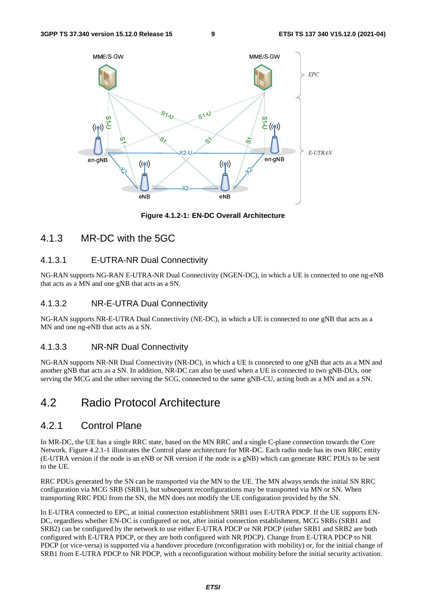

**Figure 4.1.2-1: EN-DC Overall Architecture** 

### 4.1.3 MR-DC with the 5GC

### 4.1.3.1 E-UTRA-NR Dual Connectivity

NG-RAN supports NG-RAN E-UTRA-NR Dual Connectivity (NGEN-DC), in which a UE is connected to one ng-eNB that acts as a MN and one gNB that acts as a SN.

### 4.1.3.2 NR-E-UTRA Dual Connectivity

NG-RAN supports NR-E-UTRA Dual Connectivity (NE-DC), in which a UE is connected to one gNB that acts as a MN and one ng-eNB that acts as a SN.

### 4.1.3.3 NR-NR Dual Connectivity

NG-RAN supports NR-NR Dual Connectivity (NR-DC), in which a UE is connected to one gNB that acts as a MN and another gNB that acts as a SN. In addition, NR-DC can also be used when a UE is connected to two gNB-DUs, one serving the MCG and the other serving the SCG, connected to the same gNB-CU, acting both as a MN and as a SN.

## 4.2 Radio Protocol Architecture

### 4.2.1 Control Plane

In MR-DC, the UE has a single RRC state, based on the MN RRC and a single C-plane connection towards the Core Network. Figure 4.2.1-1 illustrates the Control plane architecture for MR-DC. Each radio node has its own RRC entity (E-UTRA version if the node is an eNB or NR version if the node is a gNB) which can generate RRC PDUs to be sent to the UE.

RRC PDUs generated by the SN can be transported via the MN to the UE. The MN always sends the initial SN RRC configuration via MCG SRB (SRB1), but subsequent reconfigurations may be transported via MN or SN. When transporting RRC PDU from the SN, the MN does not modify the UE configuration provided by the SN.

In E-UTRA connected to EPC, at initial connection establishment SRB1 uses E-UTRA PDCP. If the UE supports EN-DC, regardless whether EN-DC is configured or not, after initial connection establishment, MCG SRBs (SRB1 and SRB2) can be configured by the network to use either E-UTRA PDCP or NR PDCP (either SRB1 and SRB2 are both configured with E-UTRA PDCP, or they are both configured with NR PDCP). Change from E-UTRA PDCP to NR PDCP (or vice-versa) is supported via a handover procedure (reconfiguration with mobility) or, for the initial change of SRB1 from E-UTRA PDCP to NR PDCP, with a reconfiguration without mobility before the initial security activation.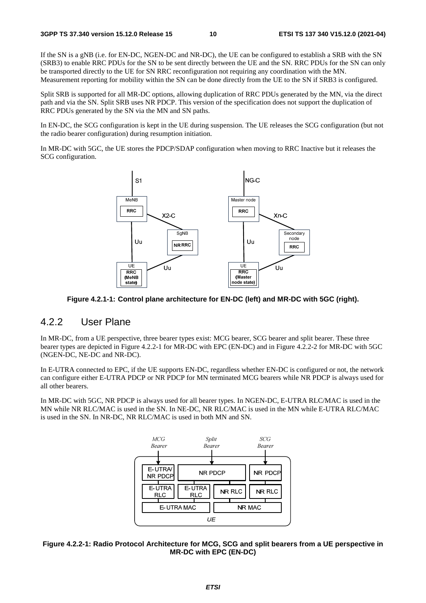If the SN is a gNB (i.e. for EN-DC, NGEN-DC and NR-DC), the UE can be configured to establish a SRB with the SN (SRB3) to enable RRC PDUs for the SN to be sent directly between the UE and the SN. RRC PDUs for the SN can only be transported directly to the UE for SN RRC reconfiguration not requiring any coordination with the MN. Measurement reporting for mobility within the SN can be done directly from the UE to the SN if SRB3 is configured.

Split SRB is supported for all MR-DC options, allowing duplication of RRC PDUs generated by the MN, via the direct path and via the SN. Split SRB uses NR PDCP. This version of the specification does not support the duplication of RRC PDUs generated by the SN via the MN and SN paths.

In EN-DC, the SCG configuration is kept in the UE during suspension. The UE releases the SCG configuration (but not the radio bearer configuration) during resumption initiation.

In MR-DC with 5GC, the UE stores the PDCP/SDAP configuration when moving to RRC Inactive but it releases the SCG configuration.



**Figure 4.2.1-1: Control plane architecture for EN-DC (left) and MR-DC with 5GC (right).** 

### 4.2.2 User Plane

In MR-DC, from a UE perspective, three bearer types exist: MCG bearer, SCG bearer and split bearer. These three bearer types are depicted in Figure 4.2.2-1 for MR-DC with EPC (EN-DC) and in Figure 4.2.2-2 for MR-DC with 5GC (NGEN-DC, NE-DC and NR-DC).

In E-UTRA connected to EPC, if the UE supports EN-DC, regardless whether EN-DC is configured or not, the network can configure either E-UTRA PDCP or NR PDCP for MN terminated MCG bearers while NR PDCP is always used for all other bearers.

In MR-DC with 5GC, NR PDCP is always used for all bearer types. In NGEN-DC, E-UTRA RLC/MAC is used in the MN while NR RLC/MAC is used in the SN. In NE-DC, NR RLC/MAC is used in the MN while E-UTRA RLC/MAC is used in the SN. In NR-DC, NR RLC/MAC is used in both MN and SN.



### **Figure 4.2.2-1: Radio Protocol Architecture for MCG, SCG and split bearers from a UE perspective in MR-DC with EPC (EN-DC)**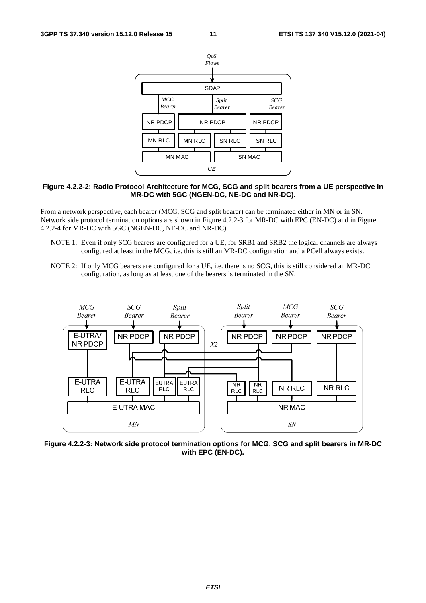

### **Figure 4.2.2-2: Radio Protocol Architecture for MCG, SCG and split bearers from a UE perspective in MR-DC with 5GC (NGEN-DC, NE-DC and NR-DC).**

From a network perspective, each bearer (MCG, SCG and split bearer) can be terminated either in MN or in SN. Network side protocol termination options are shown in Figure 4.2.2-3 for MR-DC with EPC (EN-DC) and in Figure 4.2.2-4 for MR-DC with 5GC (NGEN-DC, NE-DC and NR-DC).

- NOTE 1: Even if only SCG bearers are configured for a UE, for SRB1 and SRB2 the logical channels are always configured at least in the MCG, i.e. this is still an MR-DC configuration and a PCell always exists.
- NOTE 2: If only MCG bearers are configured for a UE, i.e. there is no SCG, this is still considered an MR-DC configuration, as long as at least one of the bearers is terminated in the SN.



**Figure 4.2.2-3: Network side protocol termination options for MCG, SCG and split bearers in MR-DC with EPC (EN-DC).**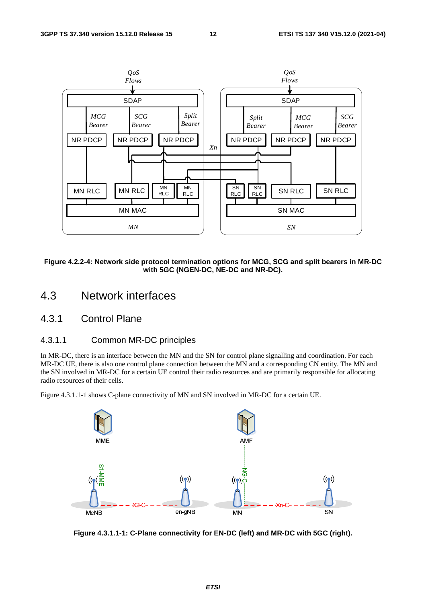

**Figure 4.2.2-4: Network side protocol termination options for MCG, SCG and split bearers in MR-DC with 5GC (NGEN-DC, NE-DC and NR-DC).** 

- 4.3 Network interfaces
- 4.3.1 Control Plane

### 4.3.1.1 Common MR-DC principles

In MR-DC, there is an interface between the MN and the SN for control plane signalling and coordination. For each MR-DC UE, there is also one control plane connection between the MN and a corresponding CN entity. The MN and the SN involved in MR-DC for a certain UE control their radio resources and are primarily responsible for allocating radio resources of their cells.

Figure 4.3.1.1-1 shows C-plane connectivity of MN and SN involved in MR-DC for a certain UE.



**Figure 4.3.1.1-1: C-Plane connectivity for EN-DC (left) and MR-DC with 5GC (right).**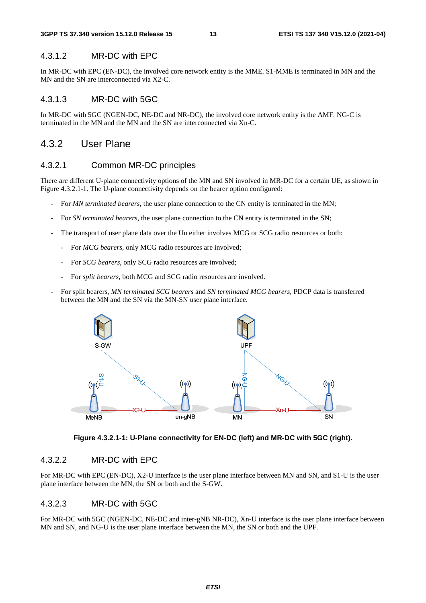### 4.3.1.2 MR-DC with EPC

In MR-DC with EPC (EN-DC), the involved core network entity is the MME. S1-MME is terminated in MN and the MN and the SN are interconnected via X2-C.

### 4.3.1.3 MR-DC with 5GC

In MR-DC with 5GC (NGEN-DC, NE-DC and NR-DC), the involved core network entity is the AMF. NG-C is terminated in the MN and the MN and the SN are interconnected via Xn-C.

### 4.3.2 User Plane

### 4.3.2.1 Common MR-DC principles

There are different U-plane connectivity options of the MN and SN involved in MR-DC for a certain UE, as shown in Figure 4.3.2.1-1. The U-plane connectivity depends on the bearer option configured:

- For *MN terminated bearers*, the user plane connection to the CN entity is terminated in the MN;
- For *SN terminated bearers*, the user plane connection to the CN entity is terminated in the SN;
- The transport of user plane data over the Uu either involves MCG or SCG radio resources or both:
	- For *MCG bearers*, only MCG radio resources are involved;
	- For *SCG bearers*, only SCG radio resources are involved;
	- For *split bearers*, both MCG and SCG radio resources are involved.
- For split bearers, *MN terminated SCG bearers* and *SN terminated MCG bearers*, PDCP data is transferred between the MN and the SN via the MN-SN user plane interface.



**Figure 4.3.2.1-1: U-Plane connectivity for EN-DC (left) and MR-DC with 5GC (right).** 

### 4.3.2.2 MR-DC with EPC

For MR-DC with EPC (EN-DC), X2-U interface is the user plane interface between MN and SN, and S1-U is the user plane interface between the MN, the SN or both and the S-GW.

### 4.3.2.3 MR-DC with 5GC

For MR-DC with 5GC (NGEN-DC, NE-DC and inter-gNB NR-DC), Xn-U interface is the user plane interface between MN and SN, and NG-U is the user plane interface between the MN, the SN or both and the UPF.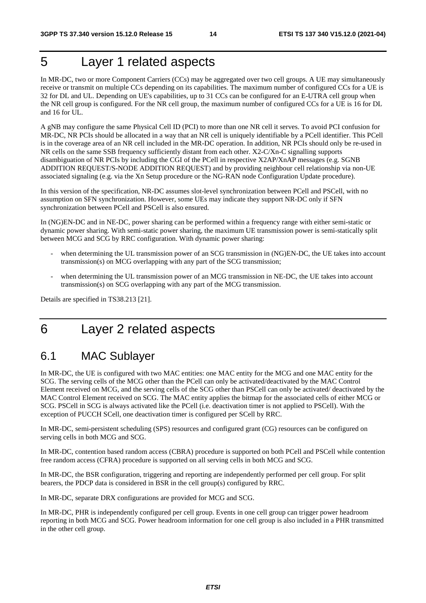## 5 Layer 1 related aspects

In MR-DC, two or more Component Carriers (CCs) may be aggregated over two cell groups. A UE may simultaneously receive or transmit on multiple CCs depending on its capabilities. The maximum number of configured CCs for a UE is 32 for DL and UL. Depending on UE's capabilities, up to 31 CCs can be configured for an E-UTRA cell group when the NR cell group is configured. For the NR cell group, the maximum number of configured CCs for a UE is 16 for DL and 16 for UL.

A gNB may configure the same Physical Cell ID (PCI) to more than one NR cell it serves. To avoid PCI confusion for MR-DC, NR PCIs should be allocated in a way that an NR cell is uniquely identifiable by a PCell identifier. This PCell is in the coverage area of an NR cell included in the MR-DC operation. In addition, NR PCIs should only be re-used in NR cells on the same SSB frequency sufficiently distant from each other. X2-C/Xn-C signalling supports disambiguation of NR PCIs by including the CGI of the PCell in respective X2AP/XnAP messages (e.g. SGNB ADDITION REQUEST/S-NODE ADDITION REQUEST) and by providing neighbour cell relationship via non-UE associated signaling (e.g. via the Xn Setup procedure or the NG-RAN node Configuration Update procedure).

In this version of the specification, NR-DC assumes slot-level synchronization between PCell and PSCell, with no assumption on SFN synchronization. However, some UEs may indicate they support NR-DC only if SFN synchronization between PCell and PSCell is also ensured.

In (NG)EN-DC and in NE-DC, power sharing can be performed within a frequency range with either semi-static or dynamic power sharing. With semi-static power sharing, the maximum UE transmission power is semi-statically split between MCG and SCG by RRC configuration. With dynamic power sharing:

- when determining the UL transmission power of an SCG transmission in (NG)EN-DC, the UE takes into account transmission(s) on MCG overlapping with any part of the SCG transmission;
- when determining the UL transmission power of an MCG transmission in NE-DC, the UE takes into account transmission(s) on SCG overlapping with any part of the MCG transmission.

Details are specified in TS38.213 [21].

## 6 Layer 2 related aspects

## 6.1 MAC Sublayer

In MR-DC, the UE is configured with two MAC entities: one MAC entity for the MCG and one MAC entity for the SCG. The serving cells of the MCG other than the PCell can only be activated/deactivated by the MAC Control Element received on MCG, and the serving cells of the SCG other than PSCell can only be activated/ deactivated by the MAC Control Element received on SCG. The MAC entity applies the bitmap for the associated cells of either MCG or SCG. PSCell in SCG is always activated like the PCell (i.e. deactivation timer is not applied to PSCell). With the exception of PUCCH SCell, one deactivation timer is configured per SCell by RRC.

In MR-DC, semi-persistent scheduling (SPS) resources and configured grant (CG) resources can be configured on serving cells in both MCG and SCG.

In MR-DC, contention based random access (CBRA) procedure is supported on both PCell and PSCell while contention free random access (CFRA) procedure is supported on all serving cells in both MCG and SCG.

In MR-DC, the BSR configuration, triggering and reporting are independently performed per cell group. For split bearers, the PDCP data is considered in BSR in the cell group(s) configured by RRC.

In MR-DC, separate DRX configurations are provided for MCG and SCG.

In MR-DC, PHR is independently configured per cell group. Events in one cell group can trigger power headroom reporting in both MCG and SCG. Power headroom information for one cell group is also included in a PHR transmitted in the other cell group.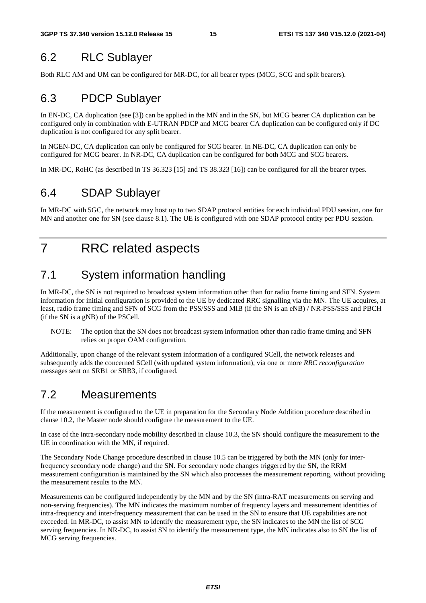## 6.2 RLC Sublayer

Both RLC AM and UM can be configured for MR-DC, for all bearer types (MCG, SCG and split bearers).

## 6.3 PDCP Sublayer

In EN-DC, CA duplication (see [3]) can be applied in the MN and in the SN, but MCG bearer CA duplication can be configured only in combination with E-UTRAN PDCP and MCG bearer CA duplication can be configured only if DC duplication is not configured for any split bearer.

In NGEN-DC, CA duplication can only be configured for SCG bearer. In NE-DC, CA duplication can only be configured for MCG bearer. In NR-DC, CA duplication can be configured for both MCG and SCG bearers.

In MR-DC, RoHC (as described in TS 36.323 [15] and TS 38.323 [16]) can be configured for all the bearer types.

## 6.4 SDAP Sublayer

In MR-DC with 5GC, the network may host up to two SDAP protocol entities for each individual PDU session, one for MN and another one for SN (see clause 8.1). The UE is configured with one SDAP protocol entity per PDU session.

## 7 RRC related aspects

## 7.1 System information handling

In MR-DC, the SN is not required to broadcast system information other than for radio frame timing and SFN. System information for initial configuration is provided to the UE by dedicated RRC signalling via the MN. The UE acquires, at least, radio frame timing and SFN of SCG from the PSS/SSS and MIB (if the SN is an eNB) / NR-PSS/SSS and PBCH (if the SN is a gNB) of the PSCell.

NOTE: The option that the SN does not broadcast system information other than radio frame timing and SFN relies on proper OAM configuration.

Additionally, upon change of the relevant system information of a configured SCell, the network releases and subsequently adds the concerned SCell (with updated system information), via one or more *RRC reconfiguration* messages sent on SRB1 or SRB3, if configured.

## 7.2 Measurements

If the measurement is configured to the UE in preparation for the Secondary Node Addition procedure described in clause 10.2, the Master node should configure the measurement to the UE.

In case of the intra-secondary node mobility described in clause 10.3, the SN should configure the measurement to the UE in coordination with the MN, if required.

The Secondary Node Change procedure described in clause 10.5 can be triggered by both the MN (only for interfrequency secondary node change) and the SN. For secondary node changes triggered by the SN, the RRM measurement configuration is maintained by the SN which also processes the measurement reporting, without providing the measurement results to the MN.

Measurements can be configured independently by the MN and by the SN (intra-RAT measurements on serving and non-serving frequencies). The MN indicates the maximum number of frequency layers and measurement identities of intra-frequency and inter-frequency measurement that can be used in the SN to ensure that UE capabilities are not exceeded. In MR-DC, to assist MN to identify the measurement type, the SN indicates to the MN the list of SCG serving frequencies. In NR-DC, to assist SN to identify the measurement type, the MN indicates also to SN the list of MCG serving frequencies.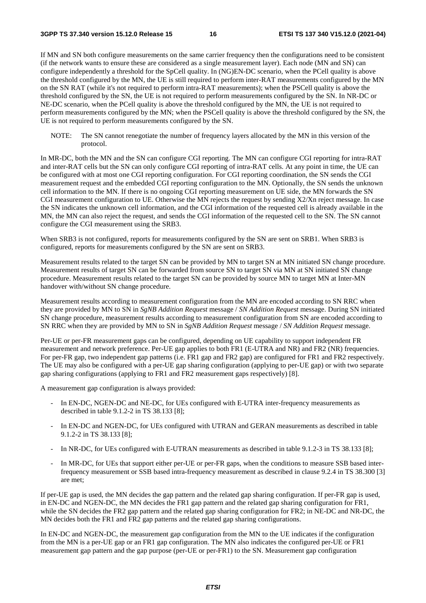If MN and SN both configure measurements on the same carrier frequency then the configurations need to be consistent (if the network wants to ensure these are considered as a single measurement layer). Each node (MN and SN) can configure independently a threshold for the SpCell quality. In (NG)EN-DC scenario, when the PCell quality is above the threshold configured by the MN, the UE is still required to perform inter-RAT measurements configured by the MN on the SN RAT (while it's not required to perform intra-RAT measurements); when the PSCell quality is above the threshold configured by the SN, the UE is not required to perform measurements configured by the SN. In NR-DC or NE-DC scenario, when the PCell quality is above the threshold configured by the MN, the UE is not required to perform measurements configured by the MN; when the PSCell quality is above the threshold configured by the SN, the UE is not required to perform measurements configured by the SN.

NOTE: The SN cannot renegotiate the number of frequency layers allocated by the MN in this version of the protocol.

In MR-DC, both the MN and the SN can configure CGI reporting. The MN can configure CGI reporting for intra-RAT and inter-RAT cells but the SN can only configure CGI reporting of intra-RAT cells. At any point in time, the UE can be configured with at most one CGI reporting configuration. For CGI reporting coordination, the SN sends the CGI measurement request and the embedded CGI reporting configuration to the MN. Optionally, the SN sends the unknown cell information to the MN. If there is no ongoing CGI reporting measurement on UE side, the MN forwards the SN CGI measurement configuration to UE. Otherwise the MN rejects the request by sending X2/Xn reject message. In case the SN indicates the unknown cell information, and the CGI information of the requested cell is already available in the MN, the MN can also reject the request, and sends the CGI information of the requested cell to the SN. The SN cannot configure the CGI measurement using the SRB3.

When SRB3 is not configured, reports for measurements configured by the SN are sent on SRB1. When SRB3 is configured, reports for measurements configured by the SN are sent on SRB3.

Measurement results related to the target SN can be provided by MN to target SN at MN initiated SN change procedure. Measurement results of target SN can be forwarded from source SN to target SN via MN at SN initiated SN change procedure. Measurement results related to the target SN can be provided by source MN to target MN at Inter-MN handover with/without SN change procedure.

Measurement results according to measurement configuration from the MN are encoded according to SN RRC when they are provided by MN to SN in *SgNB Addition Request* message / *SN Addition Request* message. During SN initiated SN change procedure, measurement results according to measurement configuration from SN are encoded according to SN RRC when they are provided by MN to SN in *SgNB Addition Request* message / *SN Addition Request* message.

Per-UE or per-FR measurement gaps can be configured, depending on UE capability to support independent FR measurement and network preference. Per-UE gap applies to both FR1 (E-UTRA and NR) and FR2 (NR) frequencies. For per-FR gap, two independent gap patterns (i.e. FR1 gap and FR2 gap) are configured for FR1 and FR2 respectively. The UE may also be configured with a per-UE gap sharing configuration (applying to per-UE gap) or with two separate gap sharing configurations (applying to FR1 and FR2 measurement gaps respectively) [8].

A measurement gap configuration is always provided:

- In EN-DC, NGEN-DC and NE-DC, for UEs configured with E-UTRA inter-frequency measurements as described in table 9.1.2-2 in TS 38.133 [8];
- In EN-DC and NGEN-DC, for UEs configured with UTRAN and GERAN measurements as described in table 9.1.2-2 in TS 38.133 [8];
- In NR-DC, for UEs configured with E-UTRAN measurements as described in table 9.1.2-3 in TS 38.133 [8];
- In MR-DC, for UEs that support either per-UE or per-FR gaps, when the conditions to measure SSB based interfrequency measurement or SSB based intra-frequency measurement as described in clause 9.2.4 in TS 38.300 [3] are met;

If per-UE gap is used, the MN decides the gap pattern and the related gap sharing configuration. If per-FR gap is used, in EN-DC and NGEN-DC, the MN decides the FR1 gap pattern and the related gap sharing configuration for FR1, while the SN decides the FR2 gap pattern and the related gap sharing configuration for FR2; in NE-DC and NR-DC, the MN decides both the FR1 and FR2 gap patterns and the related gap sharing configurations.

In EN-DC and NGEN-DC, the measurement gap configuration from the MN to the UE indicates if the configuration from the MN is a per-UE gap or an FR1 gap configuration. The MN also indicates the configured per-UE or FR1 measurement gap pattern and the gap purpose (per-UE or per-FR1) to the SN. Measurement gap configuration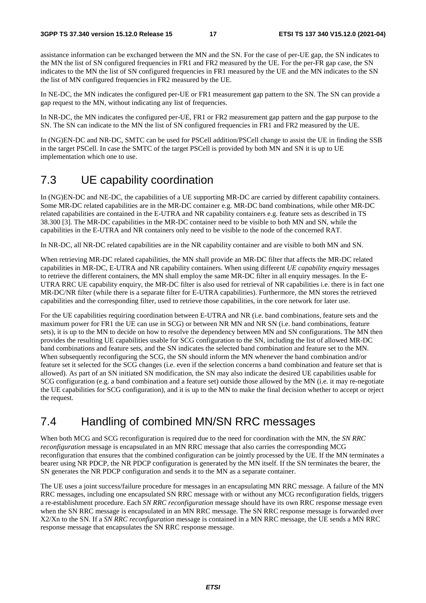assistance information can be exchanged between the MN and the SN. For the case of per-UE gap, the SN indicates to the MN the list of SN configured frequencies in FR1 and FR2 measured by the UE. For the per-FR gap case, the SN indicates to the MN the list of SN configured frequencies in FR1 measured by the UE and the MN indicates to the SN the list of MN configured frequencies in FR2 measured by the UE.

In NE-DC, the MN indicates the configured per-UE or FR1 measurement gap pattern to the SN. The SN can provide a gap request to the MN, without indicating any list of frequencies.

In NR-DC, the MN indicates the configured per-UE, FR1 or FR2 measurement gap pattern and the gap purpose to the SN. The SN can indicate to the MN the list of SN configured frequencies in FR1 and FR2 measured by the UE.

In (NG)EN-DC and NR-DC, SMTC can be used for PSCell addition/PSCell change to assist the UE in finding the SSB in the target PSCell. In case the SMTC of the target PSCell is provided by both MN and SN it is up to UE implementation which one to use.

## 7.3 UE capability coordination

In (NG)EN-DC and NE-DC, the capabilities of a UE supporting MR-DC are carried by different capability containers. Some MR-DC related capabilities are in the MR-DC container e.g. MR-DC band combinations, while other MR-DC related capabilities are contained in the E-UTRA and NR capability containers e.g. feature sets as described in TS 38.300 [3]. The MR-DC capabilities in the MR-DC container need to be visible to both MN and SN, while the capabilities in the E-UTRA and NR containers only need to be visible to the node of the concerned RAT.

In NR-DC, all NR-DC related capabilities are in the NR capability container and are visible to both MN and SN.

When retrieving MR-DC related capabilities, the MN shall provide an MR-DC filter that affects the MR-DC related capabilities in MR-DC, E-UTRA and NR capability containers. When using different *UE capability enquiry* messages to retrieve the different containers, the MN shall employ the same MR-DC filter in all enquiry messages. In the E-UTRA RRC UE capability enquiry, the MR-DC filter is also used for retrieval of NR capabilities i.e. there is in fact one MR-DC/NR filter (while there is a separate filter for E-UTRA capabilities). Furthermore, the MN stores the retrieved capabilities and the corresponding filter, used to retrieve those capabilities, in the core network for later use.

For the UE capabilities requiring coordination between E-UTRA and NR (i.e. band combinations, feature sets and the maximum power for FR1 the UE can use in SCG) or between NR MN and NR SN (i.e. band combinations, feature sets), it is up to the MN to decide on how to resolve the dependency between MN and SN configurations. The MN then provides the resulting UE capabilities usable for SCG configuration to the SN, including the list of allowed MR-DC band combinations and feature sets, and the SN indicates the selected band combination and feature set to the MN. When subsequently reconfiguring the SCG, the SN should inform the MN whenever the band combination and/or feature set it selected for the SCG changes (i.e. even if the selection concerns a band combination and feature set that is allowed). As part of an SN initiated SN modification, the SN may also indicate the desired UE capabilities usable for SCG configuration (e.g. a band combination and a feature set) outside those allowed by the MN (i.e. it may re-negotiate the UE capabilities for SCG configuration), and it is up to the MN to make the final decision whether to accept or reject the request.

## 7.4 Handling of combined MN/SN RRC messages

When both MCG and SCG reconfiguration is required due to the need for coordination with the MN, the *SN RRC reconfiguration* message is encapsulated in an MN RRC message that also carries the corresponding MCG reconfiguration that ensures that the combined configuration can be jointly processed by the UE. If the MN terminates a bearer using NR PDCP, the NR PDCP configuration is generated by the MN itself. If the SN terminates the bearer, the SN generates the NR PDCP configuration and sends it to the MN as a separate container.

The UE uses a joint success/failure procedure for messages in an encapsulating MN RRC message. A failure of the MN RRC messages, including one encapsulated SN RRC message with or without any MCG reconfiguration fields, triggers a re-establishment procedure. Each *SN RRC reconfiguration* message should have its own RRC response message even when the SN RRC message is encapsulated in an MN RRC message. The SN RRC response message is forwarded over X2/Xn to the SN. If a *SN RRC reconfiguration* message is contained in a MN RRC message, the UE sends a MN RRC response message that encapsulates the SN RRC response message.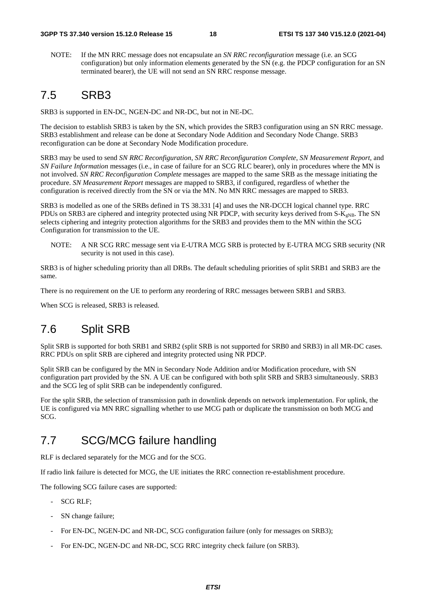NOTE: If the MN RRC message does not encapsulate an *SN RRC reconfiguration* message (i.e. an SCG configuration) but only information elements generated by the SN (e.g. the PDCP configuration for an SN terminated bearer), the UE will not send an SN RRC response message.

## 7.5 SRB3

SRB3 is supported in EN-DC, NGEN-DC and NR-DC, but not in NE-DC.

The decision to establish SRB3 is taken by the SN, which provides the SRB3 configuration using an SN RRC message. SRB3 establishment and release can be done at Secondary Node Addition and Secondary Node Change. SRB3 reconfiguration can be done at Secondary Node Modification procedure.

SRB3 may be used to send *SN RRC Reconfiguration*, *SN RRC Reconfiguration Complete*, *SN Measurement Report*, and *SN Failure Information* messages (i.e., in case of failure for an SCG RLC bearer), only in procedures where the MN is not involved. *SN RRC Reconfiguration Complete* messages are mapped to the same SRB as the message initiating the procedure. *SN Measurement Report* messages are mapped to SRB3, if configured, regardless of whether the configuration is received directly from the SN or via the MN. No MN RRC messages are mapped to SRB3.

SRB3 is modelled as one of the SRBs defined in TS 38.331 [4] and uses the NR-DCCH logical channel type. RRC PDUs on SRB3 are ciphered and integrity protected using NR PDCP, with security keys derived from  $S-K_{eNB}$ . The SN selects ciphering and integrity protection algorithms for the SRB3 and provides them to the MN within the SCG Configuration for transmission to the UE.

NOTE: A NR SCG RRC message sent via E-UTRA MCG SRB is protected by E-UTRA MCG SRB security (NR security is not used in this case).

SRB3 is of higher scheduling priority than all DRBs. The default scheduling priorities of split SRB1 and SRB3 are the same.

There is no requirement on the UE to perform any reordering of RRC messages between SRB1 and SRB3.

When SCG is released, SRB3 is released.

## 7.6 Split SRB

Split SRB is supported for both SRB1 and SRB2 (split SRB is not supported for SRB0 and SRB3) in all MR-DC cases. RRC PDUs on split SRB are ciphered and integrity protected using NR PDCP.

Split SRB can be configured by the MN in Secondary Node Addition and/or Modification procedure, with SN configuration part provided by the SN. A UE can be configured with both split SRB and SRB3 simultaneously. SRB3 and the SCG leg of split SRB can be independently configured.

For the split SRB, the selection of transmission path in downlink depends on network implementation. For uplink, the UE is configured via MN RRC signalling whether to use MCG path or duplicate the transmission on both MCG and SCG.

## 7.7 SCG/MCG failure handling

RLF is declared separately for the MCG and for the SCG.

If radio link failure is detected for MCG, the UE initiates the RRC connection re-establishment procedure.

The following SCG failure cases are supported:

- SCG RLF;
- SN change failure;
- For EN-DC, NGEN-DC and NR-DC, SCG configuration failure (only for messages on SRB3);
- For EN-DC, NGEN-DC and NR-DC, SCG RRC integrity check failure (on SRB3).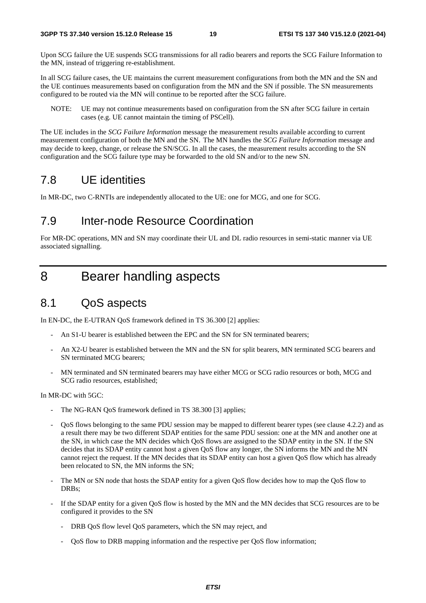Upon SCG failure the UE suspends SCG transmissions for all radio bearers and reports the SCG Failure Information to the MN, instead of triggering re-establishment.

In all SCG failure cases, the UE maintains the current measurement configurations from both the MN and the SN and the UE continues measurements based on configuration from the MN and the SN if possible. The SN measurements configured to be routed via the MN will continue to be reported after the SCG failure.

NOTE: UE may not continue measurements based on configuration from the SN after SCG failure in certain cases (e.g. UE cannot maintain the timing of PSCell).

The UE includes in the *SCG Failure Information* message the measurement results available according to current measurement configuration of both the MN and the SN. The MN handles the *SCG Failure Information* message and may decide to keep, change, or release the SN/SCG. In all the cases, the measurement results according to the SN configuration and the SCG failure type may be forwarded to the old SN and/or to the new SN.

## 7.8 UE identities

In MR-DC, two C-RNTIs are independently allocated to the UE: one for MCG, and one for SCG.

### 7.9 Inter-node Resource Coordination

For MR-DC operations, MN and SN may coordinate their UL and DL radio resources in semi-static manner via UE associated signalling.

## 8 Bearer handling aspects

### 8.1 QoS aspects

In EN-DC, the E-UTRAN QoS framework defined in TS 36.300 [2] applies:

- An S1-U bearer is established between the EPC and the SN for SN terminated bearers;
- An X2-U bearer is established between the MN and the SN for split bearers, MN terminated SCG bearers and SN terminated MCG bearers;
- MN terminated and SN terminated bearers may have either MCG or SCG radio resources or both, MCG and SCG radio resources, established;

In MR-DC with 5GC:

- The NG-RAN QoS framework defined in TS 38.300 [3] applies;
- QoS flows belonging to the same PDU session may be mapped to different bearer types (see clause 4.2.2) and as a result there may be two different SDAP entities for the same PDU session: one at the MN and another one at the SN, in which case the MN decides which QoS flows are assigned to the SDAP entity in the SN. If the SN decides that its SDAP entity cannot host a given QoS flow any longer, the SN informs the MN and the MN cannot reject the request. If the MN decides that its SDAP entity can host a given QoS flow which has already been relocated to SN, the MN informs the SN;
- The MN or SN node that hosts the SDAP entity for a given QoS flow decides how to map the QoS flow to DRBs;
- If the SDAP entity for a given QoS flow is hosted by the MN and the MN decides that SCG resources are to be configured it provides to the SN
	- DRB QoS flow level QoS parameters, which the SN may reject, and
	- QoS flow to DRB mapping information and the respective per QoS flow information;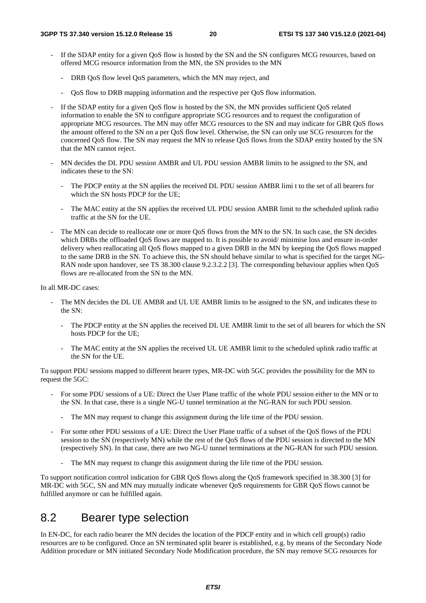- If the SDAP entity for a given QoS flow is hosted by the SN and the SN configures MCG resources, based on offered MCG resource information from the MN, the SN provides to the MN
	- DRB QoS flow level QoS parameters, which the MN may reject, and
	- QoS flow to DRB mapping information and the respective per QoS flow information.
- If the SDAP entity for a given OoS flow is hosted by the SN, the MN provides sufficient OoS related information to enable the SN to configure appropriate SCG resources and to request the configuration of appropriate MCG resources. The MN may offer MCG resources to the SN and may indicate for GBR QoS flows the amount offered to the SN on a per QoS flow level. Otherwise, the SN can only use SCG resources for the concerned QoS flow. The SN may request the MN to release QoS flows from the SDAP entity hosted by the SN that the MN cannot reject.
- MN decides the DL PDU session AMBR and UL PDU session AMBR limits to be assigned to the SN, and indicates these to the SN:
	- The PDCP entity at the SN applies the received DL PDU session AMBR limi t to the set of all bearers for which the SN hosts PDCP for the UE:
	- The MAC entity at the SN applies the received UL PDU session AMBR limit to the scheduled uplink radio traffic at the SN for the UE.
- The MN can decide to reallocate one or more OoS flows from the MN to the SN. In such case, the SN decides which DRBs the offloaded OoS flows are mapped to. It is possible to avoid/ minimise loss and ensure in-order delivery when reallocating all QoS flows mapped to a given DRB in the MN by keeping the QoS flows mapped to the same DRB in the SN. To achieve this, the SN should behave similar to what is specified for the target NG-RAN node upon handover, see TS 38.300 clause 9.2.3.2.2 [3]. The corresponding behaviour applies when QoS flows are re-allocated from the SN to the MN.

In all MR-DC cases:

- The MN decides the DL UE AMBR and UL UE AMBR limits to be assigned to the SN, and indicates these to the SN:
	- The PDCP entity at the SN applies the received DL UE AMBR limit to the set of all bearers for which the SN hosts PDCP for the UE;
	- The MAC entity at the SN applies the received UL UE AMBR limit to the scheduled uplink radio traffic at the SN for the UE.

To support PDU sessions mapped to different bearer types, MR-DC with 5GC provides the possibility for the MN to request the 5GC:

- For some PDU sessions of a UE: Direct the User Plane traffic of the whole PDU session either to the MN or to the SN. In that case, there is a single NG-U tunnel termination at the NG-RAN for such PDU session.
	- The MN may request to change this assignment during the life time of the PDU session.
- For some other PDU sessions of a UE: Direct the User Plane traffic of a subset of the QoS flows of the PDU session to the SN (respectively MN) while the rest of the QoS flows of the PDU session is directed to the MN (respectively SN). In that case, there are two NG-U tunnel terminations at the NG-RAN for such PDU session.
	- The MN may request to change this assignment during the life time of the PDU session.

To support notification control indication for GBR QoS flows along the QoS framework specified in 38.300 [3] for MR-DC with 5GC, SN and MN may mutually indicate whenever QoS requirements for GBR QoS flows cannot be fulfilled anymore or can be fulfilled again.

### 8.2 Bearer type selection

In EN-DC, for each radio bearer the MN decides the location of the PDCP entity and in which cell group(s) radio resources are to be configured. Once an SN terminated split bearer is established, e.g. by means of the Secondary Node Addition procedure or MN initiated Secondary Node Modification procedure, the SN may remove SCG resources for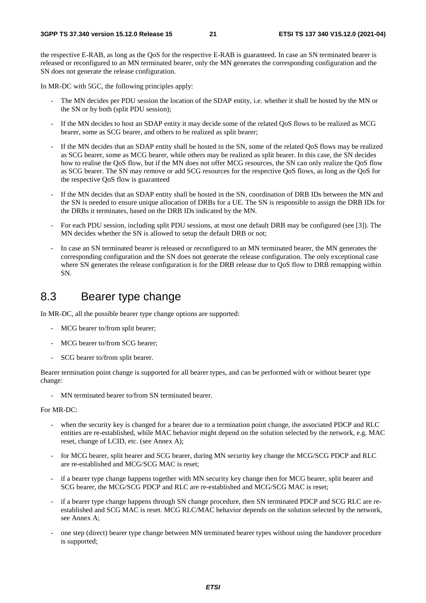the respective E-RAB, as long as the QoS for the respective E-RAB is guaranteed. In case an SN terminated bearer is released or reconfigured to an MN terminated bearer, only the MN generates the corresponding configuration and the SN does not generate the release configuration.

In MR-DC with 5GC, the following principles apply:

- The MN decides per PDU session the location of the SDAP entity, i.e. whether it shall be hosted by the MN or the SN or by both (split PDU session);
- If the MN decides to host an SDAP entity it may decide some of the related QoS flows to be realized as MCG bearer, some as SCG bearer, and others to be realized as split bearer;
- If the MN decides that an SDAP entity shall be hosted in the SN, some of the related OoS flows may be realized as SCG bearer, some as MCG bearer, while others may be realized as split bearer. In this case, the SN decides how to realise the QoS flow, but if the MN does not offer MCG resources, the SN can only realize the QoS flow as SCG bearer. The SN may remove or add SCG resources for the respective QoS flows, as long as the QoS for the respective QoS flow is guaranteed
- If the MN decides that an SDAP entity shall be hosted in the SN, coordination of DRB IDs between the MN and the SN is needed to ensure unique allocation of DRBs for a UE. The SN is responsible to assign the DRB IDs for the DRBs it terminates, based on the DRB IDs indicated by the MN.
- For each PDU session, including split PDU sessions, at most one default DRB may be configured (see [3]). The MN decides whether the SN is allowed to setup the default DRB or not;
- In case an SN terminated bearer is released or reconfigured to an MN terminated bearer, the MN generates the corresponding configuration and the SN does not generate the release configuration. The only exceptional case where SN generates the release configuration is for the DRB release due to QoS flow to DRB remapping within SN.

### 8.3 Bearer type change

In MR-DC, all the possible bearer type change options are supported:

- MCG bearer to/from split bearer;
- MCG bearer to/from SCG bearer:
- SCG bearer to/from split bearer.

Bearer termination point change is supported for all bearer types, and can be performed with or without bearer type change:

- MN terminated bearer to/from SN terminated bearer.

#### For MR-DC:

- when the security key is changed for a bearer due to a termination point change, the associated PDCP and RLC entities are re-established, while MAC behavior might depend on the solution selected by the network, e.g. MAC reset, change of LCID, etc. (see Annex A);
- for MCG bearer, split bearer and SCG bearer, during MN security key change the MCG/SCG PDCP and RLC are re-established and MCG/SCG MAC is reset;
- if a bearer type change happens together with MN security key change then for MCG bearer, split bearer and SCG bearer, the MCG/SCG PDCP and RLC are re-established and MCG/SCG MAC is reset;
- if a bearer type change happens through SN change procedure, then SN terminated PDCP and SCG RLC are reestablished and SCG MAC is reset. MCG RLC/MAC behavior depends on the solution selected by the network, see Annex A;
- one step (direct) bearer type change between MN terminated bearer types without using the handover procedure is supported;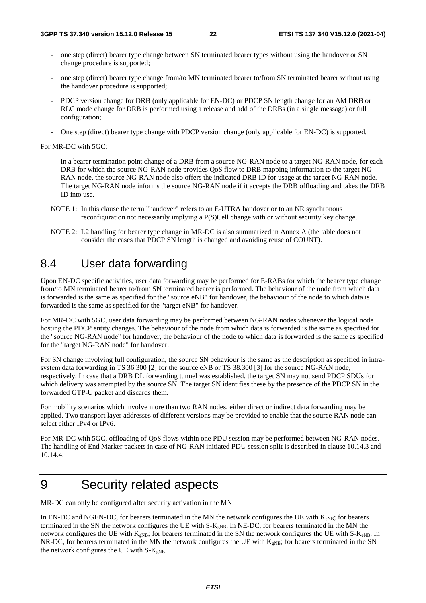- one step (direct) bearer type change between SN terminated bearer types without using the handover or SN change procedure is supported;
- one step (direct) bearer type change from/to MN terminated bearer to/from SN terminated bearer without using the handover procedure is supported;
- PDCP version change for DRB (only applicable for EN-DC) or PDCP SN length change for an AM DRB or RLC mode change for DRB is performed using a release and add of the DRBs (in a single message) or full configuration;
- One step (direct) bearer type change with PDCP version change (only applicable for EN-DC) is supported.

For MR-DC with 5GC:

- in a bearer termination point change of a DRB from a source NG-RAN node to a target NG-RAN node, for each DRB for which the source NG-RAN node provides QoS flow to DRB mapping information to the target NG-RAN node, the source NG-RAN node also offers the indicated DRB ID for usage at the target NG-RAN node. The target NG-RAN node informs the source NG-RAN node if it accepts the DRB offloading and takes the DRB ID into use.
- NOTE 1: In this clause the term "handover" refers to an E-UTRA handover or to an NR synchronous reconfiguration not necessarily implying a P(S)Cell change with or without security key change.
- NOTE 2: L2 handling for bearer type change in MR-DC is also summarized in Annex A (the table does not consider the cases that PDCP SN length is changed and avoiding reuse of COUNT).

## 8.4 User data forwarding

Upon EN-DC specific activities, user data forwarding may be performed for E-RABs for which the bearer type change from/to MN terminated bearer to/from SN terminated bearer is performed. The behaviour of the node from which data is forwarded is the same as specified for the "source eNB" for handover, the behaviour of the node to which data is forwarded is the same as specified for the "target eNB" for handover.

For MR-DC with 5GC, user data forwarding may be performed between NG-RAN nodes whenever the logical node hosting the PDCP entity changes. The behaviour of the node from which data is forwarded is the same as specified for the "source NG-RAN node" for handover, the behaviour of the node to which data is forwarded is the same as specified for the "target NG-RAN node" for handover.

For SN change involving full configuration, the source SN behaviour is the same as the description as specified in intrasystem data forwarding in TS 36.300 [2] for the source eNB or TS 38.300 [3] for the source NG-RAN node, respectively. In case that a DRB DL forwarding tunnel was established, the target SN may not send PDCP SDUs for which delivery was attempted by the source SN. The target SN identifies these by the presence of the PDCP SN in the forwarded GTP-U packet and discards them.

For mobility scenarios which involve more than two RAN nodes, either direct or indirect data forwarding may be applied. Two transport layer addresses of different versions may be provided to enable that the source RAN node can select either IPv4 or IPv6.

For MR-DC with 5GC, offloading of QoS flows within one PDU session may be performed between NG-RAN nodes. The handling of End Marker packets in case of NG-RAN initiated PDU session split is described in clause 10.14.3 and 10.14.4.

## 9 Security related aspects

MR-DC can only be configured after security activation in the MN.

In EN-DC and NGEN-DC, for bearers terminated in the MN the network configures the UE with  $K_{eNB}$ ; for bearers terminated in the SN the network configures the UE with S-K<sub>gNB</sub>. In NE-DC, for bearers terminated in the MN the network configures the UE with  $K_{gNB}$ ; for bearers terminated in the SN the network configures the UE with S- $K_{eNB}$ . In NR-DC, for bearers terminated in the MN the network configures the UE with  $K_{\text{eNB}}$ ; for bearers terminated in the SN the network configures the UE with  $S-K<sub>gNB</sub>$ .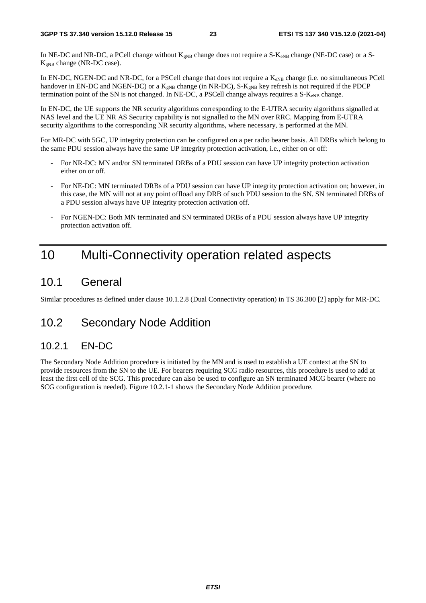In NE-DC and NR-DC, a PCell change without  $K_{gNB}$  change does not require a S- $K_{eNB}$  change (NE-DC case) or a S- $K_{eNB}$  change (NR-DC case).

In EN-DC, NGEN-DC and NR-DC, for a PSCell change that does not require a K<sub>eNB</sub> change (i.e. no simultaneous PCell handover in EN-DC and NGEN-DC) or a  $K_{gNB}$  change (in NR-DC), S- $K_{gNB}$  key refresh is not required if the PDCP termination point of the SN is not changed. In NE-DC, a PSCell change always requires a  $S-K_{eNB}$  change.

In EN-DC, the UE supports the NR security algorithms corresponding to the E-UTRA security algorithms signalled at NAS level and the UE NR AS Security capability is not signalled to the MN over RRC. Mapping from E-UTRA security algorithms to the corresponding NR security algorithms, where necessary, is performed at the MN.

For MR-DC with 5GC, UP integrity protection can be configured on a per radio bearer basis. All DRBs which belong to the same PDU session always have the same UP integrity protection activation, i.e., either on or off:

- For NR-DC: MN and/or SN terminated DRBs of a PDU session can have UP integrity protection activation either on or off.
- For NE-DC: MN terminated DRBs of a PDU session can have UP integrity protection activation on; however, in this case, the MN will not at any point offload any DRB of such PDU session to the SN. SN terminated DRBs of a PDU session always have UP integrity protection activation off.
- For NGEN-DC: Both MN terminated and SN terminated DRBs of a PDU session always have UP integrity protection activation off.

## 10 Multi-Connectivity operation related aspects

### 10.1 General

Similar procedures as defined under clause 10.1.2.8 (Dual Connectivity operation) in TS 36.300 [2] apply for MR-DC.

## 10.2 Secondary Node Addition

### 10.2.1 EN-DC

The Secondary Node Addition procedure is initiated by the MN and is used to establish a UE context at the SN to provide resources from the SN to the UE. For bearers requiring SCG radio resources, this procedure is used to add at least the first cell of the SCG. This procedure can also be used to configure an SN terminated MCG bearer (where no SCG configuration is needed). Figure 10.2.1-1 shows the Secondary Node Addition procedure.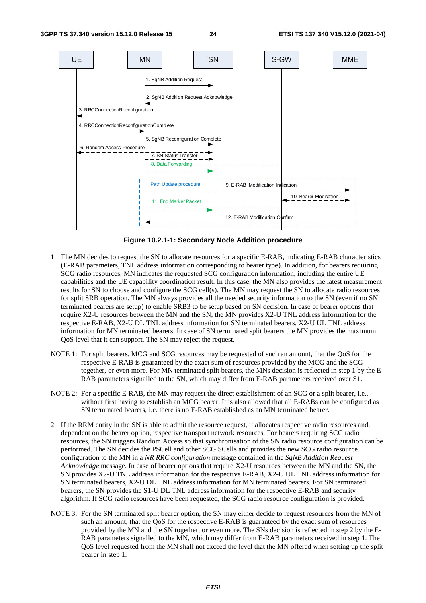

**Figure 10.2.1-1: Secondary Node Addition procedure** 

- 1. The MN decides to request the SN to allocate resources for a specific E-RAB, indicating E-RAB characteristics (E-RAB parameters, TNL address information corresponding to bearer type). In addition, for bearers requiring SCG radio resources, MN indicates the requested SCG configuration information, including the entire UE capabilities and the UE capability coordination result. In this case, the MN also provides the latest measurement results for SN to choose and configure the SCG cell(s). The MN may request the SN to allocate radio resources for split SRB operation. The MN always provides all the needed security information to the SN (even if no SN terminated bearers are setup) to enable SRB3 to be setup based on SN decision. In case of bearer options that require X2-U resources between the MN and the SN, the MN provides X2-U TNL address information for the respective E-RAB, X2-U DL TNL address information for SN terminated bearers, X2-U UL TNL address information for MN terminated bearers. In case of SN terminated split bearers the MN provides the maximum QoS level that it can support. The SN may reject the request.
- NOTE 1: For split bearers, MCG and SCG resources may be requested of such an amount, that the QoS for the respective E-RAB is guaranteed by the exact sum of resources provided by the MCG and the SCG together, or even more. For MN terminated split bearers, the MNs decision is reflected in step 1 by the E-RAB parameters signalled to the SN, which may differ from E-RAB parameters received over S1.
- NOTE 2: For a specific E-RAB, the MN may request the direct establishment of an SCG or a split bearer, i.e., without first having to establish an MCG bearer. It is also allowed that all E-RABs can be configured as SN terminated bearers, i.e. there is no E-RAB established as an MN terminated bearer.
- 2. If the RRM entity in the SN is able to admit the resource request, it allocates respective radio resources and, dependent on the bearer option, respective transport network resources. For bearers requiring SCG radio resources, the SN triggers Random Access so that synchronisation of the SN radio resource configuration can be performed. The SN decides the PSCell and other SCG SCells and provides the new SCG radio resource configuration to the MN in a *NR RRC configuration* message contained in the *SgNB Addition Request Acknowledge* message. In case of bearer options that require X2-U resources between the MN and the SN, the SN provides X2-U TNL address information for the respective E-RAB, X2-U UL TNL address information for SN terminated bearers, X2-U DL TNL address information for MN terminated bearers. For SN terminated bearers, the SN provides the S1-U DL TNL address information for the respective E-RAB and security algorithm. If SCG radio resources have been requested, the SCG radio resource configuration is provided.
- NOTE 3: For the SN terminated split bearer option, the SN may either decide to request resources from the MN of such an amount, that the QoS for the respective E-RAB is guaranteed by the exact sum of resources provided by the MN and the SN together, or even more. The SNs decision is reflected in step 2 by the E-RAB parameters signalled to the MN, which may differ from E-RAB parameters received in step 1. The QoS level requested from the MN shall not exceed the level that the MN offered when setting up the split bearer in step 1.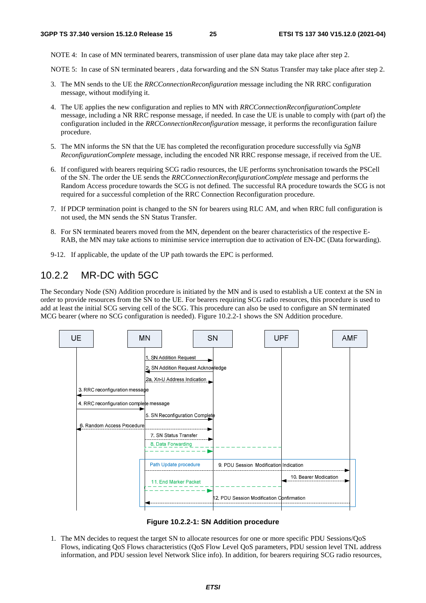NOTE 4: In case of MN terminated bearers, transmission of user plane data may take place after step 2.

NOTE 5: In case of SN terminated bearers , data forwarding and the SN Status Transfer may take place after step 2.

- 3. The MN sends to the UE the *RRCConnectionReconfiguration* message including the NR RRC configuration message, without modifying it.
- 4. The UE applies the new configuration and replies to MN with *RRCConnectionReconfigurationComplete* message, including a NR RRC response message, if needed. In case the UE is unable to comply with (part of) the configuration included in the *RRCConnectionReconfiguration* message, it performs the reconfiguration failure procedure.
- 5. The MN informs the SN that the UE has completed the reconfiguration procedure successfully via *SgNB ReconfigurationComplete* message, including the encoded NR RRC response message, if received from the UE.
- 6. If configured with bearers requiring SCG radio resources, the UE performs synchronisation towards the PSCell of the SN. The order the UE sends the *RRCConnectionReconfigurationComplete* message and performs the Random Access procedure towards the SCG is not defined. The successful RA procedure towards the SCG is not required for a successful completion of the RRC Connection Reconfiguration procedure.
- 7. If PDCP termination point is changed to the SN for bearers using RLC AM, and when RRC full configuration is not used, the MN sends the SN Status Transfer.
- 8. For SN terminated bearers moved from the MN, dependent on the bearer characteristics of the respective E-RAB, the MN may take actions to minimise service interruption due to activation of EN-DC (Data forwarding).
- 9-12. If applicable, the update of the UP path towards the EPC is performed.

### 10.2.2 MR-DC with 5GC

The Secondary Node (SN) Addition procedure is initiated by the MN and is used to establish a UE context at the SN in order to provide resources from the SN to the UE. For bearers requiring SCG radio resources, this procedure is used to add at least the initial SCG serving cell of the SCG. This procedure can also be used to configure an SN terminated MCG bearer (where no SCG configuration is needed). Figure 10.2.2-1 shows the SN Addition procedure.



**Figure 10.2.2-1: SN Addition procedure** 

1. The MN decides to request the target SN to allocate resources for one or more specific PDU Sessions/QoS Flows, indicating QoS Flows characteristics (QoS Flow Level QoS parameters, PDU session level TNL address information, and PDU session level Network Slice info). In addition, for bearers requiring SCG radio resources,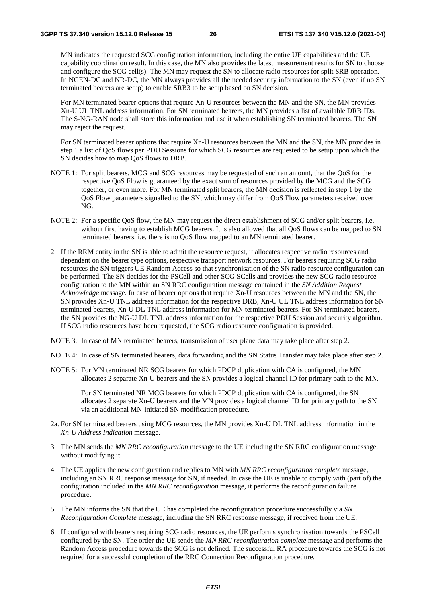MN indicates the requested SCG configuration information, including the entire UE capabilities and the UE capability coordination result. In this case, the MN also provides the latest measurement results for SN to choose and configure the SCG cell(s). The MN may request the SN to allocate radio resources for split SRB operation. In NGEN-DC and NR-DC, the MN always provides all the needed security information to the SN (even if no SN terminated bearers are setup) to enable SRB3 to be setup based on SN decision.

 For MN terminated bearer options that require Xn-U resources between the MN and the SN, the MN provides Xn-U UL TNL address information. For SN terminated bearers, the MN provides a list of available DRB IDs. The S-NG-RAN node shall store this information and use it when establishing SN terminated bearers. The SN may reject the request.

 For SN terminated bearer options that require Xn-U resources between the MN and the SN, the MN provides in step 1 a list of QoS flows per PDU Sessions for which SCG resources are requested to be setup upon which the SN decides how to map QoS flows to DRB.

- NOTE 1: For split bearers, MCG and SCG resources may be requested of such an amount, that the QoS for the respective QoS Flow is guaranteed by the exact sum of resources provided by the MCG and the SCG together, or even more. For MN terminated split bearers, the MN decision is reflected in step 1 by the QoS Flow parameters signalled to the SN, which may differ from QoS Flow parameters received over NG.
- NOTE 2: For a specific QoS flow, the MN may request the direct establishment of SCG and/or split bearers, i.e. without first having to establish MCG bearers. It is also allowed that all QoS flows can be mapped to SN terminated bearers, i.e. there is no QoS flow mapped to an MN terminated bearer.
- 2. If the RRM entity in the SN is able to admit the resource request, it allocates respective radio resources and, dependent on the bearer type options, respective transport network resources. For bearers requiring SCG radio resources the SN triggers UE Random Access so that synchronisation of the SN radio resource configuration can be performed. The SN decides for the PSCell and other SCG SCells and provides the new SCG radio resource configuration to the MN within an SN RRC configuration message contained in the *SN Addition Request Acknowledge* message. In case of bearer options that require Xn-U resources between the MN and the SN, the SN provides Xn-U TNL address information for the respective DRB, Xn-U UL TNL address information for SN terminated bearers, Xn-U DL TNL address information for MN terminated bearers. For SN terminated bearers, the SN provides the NG-U DL TNL address information for the respective PDU Session and security algorithm. If SCG radio resources have been requested, the SCG radio resource configuration is provided.
- NOTE 3: In case of MN terminated bearers, transmission of user plane data may take place after step 2.
- NOTE 4: In case of SN terminated bearers, data forwarding and the SN Status Transfer may take place after step 2.
- NOTE 5: For MN terminated NR SCG bearers for which PDCP duplication with CA is configured, the MN allocates 2 separate Xn-U bearers and the SN provides a logical channel ID for primary path to the MN.

 For SN terminated NR MCG bearers for which PDCP duplication with CA is configured, the SN allocates 2 separate Xn-U bearers and the MN provides a logical channel ID for primary path to the SN via an additional MN-initiated SN modification procedure.

- 2a. For SN terminated bearers using MCG resources, the MN provides Xn-U DL TNL address information in the *Xn-U Address Indication* message.
- 3. The MN sends the *MN RRC reconfiguration* message to the UE including the SN RRC configuration message, without modifying it.
- 4. The UE applies the new configuration and replies to MN with *MN RRC reconfiguration complete* message, including an SN RRC response message for SN, if needed. In case the UE is unable to comply with (part of) the configuration included in the *MN RRC reconfiguration* message, it performs the reconfiguration failure procedure.
- 5. The MN informs the SN that the UE has completed the reconfiguration procedure successfully via *SN Reconfiguration Complete* message, including the SN RRC response message, if received from the UE.
- 6. If configured with bearers requiring SCG radio resources, the UE performs synchronisation towards the PSCell configured by the SN. The order the UE sends the *MN RRC reconfiguration complete* message and performs the Random Access procedure towards the SCG is not defined. The successful RA procedure towards the SCG is not required for a successful completion of the RRC Connection Reconfiguration procedure.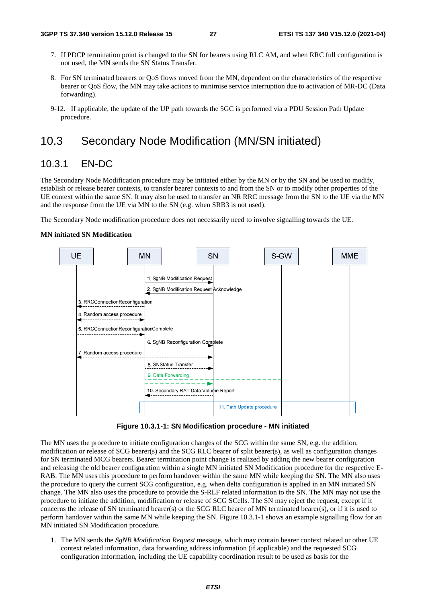- 7. If PDCP termination point is changed to the SN for bearers using RLC AM, and when RRC full configuration is not used, the MN sends the SN Status Transfer.
- 8. For SN terminated bearers or QoS flows moved from the MN, dependent on the characteristics of the respective bearer or QoS flow, the MN may take actions to minimise service interruption due to activation of MR-DC (Data forwarding).
- 9-12. If applicable, the update of the UP path towards the 5GC is performed via a PDU Session Path Update procedure*.*

## 10.3 Secondary Node Modification (MN/SN initiated)

### 10.3.1 EN-DC

The Secondary Node Modification procedure may be initiated either by the MN or by the SN and be used to modify, establish or release bearer contexts, to transfer bearer contexts to and from the SN or to modify other properties of the UE context within the same SN. It may also be used to transfer an NR RRC message from the SN to the UE via the MN and the response from the UE via MN to the SN (e.g. when SRB3 is not used).

The Secondary Node modification procedure does not necessarily need to involve signalling towards the UE.

#### **MN initiated SN Modification**



**Figure 10.3.1-1: SN Modification procedure - MN initiated** 

The MN uses the procedure to initiate configuration changes of the SCG within the same SN, e.g. the addition, modification or release of SCG bearer(s) and the SCG RLC bearer of split bearer(s), as well as configuration changes for SN terminated MCG bearers. Bearer termination point change is realized by adding the new bearer configuration and releasing the old bearer configuration within a single MN initiated SN Modification procedure for the respective E-RAB. The MN uses this procedure to perform handover within the same MN while keeping the SN. The MN also uses the procedure to query the current SCG configuration, e.g. when delta configuration is applied in an MN initiated SN change. The MN also uses the procedure to provide the S-RLF related information to the SN. The MN may not use the procedure to initiate the addition, modification or release of SCG SCells. The SN may reject the request, except if it concerns the release of SN terminated bearer(s) or the SCG RLC bearer of MN terminated bearer(s), or if it is used to perform handover within the same MN while keeping the SN. Figure 10.3.1-1 shows an example signalling flow for an MN initiated SN Modification procedure.

1. The MN sends the *SgNB Modification Request* message, which may contain bearer context related or other UE context related information, data forwarding address information (if applicable) and the requested SCG configuration information, including the UE capability coordination result to be used as basis for the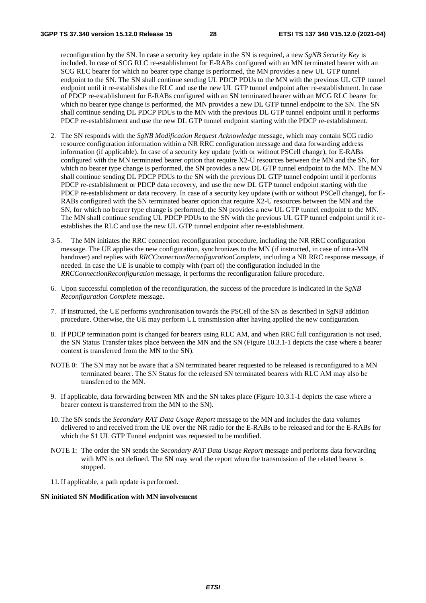reconfiguration by the SN. In case a security key update in the SN is required, a new *SgNB Security Key* is included. In case of SCG RLC re-establishment for E-RABs configured with an MN terminated bearer with an SCG RLC bearer for which no bearer type change is performed, the MN provides a new UL GTP tunnel endpoint to the SN. The SN shall continue sending UL PDCP PDUs to the MN with the previous UL GTP tunnel endpoint until it re-establishes the RLC and use the new UL GTP tunnel endpoint after re-establishment. In case of PDCP re-establishment for E-RABs configured with an SN terminated bearer with an MCG RLC bearer for which no bearer type change is performed, the MN provides a new DL GTP tunnel endpoint to the SN. The SN shall continue sending DL PDCP PDUs to the MN with the previous DL GTP tunnel endpoint until it performs PDCP re-establishment and use the new DL GTP tunnel endpoint starting with the PDCP re-establishment.

- 2. The SN responds with the *SgNB Modification Request Acknowledge* message, which may contain SCG radio resource configuration information within a NR RRC configuration message and data forwarding address information (if applicable). In case of a security key update (with or without PSCell change), for E-RABs configured with the MN terminated bearer option that require X2-U resources between the MN and the SN, for which no bearer type change is performed, the SN provides a new DL GTP tunnel endpoint to the MN. The MN shall continue sending DL PDCP PDUs to the SN with the previous DL GTP tunnel endpoint until it performs PDCP re-establishment or PDCP data recovery, and use the new DL GTP tunnel endpoint starting with the PDCP re-establishment or data recovery. In case of a security key update (with or without PSCell change), for E-RABs configured with the SN terminated bearer option that require X2-U resources between the MN and the SN, for which no bearer type change is performed, the SN provides a new UL GTP tunnel endpoint to the MN. The MN shall continue sending UL PDCP PDUs to the SN with the previous UL GTP tunnel endpoint until it reestablishes the RLC and use the new UL GTP tunnel endpoint after re-establishment.
- 3-5. The MN initiates the RRC connection reconfiguration procedure, including the NR RRC configuration message. The UE applies the new configuration, synchronizes to the MN (if instructed, in case of intra-MN handover) and replies with *RRCConnectionReconfigurationComplete*, including a NR RRC response message, if needed. In case the UE is unable to comply with (part of) the configuration included in the *RRCConnectionReconfiguration* message, it performs the reconfiguration failure procedure.
- 6. Upon successful completion of the reconfiguration, the success of the procedure is indicated in the *SgNB Reconfiguration Complete* message.
- 7. If instructed, the UE performs synchronisation towards the PSCell of the SN as described in SgNB addition procedure. Otherwise, the UE may perform UL transmission after having applied the new configuration.
- 8. If PDCP termination point is changed for bearers using RLC AM, and when RRC full configuration is not used, the SN Status Transfer takes place between the MN and the SN (Figure 10.3.1-1 depicts the case where a bearer context is transferred from the MN to the SN).
- NOTE 0: The SN may not be aware that a SN terminated bearer requested to be released is reconfigured to a MN terminated bearer. The SN Status for the released SN terminated bearers with RLC AM may also be transferred to the MN.
- 9. If applicable, data forwarding between MN and the SN takes place (Figure 10.3.1-1 depicts the case where a bearer context is transferred from the MN to the SN).
- 10. The SN sends the *Secondary RAT Data Usage Report* message to the MN and includes the data volumes delivered to and received from the UE over the NR radio for the E-RABs to be released and for the E-RABs for which the S1 UL GTP Tunnel endpoint was requested to be modified.
- NOTE 1: The order the SN sends the *Secondary RAT Data Usage Report* message and performs data forwarding with MN is not defined. The SN may send the report when the transmission of the related bearer is stopped.
- 11. If applicable, a path update is performed.

#### **SN initiated SN Modification with MN involvement**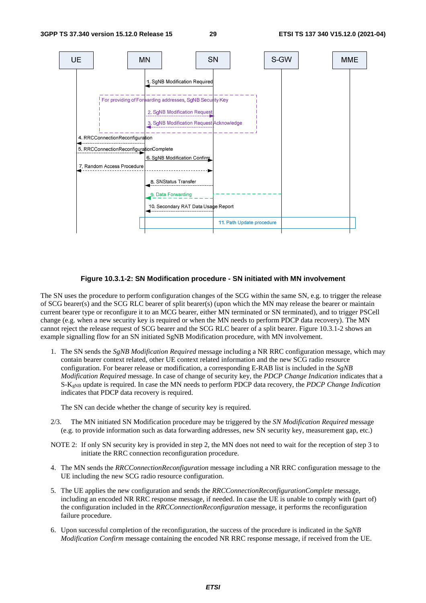

#### **Figure 10.3.1-2: SN Modification procedure - SN initiated with MN involvement**

The SN uses the procedure to perform configuration changes of the SCG within the same SN, e.g. to trigger the release of SCG bearer(s) and the SCG RLC bearer of split bearer(s) (upon which the MN may release the bearer or maintain current bearer type or reconfigure it to an MCG bearer, either MN terminated or SN terminated), and to trigger PSCell change (e.g. when a new security key is required or when the MN needs to perform PDCP data recovery). The MN cannot reject the release request of SCG bearer and the SCG RLC bearer of a split bearer. Figure 10.3.1-2 shows an example signalling flow for an SN initiated SgNB Modification procedure, with MN involvement.

1. The SN sends the *SgNB Modification Required* message including a NR RRC configuration message, which may contain bearer context related, other UE context related information and the new SCG radio resource configuration. For bearer release or modification, a corresponding E-RAB list is included in the *SgNB Modification Required* message. In case of change of security key, the *PDCP Change Indication* indicates that a S-KgNB update is required. In case the MN needs to perform PDCP data recovery, the *PDCP Change Indication* indicates that PDCP data recovery is required.

The SN can decide whether the change of security key is required.

- 2/3. The MN initiated SN Modification procedure may be triggered by the *SN Modification Required* message (e.g. to provide information such as data forwarding addresses, new SN security key, measurement gap, etc.)
- NOTE 2: If only SN security key is provided in step 2, the MN does not need to wait for the reception of step 3 to initiate the RRC connection reconfiguration procedure.
- 4. The MN sends the *RRCConnectionReconfiguration* message including a NR RRC configuration message to the UE including the new SCG radio resource configuration.
- 5. The UE applies the new configuration and sends the *RRCConnectionReconfigurationComplete* message, including an encoded NR RRC response message, if needed. In case the UE is unable to comply with (part of) the configuration included in the *RRCConnectionReconfiguration* message, it performs the reconfiguration failure procedure.
- 6. Upon successful completion of the reconfiguration, the success of the procedure is indicated in the *SgNB Modification Confirm* message containing the encoded NR RRC response message, if received from the UE.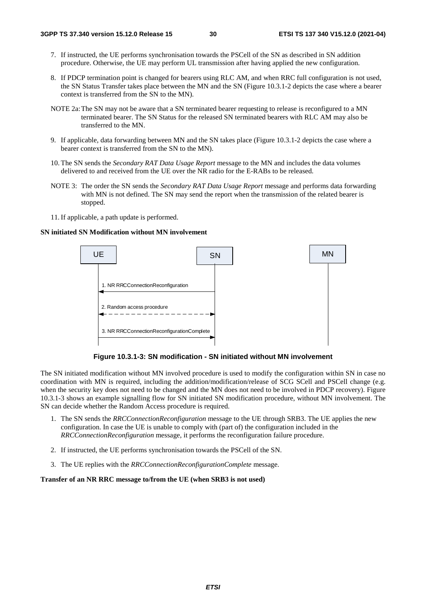- 7. If instructed, the UE performs synchronisation towards the PSCell of the SN as described in SN addition procedure. Otherwise, the UE may perform UL transmission after having applied the new configuration.
- 8. If PDCP termination point is changed for bearers using RLC AM, and when RRC full configuration is not used, the SN Status Transfer takes place between the MN and the SN (Figure 10.3.1-2 depicts the case where a bearer context is transferred from the SN to the MN).
- NOTE 2a: The SN may not be aware that a SN terminated bearer requesting to release is reconfigured to a MN terminated bearer. The SN Status for the released SN terminated bearers with RLC AM may also be transferred to the MN.
- 9. If applicable, data forwarding between MN and the SN takes place (Figure 10.3.1-2 depicts the case where a bearer context is transferred from the SN to the MN).
- 10. The SN sends the *Secondary RAT Data Usage Report* message to the MN and includes the data volumes delivered to and received from the UE over the NR radio for the E-RABs to be released.
- NOTE 3: The order the SN sends the *Secondary RAT Data Usage Report* message and performs data forwarding with MN is not defined. The SN may send the report when the transmission of the related bearer is stopped.
- 11. If applicable, a path update is performed.

#### **SN initiated SN Modification without MN involvement**



**Figure 10.3.1-3: SN modification - SN initiated without MN involvement** 

The SN initiated modification without MN involved procedure is used to modify the configuration within SN in case no coordination with MN is required, including the addition/modification/release of SCG SCell and PSCell change (e.g. when the security key does not need to be changed and the MN does not need to be involved in PDCP recovery). Figure 10.3.1-3 shows an example signalling flow for SN initiated SN modification procedure, without MN involvement. The SN can decide whether the Random Access procedure is required.

- 1. The SN sends the *RRCConnectionReconfiguration* message to the UE through SRB3. The UE applies the new configuration. In case the UE is unable to comply with (part of) the configuration included in the *RRCConnectionReconfiguration* message, it performs the reconfiguration failure procedure.
- 2. If instructed, the UE performs synchronisation towards the PSCell of the SN.
- 3. The UE replies with the *RRCConnectionReconfigurationComplete* message.

#### **Transfer of an NR RRC message to/from the UE (when SRB3 is not used)**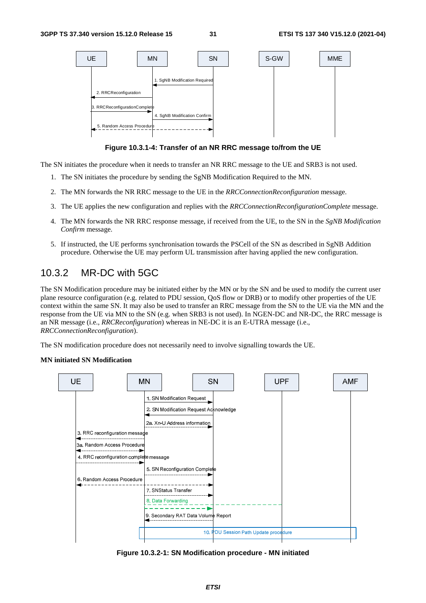

**Figure 10.3.1-4: Transfer of an NR RRC message to/from the UE** 

The SN initiates the procedure when it needs to transfer an NR RRC message to the UE and SRB3 is not used.

- 1. The SN initiates the procedure by sending the SgNB Modification Required to the MN.
- 2. The MN forwards the NR RRC message to the UE in the *RRCConnectionReconfiguration* message.
- 3. The UE applies the new configuration and replies with the *RRCConnectionReconfigurationComplete* message.
- 4. The MN forwards the NR RRC response message, if received from the UE, to the SN in the *SgNB Modification Confirm* message.
- 5. If instructed, the UE performs synchronisation towards the PSCell of the SN as described in SgNB Addition procedure. Otherwise the UE may perform UL transmission after having applied the new configuration.

### 10.3.2 MR-DC with 5GC

The SN Modification procedure may be initiated either by the MN or by the SN and be used to modify the current user plane resource configuration (e.g. related to PDU session, QoS flow or DRB) or to modify other properties of the UE context within the same SN. It may also be used to transfer an RRC message from the SN to the UE via the MN and the response from the UE via MN to the SN (e.g. when SRB3 is not used). In NGEN-DC and NR-DC, the RRC message is an NR message (i.e., *RRCReconfiguration*) whereas in NE-DC it is an E-UTRA message (i.e., *RRCConnectionReconfiguration*).

The SN modification procedure does not necessarily need to involve signalling towards the UE.

#### **MN initiated SN Modification**



**Figure 10.3.2-1: SN Modification procedure - MN initiated**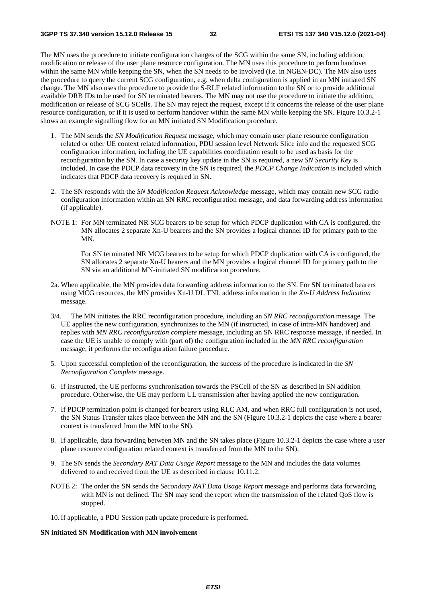The MN uses the procedure to initiate configuration changes of the SCG within the same SN, including addition, modification or release of the user plane resource configuration. The MN uses this procedure to perform handover within the same MN while keeping the SN, when the SN needs to be involved (i.e. in NGEN-DC). The MN also uses the procedure to query the current SCG configuration, e.g. when delta configuration is applied in an MN initiated SN change. The MN also uses the procedure to provide the S-RLF related information to the SN or to provide additional available DRB IDs to be used for SN terminated bearers. The MN may not use the procedure to initiate the addition, modification or release of SCG SCells. The SN may reject the request, except if it concerns the release of the user plane resource configuration, or if it is used to perform handover within the same MN while keeping the SN. Figure 10.3.2-1 shows an example signalling flow for an MN initiated SN Modification procedure.

- 1. The MN sends the *SN Modification Request* message, which may contain user plane resource configuration related or other UE context related information, PDU session level Network Slice info and the requested SCG configuration information, including the UE capabilities coordination result to be used as basis for the reconfiguration by the SN. In case a security key update in the SN is required, a new *SN Security Key* is included. In case the PDCP data recovery in the SN is required, the *PDCP Change Indication* is included which indicates that PDCP data recovery is required in SN.
- 2. The SN responds with the *SN Modification Request Acknowledge* message, which may contain new SCG radio configuration information within an SN RRC reconfiguration message*,* and data forwarding address information (if applicable).
- NOTE 1: For MN terminated NR SCG bearers to be setup for which PDCP duplication with CA is configured, the MN allocates 2 separate Xn-U bearers and the SN provides a logical channel ID for primary path to the MN.

 For SN terminated NR MCG bearers to be setup for which PDCP duplication with CA is configured, the SN allocates 2 separate Xn-U bearers and the MN provides a logical channel ID for primary path to the SN via an additional MN-initiated SN modification procedure.

- 2a. When applicable, the MN provides data forwarding address information to the SN. For SN terminated bearers using MCG resources, the MN provides Xn-U DL TNL address information in the *Xn-U Address Indication* message.
- 3/4. The MN initiates the RRC reconfiguration procedure, including an *SN RRC reconfiguration* message. The UE applies the new configuration, synchronizes to the MN (if instructed, in case of intra-MN handover) and replies with *MN RRC reconfiguration complete* message, including an SN RRC response message, if needed. In case the UE is unable to comply with (part of) the configuration included in the *MN RRC reconfiguration* message, it performs the reconfiguration failure procedure.
- 5. Upon successful completion of the reconfiguration, the success of the procedure is indicated in the *SN Reconfiguration Complete* message.
- 6. If instructed, the UE performs synchronisation towards the PSCell of the SN as described in SN addition procedure. Otherwise, the UE may perform UL transmission after having applied the new configuration.
- 7. If PDCP termination point is changed for bearers using RLC AM, and when RRC full configuration is not used, the SN Status Transfer takes place between the MN and the SN (Figure 10.3.2-1 depicts the case where a bearer context is transferred from the MN to the SN).
- 8. If applicable, data forwarding between MN and the SN takes place (Figure 10.3.2-1 depicts the case where a user plane resource configuration related context is transferred from the MN to the SN).
- 9. The SN sends the *Secondary RAT Data Usage Report* message to the MN and includes the data volumes delivered to and received from the UE as described in clause 10.11.2.
- NOTE 2: The order the SN sends the *Secondary RAT Data Usage Report* message and performs data forwarding with MN is not defined. The SN may send the report when the transmission of the related QoS flow is stopped.
- 10. If applicable, a PDU Session path update procedure is performed.

#### **SN initiated SN Modification with MN involvement**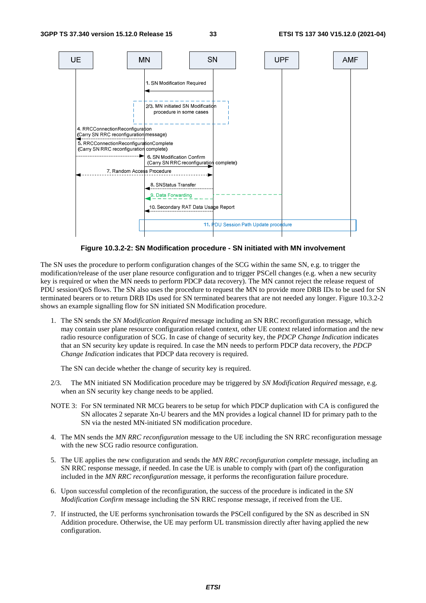

**Figure 10.3.2-2: SN Modification procedure - SN initiated with MN involvement** 

The SN uses the procedure to perform configuration changes of the SCG within the same SN, e.g. to trigger the modification/release of the user plane resource configuration and to trigger PSCell changes (e.g. when a new security key is required or when the MN needs to perform PDCP data recovery). The MN cannot reject the release request of PDU session/QoS flows. The SN also uses the procedure to request the MN to provide more DRB IDs to be used for SN terminated bearers or to return DRB IDs used for SN terminated bearers that are not needed any longer. Figure 10.3.2-2 shows an example signalling flow for SN initiated SN Modification procedure.

1. The SN sends the *SN Modification Required* message including an SN RRC reconfiguration message, which may contain user plane resource configuration related context, other UE context related information and the new radio resource configuration of SCG. In case of change of security key, the *PDCP Change Indication* indicates that an SN security key update is required. In case the MN needs to perform PDCP data recovery, the *PDCP Change Indication* indicates that PDCP data recovery is required.

The SN can decide whether the change of security key is required.

- 2/3. The MN initiated SN Modification procedure may be triggered by *SN Modification Required* message, e.g. when an SN security key change needs to be applied.
- NOTE 3: For SN terminated NR MCG bearers to be setup for which PDCP duplication with CA is configured the SN allocates 2 separate Xn-U bearers and the MN provides a logical channel ID for primary path to the SN via the nested MN-initiated SN modification procedure.
- 4. The MN sends the *MN RRC reconfiguration* message to the UE including the SN RRC reconfiguration message with the new SCG radio resource configuration.
- 5. The UE applies the new configuration and sends the *MN RRC reconfiguration complete* message, including an SN RRC response message, if needed. In case the UE is unable to comply with (part of) the configuration included in the *MN RRC reconfiguration* message, it performs the reconfiguration failure procedure.
- 6. Upon successful completion of the reconfiguration, the success of the procedure is indicated in the *SN Modification Confirm* message including the SN RRC response message, if received from the UE.
- 7. If instructed, the UE performs synchronisation towards the PSCell configured by the SN as described in SN Addition procedure. Otherwise, the UE may perform UL transmission directly after having applied the new configuration.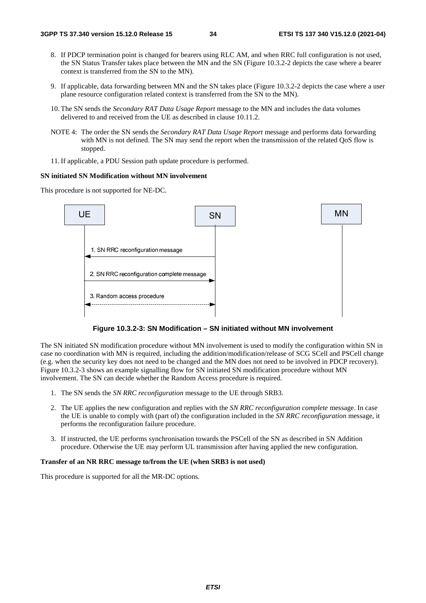- 8. If PDCP termination point is changed for bearers using RLC AM, and when RRC full configuration is not used, the SN Status Transfer takes place between the MN and the SN (Figure 10.3.2-2 depicts the case where a bearer context is transferred from the SN to the MN).
- 9. If applicable, data forwarding between MN and the SN takes place (Figure 10.3.2-2 depicts the case where a user plane resource configuration related context is transferred from the SN to the MN).
- 10. The SN sends the *Secondary RAT Data Usage Report* message to the MN and includes the data volumes delivered to and received from the UE as described in clause 10.11.2.
- NOTE 4: The order the SN sends the *Secondary RAT Data Usage Report* message and performs data forwarding with MN is not defined. The SN may send the report when the transmission of the related QoS flow is stopped.
- 11. If applicable, a PDU Session path update procedure is performed.

#### **SN initiated SN Modification without MN involvement**

This procedure is not supported for NE-DC.



**Figure 10.3.2-3: SN Modification – SN initiated without MN involvement** 

The SN initiated SN modification procedure without MN involvement is used to modify the configuration within SN in case no coordination with MN is required, including the addition/modification/release of SCG SCell and PSCell change (e.g. when the security key does not need to be changed and the MN does not need to be involved in PDCP recovery). Figure 10.3.2-3 shows an example signalling flow for SN initiated SN modification procedure without MN involvement. The SN can decide whether the Random Access procedure is required.

- 1. The SN sends the *SN RRC reconfiguration* message to the UE through SRB3.
- 2. The UE applies the new configuration and replies with the *SN RRC reconfiguration complete* message. In case the UE is unable to comply with (part of) the configuration included in the *SN RRC reconfiguration* message, it performs the reconfiguration failure procedure.
- 3. If instructed, the UE performs synchronisation towards the PSCell of the SN as described in SN Addition procedure. Otherwise the UE may perform UL transmission after having applied the new configuration.

#### **Transfer of an NR RRC message to/from the UE (when SRB3 is not used)**

This procedure is supported for all the MR-DC options.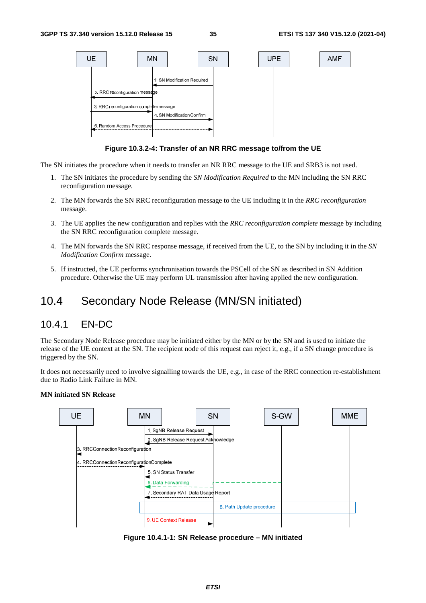

**Figure 10.3.2-4: Transfer of an NR RRC message to/from the UE** 

The SN initiates the procedure when it needs to transfer an NR RRC message to the UE and SRB3 is not used.

- 1. The SN initiates the procedure by sending the *SN Modification Required* to the MN including the SN RRC reconfiguration message.
- 2. The MN forwards the SN RRC reconfiguration message to the UE including it in the *RRC reconfiguration*  message.
- 3. The UE applies the new configuration and replies with the *RRC reconfiguration complete* message by including the SN RRC reconfiguration complete message.
- 4. The MN forwards the SN RRC response message, if received from the UE, to the SN by including it in the *SN Modification Confirm* message.
- 5. If instructed, the UE performs synchronisation towards the PSCell of the SN as described in SN Addition procedure. Otherwise the UE may perform UL transmission after having applied the new configuration.

## 10.4 Secondary Node Release (MN/SN initiated)

### 10.4.1 EN-DC

The Secondary Node Release procedure may be initiated either by the MN or by the SN and is used to initiate the release of the UE context at the SN. The recipient node of this request can reject it, e.g., if a SN change procedure is triggered by the SN.

It does not necessarily need to involve signalling towards the UE, e.g., in case of the RRC connection re-establishment due to Radio Link Failure in MN.

#### **MN initiated SN Release**



**Figure 10.4.1-1: SN Release procedure – MN initiated**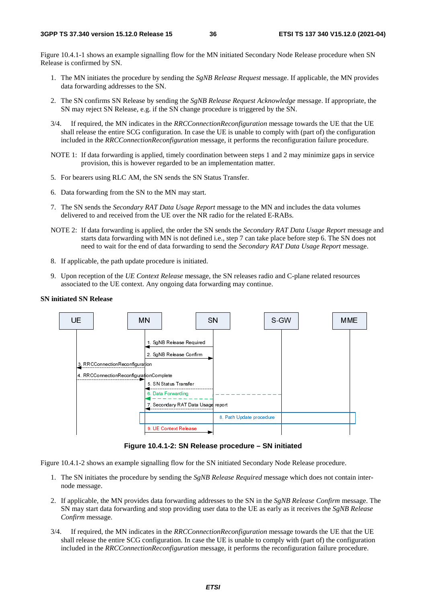Figure 10.4.1-1 shows an example signalling flow for the MN initiated Secondary Node Release procedure when SN Release is confirmed by SN.

- 1. The MN initiates the procedure by sending the *SgNB Release Request* message. If applicable, the MN provides data forwarding addresses to the SN.
- 2. The SN confirms SN Release by sending the *SgNB Release Request Acknowledge* message. If appropriate, the SN may reject SN Release, e.g. if the SN change procedure is triggered by the SN.
- 3/4. If required, the MN indicates in the *RRCConnectionReconfiguration* message towards the UE that the UE shall release the entire SCG configuration. In case the UE is unable to comply with (part of) the configuration included in the *RRCConnectionReconfiguration* message, it performs the reconfiguration failure procedure.
- NOTE 1: If data forwarding is applied, timely coordination between steps 1 and 2 may minimize gaps in service provision, this is however regarded to be an implementation matter.
- 5. For bearers using RLC AM, the SN sends the SN Status Transfer.
- 6. Data forwarding from the SN to the MN may start.
- 7. The SN sends the *Secondary RAT Data Usage Report* message to the MN and includes the data volumes delivered to and received from the UE over the NR radio for the related E-RABs.
- NOTE 2: If data forwarding is applied, the order the SN sends the *Secondary RAT Data Usage Report* message and starts data forwarding with MN is not defined i.e., step 7 can take place before step 6. The SN does not need to wait for the end of data forwarding to send the *Secondary RAT Data Usage Report* message.
- 8. If applicable, the path update procedure is initiated.
- 9. Upon reception of the *UE Context Release* message, the SN releases radio and C-plane related resources associated to the UE context. Any ongoing data forwarding may continue.

#### **SN initiated SN Release**



**Figure 10.4.1-2: SN Release procedure – SN initiated** 

Figure 10.4.1-2 shows an example signalling flow for the SN initiated Secondary Node Release procedure.

- 1. The SN initiates the procedure by sending the *SgNB Release Required* message which does not contain internode message.
- 2. If applicable, the MN provides data forwarding addresses to the SN in the *SgNB Release Confirm* message. The SN may start data forwarding and stop providing user data to the UE as early as it receives the *SgNB Release Confirm* message.
- 3/4. If required, the MN indicates in the *RRCConnectionReconfiguration* message towards the UE that the UE shall release the entire SCG configuration. In case the UE is unable to comply with (part of) the configuration included in the *RRCConnectionReconfiguration* message, it performs the reconfiguration failure procedure.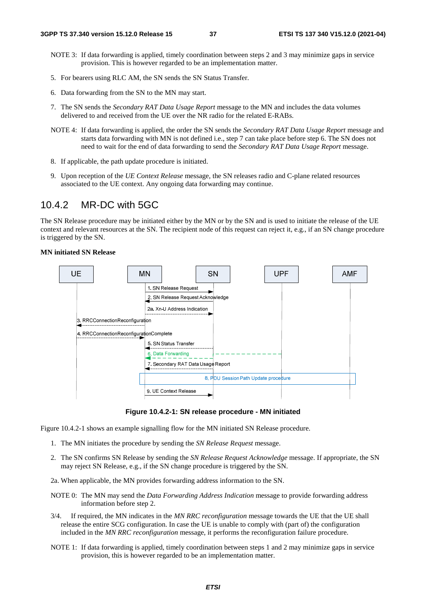- NOTE 3: If data forwarding is applied, timely coordination between steps 2 and 3 may minimize gaps in service provision. This is however regarded to be an implementation matter.
- 5. For bearers using RLC AM, the SN sends the SN Status Transfer.
- 6. Data forwarding from the SN to the MN may start.
- 7. The SN sends the *Secondary RAT Data Usage Report* message to the MN and includes the data volumes delivered to and received from the UE over the NR radio for the related E-RABs.
- NOTE 4: If data forwarding is applied, the order the SN sends the *Secondary RAT Data Usage Report* message and starts data forwarding with MN is not defined i.e., step 7 can take place before step 6. The SN does not need to wait for the end of data forwarding to send the *Secondary RAT Data Usage Report* message.
- 8. If applicable, the path update procedure is initiated.
- 9. Upon reception of the *UE Context Release* message, the SN releases radio and C-plane related resources associated to the UE context. Any ongoing data forwarding may continue.

## 10.4.2 MR-DC with 5GC

The SN Release procedure may be initiated either by the MN or by the SN and is used to initiate the release of the UE context and relevant resources at the SN. The recipient node of this request can reject it, e.g., if an SN change procedure is triggered by the SN.

### **MN initiated SN Release**



**Figure 10.4.2-1: SN release procedure - MN initiated** 

Figure 10.4.2-1 shows an example signalling flow for the MN initiated SN Release procedure.

- 1. The MN initiates the procedure by sending the *SN Release Request* message.
- 2. The SN confirms SN Release by sending the *SN Release Request Acknowledge* message. If appropriate, the SN may reject SN Release, e.g., if the SN change procedure is triggered by the SN.
- 2a. When applicable, the MN provides forwarding address information to the SN.
- NOTE 0: The MN may send the *Data Forwarding Address Indication* message to provide forwarding address information before step 2.
- 3/4. If required, the MN indicates in the *MN RRC reconfiguration* message towards the UE that the UE shall release the entire SCG configuration. In case the UE is unable to comply with (part of) the configuration included in the *MN RRC reconfiguration* message, it performs the reconfiguration failure procedure.
- NOTE 1: If data forwarding is applied, timely coordination between steps 1 and 2 may minimize gaps in service provision, this is however regarded to be an implementation matter.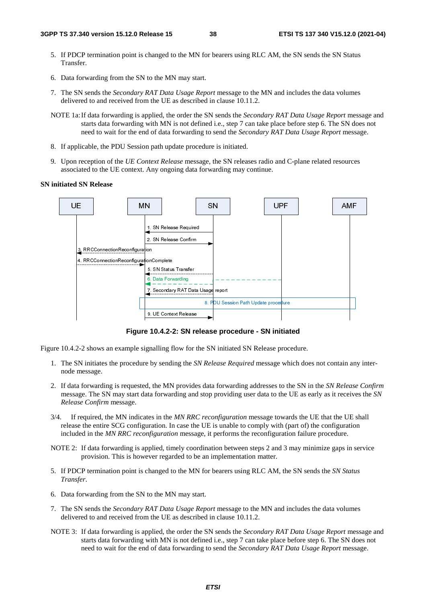- 5. If PDCP termination point is changed to the MN for bearers using RLC AM, the SN sends the SN Status Transfer.
- 6. Data forwarding from the SN to the MN may start.
- 7. The SN sends the *Secondary RAT Data Usage Report* message to the MN and includes the data volumes delivered to and received from the UE as described in clause 10.11.2.
- NOTE 1a: If data forwarding is applied, the order the SN sends the *Secondary RAT Data Usage Report* message and starts data forwarding with MN is not defined i.e., step 7 can take place before step 6. The SN does not need to wait for the end of data forwarding to send the *Secondary RAT Data Usage Report* message.
- 8. If applicable, the PDU Session path update procedure is initiated.
- 9. Upon reception of the *UE Context Release* message, the SN releases radio and C-plane related resources associated to the UE context. Any ongoing data forwarding may continue.

### **SN initiated SN Release**



**Figure 10.4.2-2: SN release procedure - SN initiated** 

Figure 10.4.2-2 shows an example signalling flow for the SN initiated SN Release procedure.

- 1. The SN initiates the procedure by sending the *SN Release Required* message which does not contain any internode message.
- 2. If data forwarding is requested, the MN provides data forwarding addresses to the SN in the *SN Release Confirm* message. The SN may start data forwarding and stop providing user data to the UE as early as it receives the *SN Release Confirm* message.
- 3/4. If required, the MN indicates in the *MN RRC reconfiguration* message towards the UE that the UE shall release the entire SCG configuration. In case the UE is unable to comply with (part of) the configuration included in the *MN RRC reconfiguration* message, it performs the reconfiguration failure procedure.
- NOTE 2: If data forwarding is applied, timely coordination between steps 2 and 3 may minimize gaps in service provision. This is however regarded to be an implementation matter.
- 5. If PDCP termination point is changed to the MN for bearers using RLC AM, the SN sends the *SN Status Transfer*.
- 6. Data forwarding from the SN to the MN may start.
- 7. The SN sends the *Secondary RAT Data Usage Report* message to the MN and includes the data volumes delivered to and received from the UE as described in clause 10.11.2.
- NOTE 3: If data forwarding is applied, the order the SN sends the *Secondary RAT Data Usage Report* message and starts data forwarding with MN is not defined i.e., step 7 can take place before step 6. The SN does not need to wait for the end of data forwarding to send the *Secondary RAT Data Usage Report* message.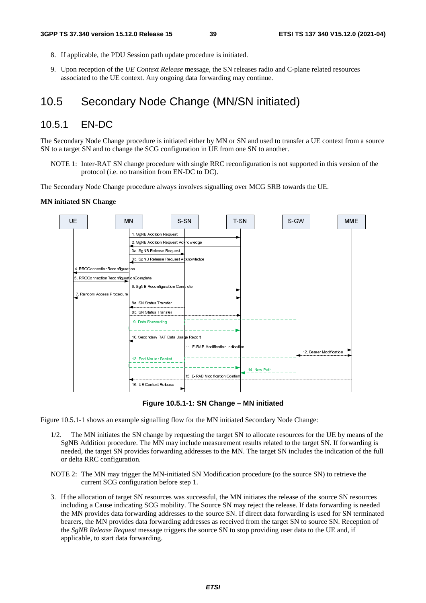- 8. If applicable, the PDU Session path update procedure is initiated.
- 9. Upon reception of the *UE Context Release* message, the SN releases radio and C-plane related resources associated to the UE context. Any ongoing data forwarding may continue.

## 10.5 Secondary Node Change (MN/SN initiated)

## 10.5.1 EN-DC

The Secondary Node Change procedure is initiated either by MN or SN and used to transfer a UE context from a source SN to a target SN and to change the SCG configuration in UE from one SN to another.

NOTE 1: Inter-RAT SN change procedure with single RRC reconfiguration is not supported in this version of the protocol (i.e. no transition from EN-DC to DC).

The Secondary Node Change procedure always involves signalling over MCG SRB towards the UE.

#### **MN initiated SN Change**



**Figure 10.5.1-1: SN Change – MN initiated** 

Figure 10.5.1-1 shows an example signalling flow for the MN initiated Secondary Node Change:

- 1/2. The MN initiates the SN change by requesting the target SN to allocate resources for the UE by means of the SgNB Addition procedure. The MN may include measurement results related to the target SN. If forwarding is needed, the target SN provides forwarding addresses to the MN. The target SN includes the indication of the full or delta RRC configuration.
- NOTE 2: The MN may trigger the MN-initiated SN Modification procedure (to the source SN) to retrieve the current SCG configuration before step 1.
- 3. If the allocation of target SN resources was successful, the MN initiates the release of the source SN resources including a Cause indicating SCG mobility. The Source SN may reject the release. If data forwarding is needed the MN provides data forwarding addresses to the source SN. If direct data forwarding is used for SN terminated bearers, the MN provides data forwarding addresses as received from the target SN to source SN. Reception of the *SgNB Release Request* message triggers the source SN to stop providing user data to the UE and, if applicable, to start data forwarding.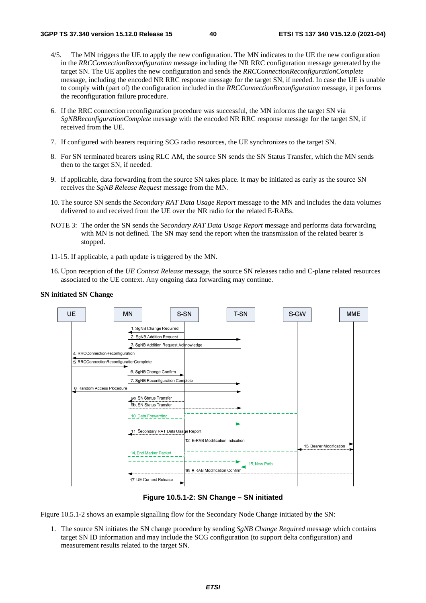- 4/5. The MN triggers the UE to apply the new configuration. The MN indicates to the UE the new configuration in the *RRCConnectionReconfiguration* message including the NR RRC configuration message generated by the target SN. The UE applies the new configuration and sends the *RRCConnectionReconfigurationComplete* message, including the encoded NR RRC response message for the target SN, if needed. In case the UE is unable to comply with (part of) the configuration included in the *RRCConnectionReconfiguration* message, it performs the reconfiguration failure procedure.
- 6. If the RRC connection reconfiguration procedure was successful, the MN informs the target SN via *SgNBReconfigurationComplete* message with the encoded NR RRC response message for the target SN, if received from the UE.
- 7. If configured with bearers requiring SCG radio resources, the UE synchronizes to the target SN.
- 8. For SN terminated bearers using RLC AM, the source SN sends the SN Status Transfer, which the MN sends then to the target SN, if needed.
- 9. If applicable, data forwarding from the source SN takes place. It may be initiated as early as the source SN receives the *SgNB Release Request* message from the MN.
- 10. The source SN sends the *Secondary RAT Data Usage Report* message to the MN and includes the data volumes delivered to and received from the UE over the NR radio for the related E-RABs.
- NOTE 3: The order the SN sends the *Secondary RAT Data Usage Report* message and performs data forwarding with MN is not defined. The SN may send the report when the transmission of the related bearer is stopped.
- 11-15. If applicable, a path update is triggered by the MN.
- 16. Upon reception of the *UE Context Release* message, the source SN releases radio and C-plane related resources associated to the UE context. Any ongoing data forwarding may continue.

#### **SN initiated SN Change**



**Figure 10.5.1-2: SN Change – SN initiated** 

Figure 10.5.1-2 shows an example signalling flow for the Secondary Node Change initiated by the SN:

1. The source SN initiates the SN change procedure by sending *SgNB Change Required* message which contains target SN ID information and may include the SCG configuration (to support delta configuration) and measurement results related to the target SN.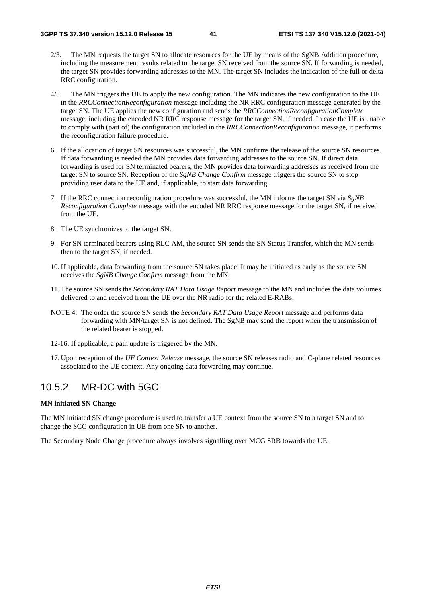- 2/3. The MN requests the target SN to allocate resources for the UE by means of the SgNB Addition procedure, including the measurement results related to the target SN received from the source SN. If forwarding is needed, the target SN provides forwarding addresses to the MN. The target SN includes the indication of the full or delta RRC configuration.
- 4/5. The MN triggers the UE to apply the new configuration. The MN indicates the new configuration to the UE in the *RRCConnectionReconfiguration* message including the NR RRC configuration message generated by the target SN. The UE applies the new configuration and sends the *RRCConnectionReconfigurationComplete* message, including the encoded NR RRC response message for the target SN, if needed. In case the UE is unable to comply with (part of) the configuration included in the *RRCConnectionReconfiguration* message, it performs the reconfiguration failure procedure.
- 6. If the allocation of target SN resources was successful, the MN confirms the release of the source SN resources. If data forwarding is needed the MN provides data forwarding addresses to the source SN. If direct data forwarding is used for SN terminated bearers, the MN provides data forwarding addresses as received from the target SN to source SN. Reception of the *SgNB Change Confirm* message triggers the source SN to stop providing user data to the UE and, if applicable, to start data forwarding.
- 7. If the RRC connection reconfiguration procedure was successful, the MN informs the target SN via *SgNB Reconfiguration Complete* message with the encoded NR RRC response message for the target SN, if received from the UE.
- 8. The UE synchronizes to the target SN.
- 9. For SN terminated bearers using RLC AM, the source SN sends the SN Status Transfer, which the MN sends then to the target SN, if needed.
- 10. If applicable, data forwarding from the source SN takes place. It may be initiated as early as the source SN receives the *SgNB Change Confirm* message from the MN.
- 11. The source SN sends the *Secondary RAT Data Usage Report* message to the MN and includes the data volumes delivered to and received from the UE over the NR radio for the related E-RABs.
- NOTE 4: The order the source SN sends the *Secondary RAT Data Usage Report* message and performs data forwarding with MN/target SN is not defined. The SgNB may send the report when the transmission of the related bearer is stopped.
- 12-16. If applicable, a path update is triggered by the MN.
- 17. Upon reception of the *UE Context Release* message, the source SN releases radio and C-plane related resources associated to the UE context. Any ongoing data forwarding may continue.

## 10.5.2 MR-DC with 5GC

### **MN initiated SN Change**

The MN initiated SN change procedure is used to transfer a UE context from the source SN to a target SN and to change the SCG configuration in UE from one SN to another.

The Secondary Node Change procedure always involves signalling over MCG SRB towards the UE.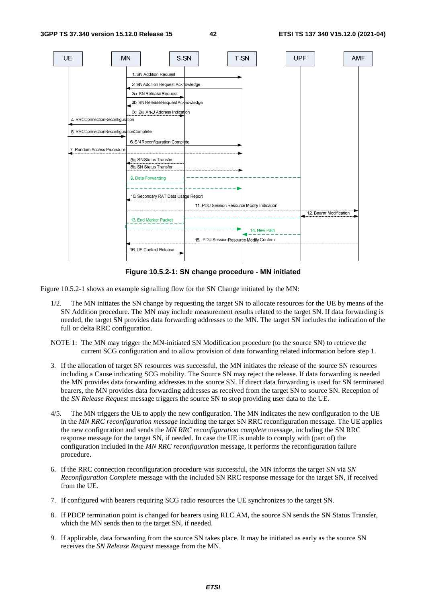

**Figure 10.5.2-1: SN change procedure - MN initiated** 

Figure 10.5.2-1 shows an example signalling flow for the SN Change initiated by the MN:

- 1/2. The MN initiates the SN change by requesting the target SN to allocate resources for the UE by means of the SN Addition procedure. The MN may include measurement results related to the target SN. If data forwarding is needed, the target SN provides data forwarding addresses to the MN. The target SN includes the indication of the full or delta RRC configuration.
- NOTE 1: The MN may trigger the MN-initiated SN Modification procedure (to the source SN) to retrieve the current SCG configuration and to allow provision of data forwarding related information before step 1.
- 3. If the allocation of target SN resources was successful, the MN initiates the release of the source SN resources including a Cause indicating SCG mobility. The Source SN may reject the release. If data forwarding is needed the MN provides data forwarding addresses to the source SN. If direct data forwarding is used for SN terminated bearers, the MN provides data forwarding addresses as received from the target SN to source SN. Reception of the *SN Release Request* message triggers the source SN to stop providing user data to the UE.
- 4/5. The MN triggers the UE to apply the new configuration. The MN indicates the new configuration to the UE in the *MN RRC reconfiguration message* including the target SN RRC reconfiguration message. The UE applies the new configuration and sends the *MN RRC reconfiguration complete* message, including the SN RRC response message for the target SN, if needed. In case the UE is unable to comply with (part of) the configuration included in the *MN RRC reconfiguration* message, it performs the reconfiguration failure procedure.
- 6. If the RRC connection reconfiguration procedure was successful, the MN informs the target SN via *SN Reconfiguration Complete* message with the included SN RRC response message for the target SN, if received from the UE.
- 7. If configured with bearers requiring SCG radio resources the UE synchronizes to the target SN.
- 8. If PDCP termination point is changed for bearers using RLC AM, the source SN sends the SN Status Transfer, which the MN sends then to the target SN, if needed.
- 9. If applicable, data forwarding from the source SN takes place. It may be initiated as early as the source SN receives the *SN Release Request* message from the MN.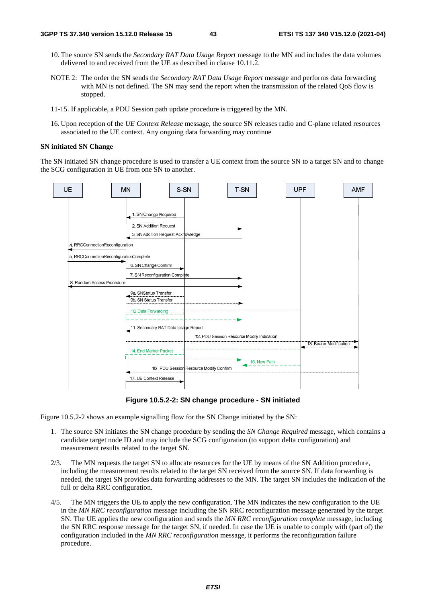- 10. The source SN sends the *Secondary RAT Data Usage Report* message to the MN and includes the data volumes delivered to and received from the UE as described in clause 10.11.2.
- NOTE 2: The order the SN sends the *Secondary RAT Data Usage Report* message and performs data forwarding with MN is not defined. The SN may send the report when the transmission of the related QoS flow is stopped.
- 11-15. If applicable, a PDU Session path update procedure is triggered by the MN.
- 16. Upon reception of the *UE Context Release* message, the source SN releases radio and C-plane related resources associated to the UE context. Any ongoing data forwarding may continue

#### **SN initiated SN Change**

The SN initiated SN change procedure is used to transfer a UE context from the source SN to a target SN and to change the SCG configuration in UE from one SN to another.



**Figure 10.5.2-2: SN change procedure - SN initiated** 

Figure 10.5.2-2 shows an example signalling flow for the SN Change initiated by the SN:

- 1. The source SN initiates the SN change procedure by sending the *SN Change Required* message, which contains a candidate target node ID and may include the SCG configuration (to support delta configuration) and measurement results related to the target SN.
- 2/3. The MN requests the target SN to allocate resources for the UE by means of the SN Addition procedure, including the measurement results related to the target SN received from the source SN. If data forwarding is needed, the target SN provides data forwarding addresses to the MN. The target SN includes the indication of the full or delta RRC configuration.
- 4/5. The MN triggers the UE to apply the new configuration. The MN indicates the new configuration to the UE in the *MN RRC reconfiguration* message including the SN RRC reconfiguration message generated by the target SN. The UE applies the new configuration and sends the *MN RRC reconfiguration complete* message, including the SN RRC response message for the target SN, if needed. In case the UE is unable to comply with (part of) the configuration included in the *MN RRC reconfiguration* message, it performs the reconfiguration failure procedure.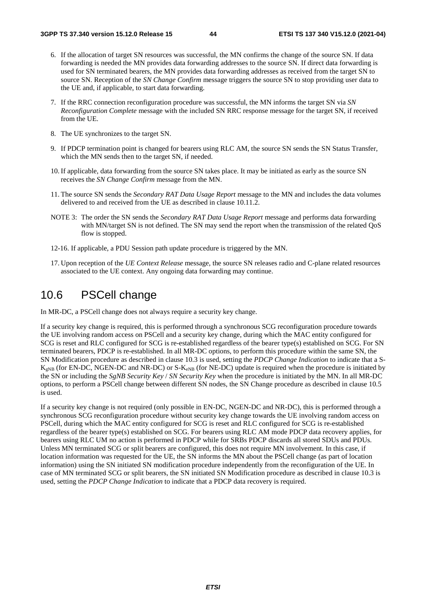- 6. If the allocation of target SN resources was successful, the MN confirms the change of the source SN. If data forwarding is needed the MN provides data forwarding addresses to the source SN. If direct data forwarding is used for SN terminated bearers, the MN provides data forwarding addresses as received from the target SN to source SN. Reception of the *SN Change Confirm* message triggers the source SN to stop providing user data to the UE and, if applicable, to start data forwarding.
- 7. If the RRC connection reconfiguration procedure was successful, the MN informs the target SN via *SN Reconfiguration Complete* message with the included SN RRC response message for the target SN, if received from the UE.
- 8. The UE synchronizes to the target SN.
- 9. If PDCP termination point is changed for bearers using RLC AM, the source SN sends the SN Status Transfer, which the MN sends then to the target SN, if needed.
- 10. If applicable, data forwarding from the source SN takes place. It may be initiated as early as the source SN receives the *SN Change Confirm* message from the MN.
- 11. The source SN sends the *Secondary RAT Data Usage Report* message to the MN and includes the data volumes delivered to and received from the UE as described in clause 10.11.2.
- NOTE 3: The order the SN sends the *Secondary RAT Data Usage Report* message and performs data forwarding with MN/target SN is not defined. The SN may send the report when the transmission of the related OoS flow is stopped.
- 12-16. If applicable, a PDU Session path update procedure is triggered by the MN.
- 17. Upon reception of the *UE Context Release* message, the source SN releases radio and C-plane related resources associated to the UE context. Any ongoing data forwarding may continue.

# 10.6 PSCell change

In MR-DC, a PSCell change does not always require a security key change.

If a security key change is required, this is performed through a synchronous SCG reconfiguration procedure towards the UE involving random access on PSCell and a security key change, during which the MAC entity configured for SCG is reset and RLC configured for SCG is re-established regardless of the bearer type(s) established on SCG. For SN terminated bearers, PDCP is re-established. In all MR-DC options, to perform this procedure within the same SN, the SN Modification procedure as described in clause 10.3 is used, setting the *PDCP Change Indication* to indicate that a S- $K_{eNB}$  (for EN-DC, NGEN-DC and NR-DC) or S- $K_{eNB}$  (for NE-DC) update is required when the procedure is initiated by the SN or including the *SgNB Security Key* / *SN Security Key* when the procedure is initiated by the MN. In all MR-DC options, to perform a PSCell change between different SN nodes, the SN Change procedure as described in clause 10.5 is used.

If a security key change is not required (only possible in EN-DC, NGEN-DC and NR-DC), this is performed through a synchronous SCG reconfiguration procedure without security key change towards the UE involving random access on PSCell, during which the MAC entity configured for SCG is reset and RLC configured for SCG is re-established regardless of the bearer type(s) established on SCG. For bearers using RLC AM mode PDCP data recovery applies, for bearers using RLC UM no action is performed in PDCP while for SRBs PDCP discards all stored SDUs and PDUs. Unless MN terminated SCG or split bearers are configured, this does not require MN involvement. In this case, if location information was requested for the UE, the SN informs the MN about the PSCell change (as part of location information) using the SN initiated SN modification procedure independently from the reconfiguration of the UE. In case of MN terminated SCG or split bearers, the SN initiated SN Modification procedure as described in clause 10.3 is used, setting the *PDCP Change Indication* to indicate that a PDCP data recovery is required.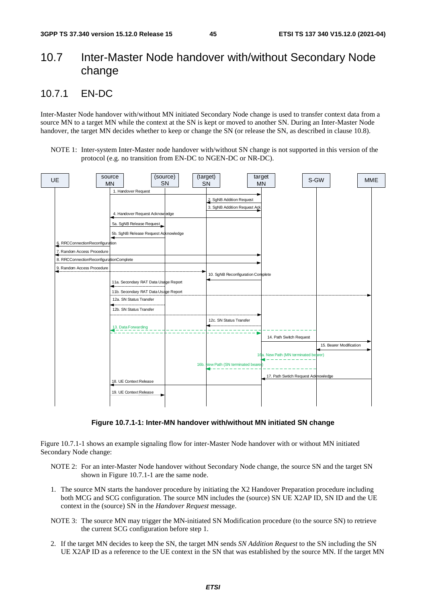# 10.7 Inter-Master Node handover with/without Secondary Node change

## 10.7.1 EN-DC

Inter-Master Node handover with/without MN initiated Secondary Node change is used to transfer context data from a source MN to a target MN while the context at the SN is kept or moved to another SN. During an Inter-Master Node handover, the target MN decides whether to keep or change the SN (or release the SN, as described in clause 10.8).

NOTE 1: Inter-system Inter-Master node handover with/without SN change is not supported in this version of the protocol (e.g. no transition from EN-DC to NGEN-DC or NR-DC).



**Figure 10.7.1-1: Inter-MN handover with/without MN initiated SN change** 

Figure 10.7.1-1 shows an example signaling flow for inter-Master Node handover with or without MN initiated Secondary Node change:

- NOTE 2: For an inter-Master Node handover without Secondary Node change, the source SN and the target SN shown in Figure 10.7.1-1 are the same node.
- 1. The source MN starts the handover procedure by initiating the X2 Handover Preparation procedure including both MCG and SCG configuration. The source MN includes the (source) SN UE X2AP ID, SN ID and the UE context in the (source) SN in the *Handover Request* message.
- NOTE 3: The source MN may trigger the MN-initiated SN Modification procedure (to the source SN) to retrieve the current SCG configuration before step 1.
- 2. If the target MN decides to keep the SN, the target MN sends *SN Addition Request* to the SN including the SN UE X2AP ID as a reference to the UE context in the SN that was established by the source MN. If the target MN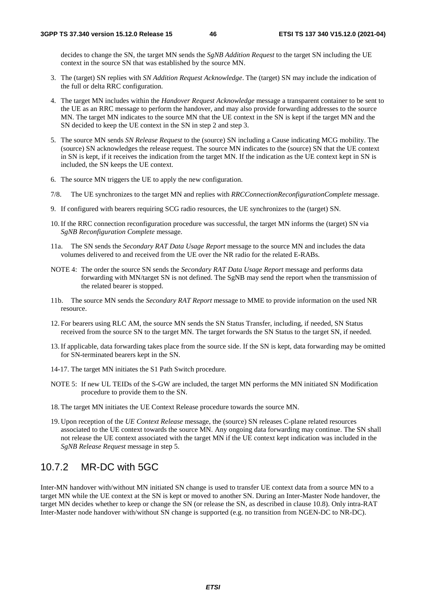decides to change the SN, the target MN sends the *SgNB Addition Request* to the target SN including the UE context in the source SN that was established by the source MN.

- 3. The (target) SN replies with *SN Addition Request Acknowledge*. The (target) SN may include the indication of the full or delta RRC configuration.
- 4. The target MN includes within the *Handover Request Acknowledge* message a transparent container to be sent to the UE as an RRC message to perform the handover, and may also provide forwarding addresses to the source MN. The target MN indicates to the source MN that the UE context in the SN is kept if the target MN and the SN decided to keep the UE context in the SN in step 2 and step 3.
- 5. The source MN sends *SN Release Request* to the (source) SN including a Cause indicating MCG mobility. The (source) SN acknowledges the release request. The source MN indicates to the (source) SN that the UE context in SN is kept, if it receives the indication from the target MN. If the indication as the UE context kept in SN is included, the SN keeps the UE context.
- 6. The source MN triggers the UE to apply the new configuration.
- 7/8. The UE synchronizes to the target MN and replies with *RRCConnectionReconfigurationComplete* message.
- 9. If configured with bearers requiring SCG radio resources, the UE synchronizes to the (target) SN.
- 10. If the RRC connection reconfiguration procedure was successful, the target MN informs the (target) SN via *SgNB Reconfiguration Complete* message.
- 11a. The SN sends the *Secondary RAT Data Usage Report* message to the source MN and includes the data volumes delivered to and received from the UE over the NR radio for the related E-RABs.
- NOTE 4: The order the source SN sends the *Secondary RAT Data Usage Report* message and performs data forwarding with MN/target SN is not defined. The SgNB may send the report when the transmission of the related bearer is stopped.
- 11b. The source MN sends the *Secondary RAT Report* message to MME to provide information on the used NR resource.
- 12. For bearers using RLC AM, the source MN sends the SN Status Transfer, including, if needed, SN Status received from the source SN to the target MN. The target forwards the SN Status to the target SN, if needed.
- 13. If applicable, data forwarding takes place from the source side. If the SN is kept, data forwarding may be omitted for SN-terminated bearers kept in the SN.
- 14-17. The target MN initiates the S1 Path Switch procedure.
- NOTE 5: If new UL TEIDs of the S-GW are included, the target MN performs the MN initiated SN Modification procedure to provide them to the SN.
- 18. The target MN initiates the UE Context Release procedure towards the source MN.
- 19. Upon reception of the *UE Context Release* message, the (source) SN releases C-plane related resources associated to the UE context towards the source MN. Any ongoing data forwarding may continue. The SN shall not release the UE context associated with the target MN if the UE context kept indication was included in the *SgNB Release Request* message in step 5.

## 10.7.2 MR-DC with 5GC

Inter-MN handover with/without MN initiated SN change is used to transfer UE context data from a source MN to a target MN while the UE context at the SN is kept or moved to another SN. During an Inter-Master Node handover, the target MN decides whether to keep or change the SN (or release the SN, as described in clause 10.8). Only intra-RAT Inter-Master node handover with/without SN change is supported (e.g. no transition from NGEN-DC to NR-DC).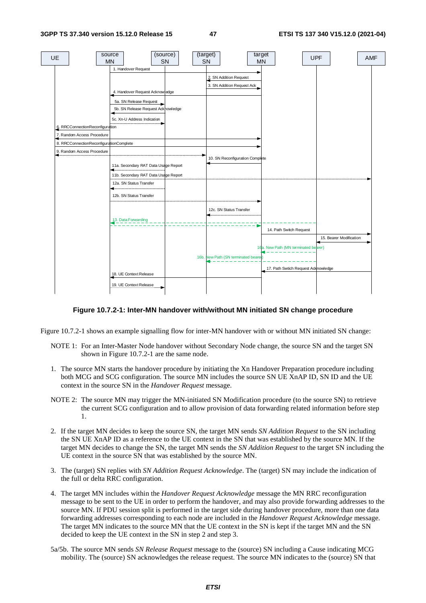

### **Figure 10.7.2-1: Inter-MN handover with/without MN initiated SN change procedure**

Figure 10.7.2-1 shows an example signalling flow for inter-MN handover with or without MN initiated SN change:

- NOTE 1: For an Inter-Master Node handover without Secondary Node change, the source SN and the target SN shown in Figure 10.7.2-1 are the same node.
- 1. The source MN starts the handover procedure by initiating the Xn Handover Preparation procedure including both MCG and SCG configuration. The source MN includes the source SN UE XnAP ID, SN ID and the UE context in the source SN in the *Handover Request* message.
- NOTE 2: The source MN may trigger the MN-initiated SN Modification procedure (to the source SN) to retrieve the current SCG configuration and to allow provision of data forwarding related information before step 1.
- 2. If the target MN decides to keep the source SN, the target MN sends *SN Addition Request* to the SN including the SN UE XnAP ID as a reference to the UE context in the SN that was established by the source MN. If the target MN decides to change the SN, the target MN sends the *SN Addition Request* to the target SN including the UE context in the source SN that was established by the source MN.
- 3. The (target) SN replies with *SN Addition Request Acknowledge*. The (target) SN may include the indication of the full or delta RRC configuration.
- 4. The target MN includes within the *Handover Request Acknowledge* message the MN RRC reconfiguration message to be sent to the UE in order to perform the handover, and may also provide forwarding addresses to the source MN. If PDU session split is performed in the target side during handover procedure, more than one data forwarding addresses corresponding to each node are included in the *Handover Request Acknowledge* message. The target MN indicates to the source MN that the UE context in the SN is kept if the target MN and the SN decided to keep the UE context in the SN in step 2 and step 3.
- 5a/5b. The source MN sends *SN Release Request* message to the (source) SN including a Cause indicating MCG mobility. The (source) SN acknowledges the release request. The source MN indicates to the (source) SN that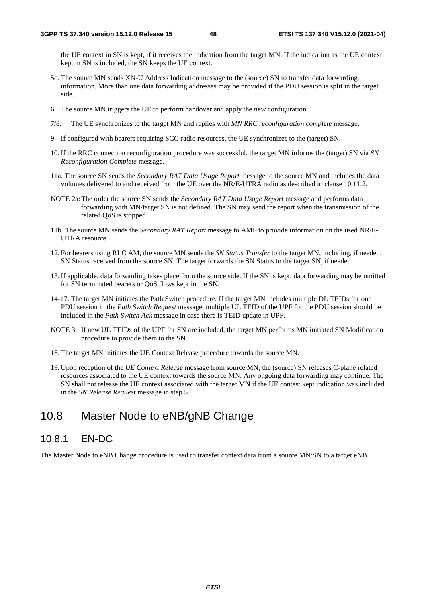the UE context in SN is kept, if it receives the indication from the target MN. If the indication as the UE context kept in SN is included, the SN keeps the UE context.

- 5c. The source MN sends XN-U Address Indication message to the (source) SN to transfer data forwarding information. More than one data forwarding addresses may be provided if the PDU session is split in the target side.
- 6. The source MN triggers the UE to perform handover and apply the new configuration.
- 7/8. The UE synchronizes to the target MN and replies with *MN RRC reconfiguration complete* message.
- 9. If configured with bearers requiring SCG radio resources, the UE synchronizes to the (target) SN.
- 10. If the RRC connection reconfiguration procedure was successful, the target MN informs the (target) SN via *SN Reconfiguration Complete* message.
- 11a. The source SN sends the *Secondary RAT Data Usage Report* message to the source MN and includes the data volumes delivered to and received from the UE over the NR/E-UTRA radio as described in clause 10.11.2.
- NOTE 2a: The order the source SN sends the *Secondary RAT Data Usage Report* message and performs data forwarding with MN/target SN is not defined. The SN may send the report when the transmission of the related QoS is stopped.
- 11b. The source MN sends the *Secondary RAT Report* message to AMF to provide information on the used NR/E-UTRA resource.
- 12. For bearers using RLC AM, the source MN sends the *SN Status Transfer* to the target MN, including, if needed, SN Status received from the source SN. The target forwards the SN Status to the target SN, if needed.
- 13. If applicable, data forwarding takes place from the source side. If the SN is kept, data forwarding may be omitted for SN terminated bearers or QoS flows kept in the SN.
- 14-17. The target MN initiates the Path Switch procedure*.* If the target MN includes multiple DL TEIDs for one PDU session in the *Path Switch Request* message, multiple UL TEID of the UPF for the PDU session should be included in the *Path Switch Ack* message in case there is TEID update in UPF.
- NOTE 3: If new UL TEIDs of the UPF for SN are included, the target MN performs MN initiated SN Modification procedure to provide them to the SN.
- 18. The target MN initiates the UE Context Release procedure towards the source MN.
- 19. Upon reception of the *UE Context Release* message from source MN, the (source) SN releases C-plane related resources associated to the UE context towards the source MN. Any ongoing data forwarding may continue. The SN shall not release the UE context associated with the target MN if the UE contest kept indication was included in the *SN Release Request* message in step 5.

# 10.8 Master Node to eNB/gNB Change

## 10.8.1 EN-DC

The Master Node to eNB Change procedure is used to transfer context data from a source MN/SN to a target eNB.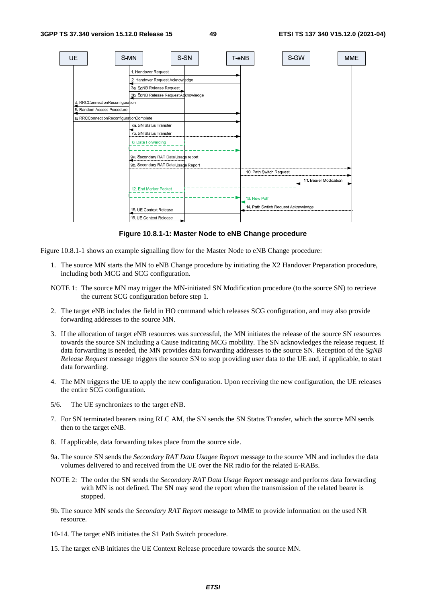

**Figure 10.8.1-1: Master Node to eNB Change procedure** 

Figure 10.8.1-1 shows an example signalling flow for the Master Node to eNB Change procedure:

- 1. The source MN starts the MN to eNB Change procedure by initiating the X2 Handover Preparation procedure, including both MCG and SCG configuration.
- NOTE 1: The source MN may trigger the MN-initiated SN Modification procedure (to the source SN) to retrieve the current SCG configuration before step 1.
- 2. The target eNB includes the field in HO command which releases SCG configuration, and may also provide forwarding addresses to the source MN.
- 3. If the allocation of target eNB resources was successful, the MN initiates the release of the source SN resources towards the source SN including a Cause indicating MCG mobility. The SN acknowledges the release request. If data forwarding is needed, the MN provides data forwarding addresses to the source SN. Reception of the *SgNB Release Request* message triggers the source SN to stop providing user data to the UE and, if applicable, to start data forwarding.
- 4. The MN triggers the UE to apply the new configuration. Upon receiving the new configuration, the UE releases the entire SCG configuration.
- 5/6. The UE synchronizes to the target eNB.
- 7. For SN terminated bearers using RLC AM, the SN sends the SN Status Transfer, which the source MN sends then to the target eNB.
- 8. If applicable, data forwarding takes place from the source side.
- 9a. The source SN sends the *Secondary RAT Data Usagee Report* message to the source MN and includes the data volumes delivered to and received from the UE over the NR radio for the related E-RABs.
- NOTE 2: The order the SN sends the *Secondary RAT Data Usage Report* message and performs data forwarding with MN is not defined. The SN may send the report when the transmission of the related bearer is stopped.
- 9b. The source MN sends the *Secondary RAT Report* message to MME to provide information on the used NR resource.
- 10-14. The target eNB initiates the S1 Path Switch procedure.
- 15. The target eNB initiates the UE Context Release procedure towards the source MN.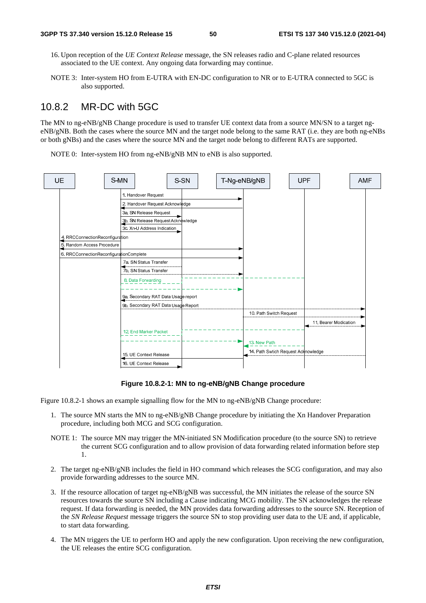- 16. Upon reception of the *UE Context Release* message, the SN releases radio and C-plane related resources associated to the UE context. Any ongoing data forwarding may continue.
- NOTE 3: Inter-system HO from E-UTRA with EN-DC configuration to NR or to E-UTRA connected to 5GC is also supported.

## 10.8.2 MR-DC with 5GC

The MN to ng-eNB/gNB Change procedure is used to transfer UE context data from a source MN/SN to a target ngeNB/gNB. Both the cases where the source MN and the target node belong to the same RAT (i.e. they are both ng-eNBs or both gNBs) and the cases where the source MN and the target node belong to different RATs are supported.

NOTE 0: Inter-system HO from ng-eNB/gNB MN to eNB is also supported.



### **Figure 10.8.2-1: MN to ng-eNB/gNB Change procedure**

Figure 10.8.2-1 shows an example signalling flow for the MN to ng-eNB/gNB Change procedure:

- 1. The source MN starts the MN to ng-eNB/gNB Change procedure by initiating the Xn Handover Preparation procedure, including both MCG and SCG configuration.
- NOTE 1: The source MN may trigger the MN-initiated SN Modification procedure (to the source SN) to retrieve the current SCG configuration and to allow provision of data forwarding related information before step 1.
- 2. The target ng-eNB/gNB includes the field in HO command which releases the SCG configuration, and may also provide forwarding addresses to the source MN.
- 3. If the resource allocation of target ng-eNB/gNB was successful, the MN initiates the release of the source SN resources towards the source SN including a Cause indicating MCG mobility. The SN acknowledges the release request. If data forwarding is needed, the MN provides data forwarding addresses to the source SN. Reception of the *SN Release Request* message triggers the source SN to stop providing user data to the UE and, if applicable, to start data forwarding.
- 4. The MN triggers the UE to perform HO and apply the new configuration. Upon receiving the new configuration, the UE releases the entire SCG configuration.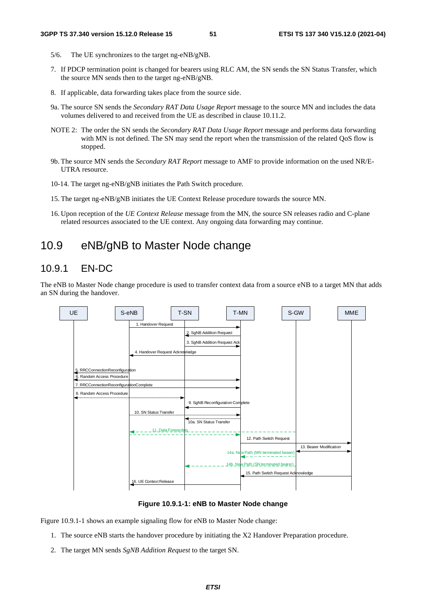- 5/6. The UE synchronizes to the target ng-eNB/gNB.
- 7. If PDCP termination point is changed for bearers using RLC AM, the SN sends the SN Status Transfer, which the source MN sends then to the target ng-eNB/gNB.
- 8. If applicable, data forwarding takes place from the source side.
- 9a. The source SN sends the *Secondary RAT Data Usage Report* message to the source MN and includes the data volumes delivered to and received from the UE as described in clause 10.11.2.
- NOTE 2: The order the SN sends the *Secondary RAT Data Usage Report* message and performs data forwarding with MN is not defined. The SN may send the report when the transmission of the related QoS flow is stopped.
- 9b. The source MN sends the *Secondary RAT Report* message to AMF to provide information on the used NR/E-UTRA resource.
- 10-14. The target ng-eNB/gNB initiates the Path Switch procedure*.*
- 15. The target ng-eNB/gNB initiates the UE Context Release procedure towards the source MN.
- 16. Upon reception of the *UE Context Release* message from the MN, the source SN releases radio and C-plane related resources associated to the UE context. Any ongoing data forwarding may continue.

# 10.9 eNB/gNB to Master Node change

## 10.9.1 EN-DC

The eNB to Master Node change procedure is used to transfer context data from a source eNB to a target MN that adds an SN during the handover.



**Figure 10.9.1-1: eNB to Master Node change** 

Figure 10.9.1-1 shows an example signaling flow for eNB to Master Node change:

- 1. The source eNB starts the handover procedure by initiating the X2 Handover Preparation procedure.
- 2. The target MN sends *SgNB Addition Request* to the target SN.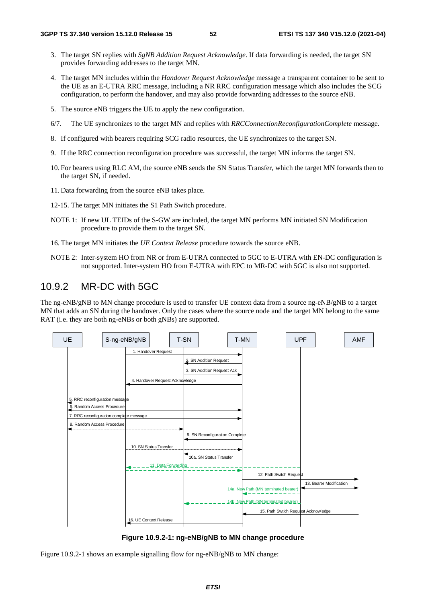- 3. The target SN replies with *SgNB Addition Request Acknowledge*. If data forwarding is needed, the target SN provides forwarding addresses to the target MN.
- 4. The target MN includes within the *Handover Request Acknowledge* message a transparent container to be sent to the UE as an E-UTRA RRC message, including a NR RRC configuration message which also includes the SCG configuration, to perform the handover, and may also provide forwarding addresses to the source eNB.
- 5. The source eNB triggers the UE to apply the new configuration.
- 6/7. The UE synchronizes to the target MN and replies with *RRCConnectionReconfigurationComplete* message.
- 8. If configured with bearers requiring SCG radio resources, the UE synchronizes to the target SN.
- 9. If the RRC connection reconfiguration procedure was successful, the target MN informs the target SN.
- 10. For bearers using RLC AM, the source eNB sends the SN Status Transfer, which the target MN forwards then to the target SN, if needed.
- 11. Data forwarding from the source eNB takes place.
- 12-15. The target MN initiates the S1 Path Switch procedure.
- NOTE 1: If new UL TEIDs of the S-GW are included, the target MN performs MN initiated SN Modification procedure to provide them to the target SN.
- 16. The target MN initiates the *UE Context Release* procedure towards the source eNB.
- NOTE 2: Inter-system HO from NR or from E-UTRA connected to 5GC to E-UTRA with EN-DC configuration is not supported. Inter-system HO from E-UTRA with EPC to MR-DC with 5GC is also not supported.

## 10.9.2 MR-DC with 5GC

The ng-eNB/gNB to MN change procedure is used to transfer UE context data from a source ng-eNB/gNB to a target MN that adds an SN during the handover. Only the cases where the source node and the target MN belong to the same RAT (i.e. they are both ng-eNBs or both gNBs) are supported.



**Figure 10.9.2-1: ng-eNB/gNB to MN change procedure** 

Figure 10.9.2-1 shows an example signalling flow for ng-eNB/gNB to MN change: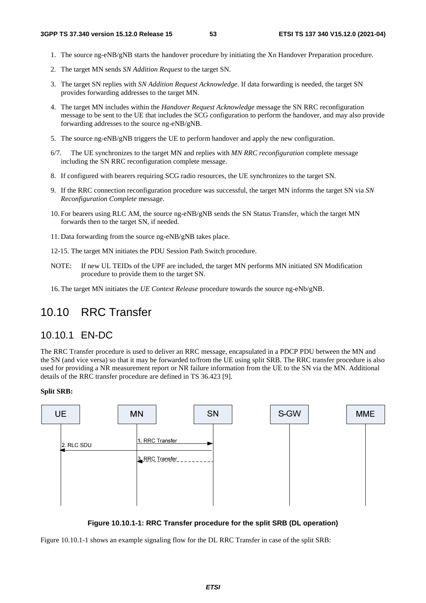- 1. The source ng-eNB/gNB starts the handover procedure by initiating the Xn Handover Preparation procedure.
- 2. The target MN sends *SN Addition Request* to the target SN.
- 3. The target SN replies with *SN Addition Request Acknowledge*. If data forwarding is needed, the target SN provides forwarding addresses to the target MN.
- 4. The target MN includes within the *Handover Request Acknowledge* message the SN RRC reconfiguration message to be sent to the UE that includes the SCG configuration to perform the handover, and may also provide forwarding addresses to the source ng-eNB/gNB.
- 5. The source ng-eNB/gNB triggers the UE to perform handover and apply the new configuration.
- 6/7. The UE synchronizes to the target MN and replies with *MN RRC reconfiguration* complete message including the SN RRC reconfiguration complete message.
- 8. If configured with bearers requiring SCG radio resources, the UE synchronizes to the target SN.
- 9. If the RRC connection reconfiguration procedure was successful, the target MN informs the target SN via *SN Reconfiguration Complete* message.
- 10. For bearers using RLC AM, the source ng-eNB/gNB sends the SN Status Transfer, which the target MN forwards then to the target SN, if needed.
- 11. Data forwarding from the source ng-eNB/gNB takes place.
- 12-15. The target MN initiates the PDU Session Path Switch procedure.
- NOTE: If new UL TEIDs of the UPF are included, the target MN performs MN initiated SN Modification procedure to provide them to the target SN.
- 16. The target MN initiates the *UE Context Release* procedure towards the source ng-eNb/gNB.

# 10.10 RRC Transfer

### 10.10.1 EN-DC

The RRC Transfer procedure is used to deliver an RRC message, encapsulated in a PDCP PDU between the MN and the SN (and vice versa) so that it may be forwarded to/from the UE using split SRB. The RRC transfer procedure is also used for providing a NR measurement report or NR failure information from the UE to the SN via the MN. Additional details of the RRC transfer procedure are defined in TS 36.423 [9].

#### **Split SRB:**



**Figure 10.10.1-1: RRC Transfer procedure for the split SRB (DL operation)** 

Figure 10.10.1-1 shows an example signaling flow for the DL RRC Transfer in case of the split SRB: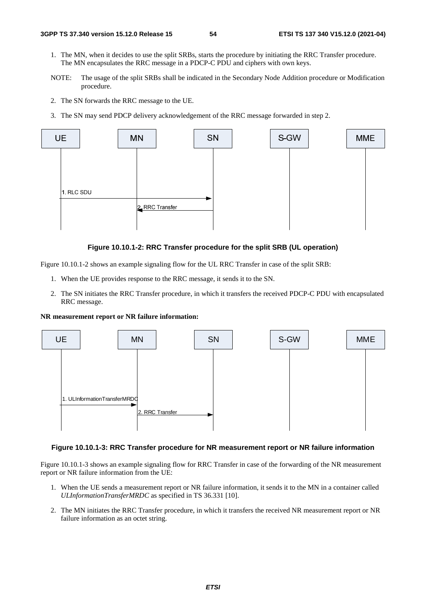- 1. The MN, when it decides to use the split SRBs, starts the procedure by initiating the RRC Transfer procedure. The MN encapsulates the RRC message in a PDCP-C PDU and ciphers with own keys.
- NOTE: The usage of the split SRBs shall be indicated in the Secondary Node Addition procedure or Modification procedure.
- 2. The SN forwards the RRC message to the UE.
- 3. The SN may send PDCP delivery acknowledgement of the RRC message forwarded in step 2.



### **Figure 10.10.1-2: RRC Transfer procedure for the split SRB (UL operation)**

Figure 10.10.1-2 shows an example signaling flow for the UL RRC Transfer in case of the split SRB:

- 1. When the UE provides response to the RRC message, it sends it to the SN.
- 2. The SN initiates the RRC Transfer procedure, in which it transfers the received PDCP-C PDU with encapsulated RRC message.

**NR measurement report or NR failure information:** 



#### **Figure 10.10.1-3: RRC Transfer procedure for NR measurement report or NR failure information**

Figure 10.10.1-3 shows an example signaling flow for RRC Transfer in case of the forwarding of the NR measurement report or NR failure information from the UE:

- 1. When the UE sends a measurement report or NR failure information, it sends it to the MN in a container called *ULInformationTransferMRDC* as specified in TS 36.331 [10].
- 2. The MN initiates the RRC Transfer procedure, in which it transfers the received NR measurement report or NR failure information as an octet string.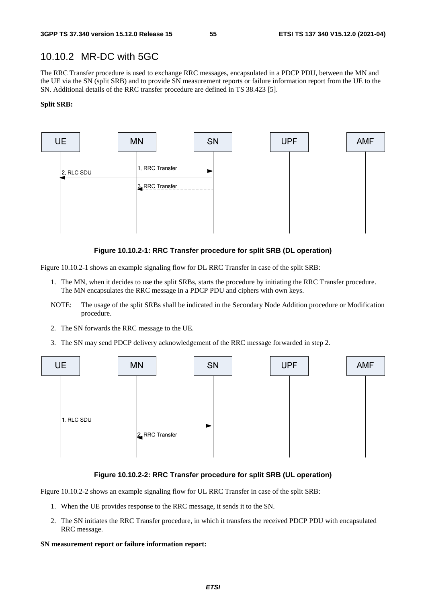## 10.10.2 MR-DC with 5GC

The RRC Transfer procedure is used to exchange RRC messages, encapsulated in a PDCP PDU, between the MN and the UE via the SN (split SRB) and to provide SN measurement reports or failure information report from the UE to the SN. Additional details of the RRC transfer procedure are defined in TS 38.423 [5].

#### **Split SRB:**



### **Figure 10.10.2-1: RRC Transfer procedure for split SRB (DL operation)**

Figure 10.10.2-1 shows an example signaling flow for DL RRC Transfer in case of the split SRB:

- 1. The MN, when it decides to use the split SRBs, starts the procedure by initiating the RRC Transfer procedure. The MN encapsulates the RRC message in a PDCP PDU and ciphers with own keys.
- NOTE: The usage of the split SRBs shall be indicated in the Secondary Node Addition procedure or Modification procedure.
- 2. The SN forwards the RRC message to the UE.
- 3. The SN may send PDCP delivery acknowledgement of the RRC message forwarded in step 2.



### **Figure 10.10.2-2: RRC Transfer procedure for split SRB (UL operation)**

Figure 10.10.2-2 shows an example signaling flow for UL RRC Transfer in case of the split SRB:

- 1. When the UE provides response to the RRC message, it sends it to the SN.
- 2. The SN initiates the RRC Transfer procedure, in which it transfers the received PDCP PDU with encapsulated RRC message.

#### **SN measurement report or failure information report:**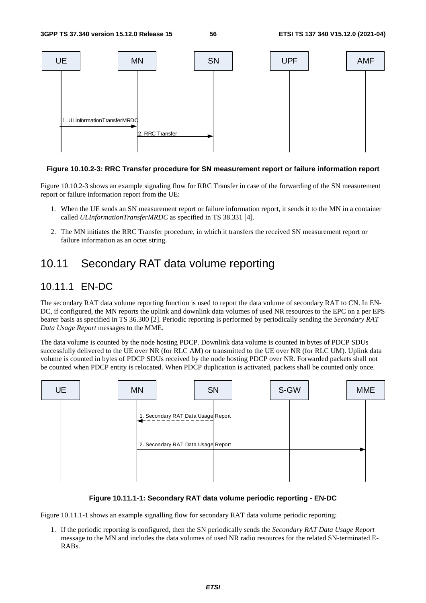

### **Figure 10.10.2-3: RRC Transfer procedure for SN measurement report or failure information report**

Figure 10.10.2-3 shows an example signaling flow for RRC Transfer in case of the forwarding of the SN measurement report or failure information report from the UE:

- 1. When the UE sends an SN measurement report or failure information report, it sends it to the MN in a container called *ULInformationTransferMRDC* as specified in TS 38.331 [4].
- 2. The MN initiates the RRC Transfer procedure, in which it transfers the received SN measurement report or failure information as an octet string.

# 10.11 Secondary RAT data volume reporting

## 10.11.1 EN-DC

The secondary RAT data volume reporting function is used to report the data volume of secondary RAT to CN. In EN-DC, if configured, the MN reports the uplink and downlink data volumes of used NR resources to the EPC on a per EPS bearer basis as specified in TS 36.300 [2]. Periodic reporting is performed by periodically sending the *Secondary RAT Data Usage Report* messages to the MME.

The data volume is counted by the node hosting PDCP. Downlink data volume is counted in bytes of PDCP SDUs successfully delivered to the UE over NR (for RLC AM) or transmitted to the UE over NR (for RLC UM). Uplink data volume is counted in bytes of PDCP SDUs received by the node hosting PDCP over NR. Forwarded packets shall not be counted when PDCP entity is relocated. When PDCP duplication is activated, packets shall be counted only once.



### **Figure 10.11.1-1: Secondary RAT data volume periodic reporting - EN-DC**

Figure 10.11.1-1 shows an example signalling flow for secondary RAT data volume periodic reporting:

1. If the periodic reporting is configured, then the SN periodically sends the *Secondary RAT Data Usage Report* message to the MN and includes the data volumes of used NR radio resources for the related SN-terminated E-RABs.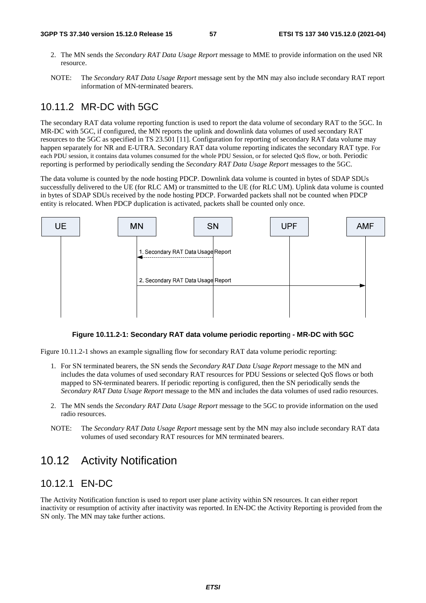- 2. The MN sends the *Secondary RAT Data Usage Report* message to MME to provide information on the used NR resource.
- NOTE: The *Secondary RAT Data Usage Report* message sent by the MN may also include secondary RAT report information of MN-terminated bearers.

## 10.11.2 MR-DC with 5GC

The secondary RAT data volume reporting function is used to report the data volume of secondary RAT to the 5GC. In MR-DC with 5GC, if configured, the MN reports the uplink and downlink data volumes of used secondary RAT resources to the 5GC as specified in TS 23.501 [11]. Configuration for reporting of secondary RAT data volume may happen separately for NR and E-UTRA. Secondary RAT data volume reporting indicates the secondary RAT type. For each PDU session, it contains data volumes consumed for the whole PDU Session, or for selected QoS flow, or both. Periodic reporting is performed by periodically sending the *Secondary RAT Data Usage Report* messages to the 5GC.

The data volume is counted by the node hosting PDCP. Downlink data volume is counted in bytes of SDAP SDUs successfully delivered to the UE (for RLC AM) or transmitted to the UE (for RLC UM). Uplink data volume is counted in bytes of SDAP SDUs received by the node hosting PDCP. Forwarded packets shall not be counted when PDCP entity is relocated. When PDCP duplication is activated, packets shall be counted only once.



### **Figure 10.11.2-1: Secondary RAT data volume periodic reportin**g **- MR-DC with 5GC**

Figure 10.11.2-1 shows an example signalling flow for secondary RAT data volume periodic reporting:

- 1. For SN terminated bearers, the SN sends the *Secondary RAT Data Usage Report* message to the MN and includes the data volumes of used secondary RAT resources for PDU Sessions or selected QoS flows or both mapped to SN-terminated bearers. If periodic reporting is configured, then the SN periodically sends the *Secondary RAT Data Usage Report* message to the MN and includes the data volumes of used radio resources.
- 2. The MN sends the *Secondary RAT Data Usage Report* message to the 5GC to provide information on the used radio resources.
- NOTE: The *Secondary RAT Data Usage Report* message sent by the MN may also include secondary RAT data volumes of used secondary RAT resources for MN terminated bearers.

# 10.12 Activity Notification

## 10.12.1 EN-DC

The Activity Notification function is used to report user plane activity within SN resources. It can either report inactivity or resumption of activity after inactivity was reported. In EN-DC the Activity Reporting is provided from the SN only. The MN may take further actions.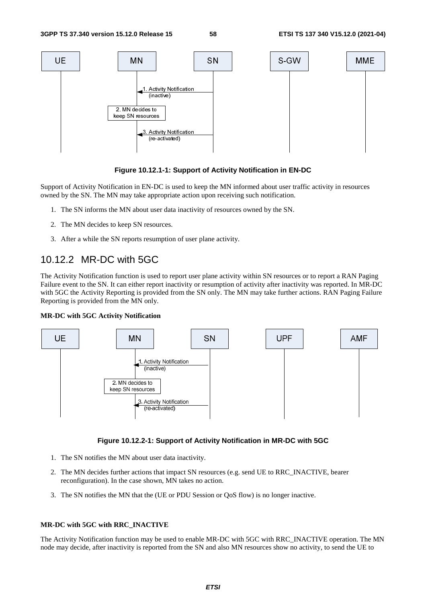

### **Figure 10.12.1-1: Support of Activity Notification in EN-DC**

Support of Activity Notification in EN-DC is used to keep the MN informed about user traffic activity in resources owned by the SN. The MN may take appropriate action upon receiving such notification.

- 1. The SN informs the MN about user data inactivity of resources owned by the SN.
- 2. The MN decides to keep SN resources.
- 3. After a while the SN reports resumption of user plane activity.

## 10.12.2 MR-DC with 5GC

The Activity Notification function is used to report user plane activity within SN resources or to report a RAN Paging Failure event to the SN. It can either report inactivity or resumption of activity after inactivity was reported. In MR-DC with 5GC the Activity Reporting is provided from the SN only. The MN may take further actions. RAN Paging Failure Reporting is provided from the MN only.

#### **MR-DC with 5GC Activity Notification**



### **Figure 10.12.2-1: Support of Activity Notification in MR-DC with 5GC**

- 1. The SN notifies the MN about user data inactivity.
- 2. The MN decides further actions that impact SN resources (e.g. send UE to RRC\_INACTIVE, bearer reconfiguration). In the case shown, MN takes no action.
- 3. The SN notifies the MN that the (UE or PDU Session or QoS flow) is no longer inactive.

### **MR-DC with 5GC with RRC\_INACTIVE**

The Activity Notification function may be used to enable MR-DC with 5GC with RRC\_INACTIVE operation. The MN node may decide, after inactivity is reported from the SN and also MN resources show no activity, to send the UE to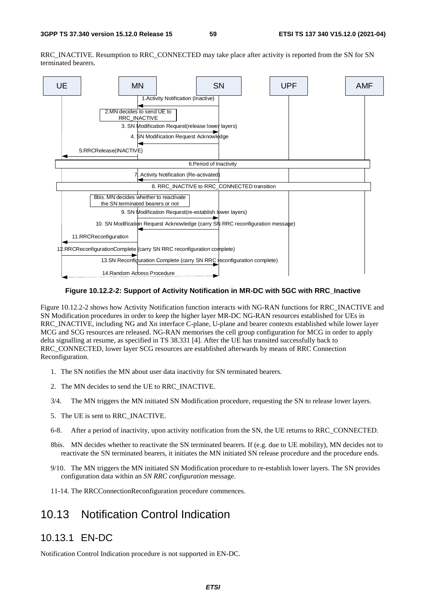RRC\_INACTIVE. Resumption to RRC\_CONNECTED may take place after activity is reported from the SN for SN terminated bearers.



### **Figure 10.12.2-2: Support of Activity Notification in MR-DC with 5GC with RRC\_Inactive**

Figure 10.12.2-2 shows how Activity Notification function interacts with NG-RAN functions for RRC\_INACTIVE and SN Modification procedures in order to keep the higher layer MR-DC NG-RAN resources established for UEs in RRC\_INACTIVE, including NG and Xn interface C-plane, U-plane and bearer contexts established while lower layer MCG and SCG resources are released. NG-RAN memorises the cell group configuration for MCG in order to apply delta signalling at resume, as specified in TS 38.331 [4]. After the UE has transited successfully back to RRC\_CONNECTED, lower layer SCG resources are established afterwards by means of RRC Connection Reconfiguration.

- 1. The SN notifies the MN about user data inactivity for SN terminated bearers.
- 2. The MN decides to send the UE to RRC\_INACTIVE.
- 3/4. The MN triggers the MN initiated SN Modification procedure, requesting the SN to release lower layers.
- 5. The UE is sent to RRC\_INACTIVE.
- 6-8. After a period of inactivity, upon activity notification from the SN, the UE returns to RRC\_CONNECTED.
- 8bis. MN decides whether to reactivate the SN terminated bearers. If (e.g. due to UE mobility), MN decides not to reactivate the SN terminated bearers, it initiates the MN initiated SN release procedure and the procedure ends.
- 9/10. The MN triggers the MN initiated SN Modification procedure to re-establish lower layers. The SN provides configuration data within an *SN RRC configuration* message.
- 11-14. The RRCConnectionReconfiguration procedure commences.

# 10.13 Notification Control Indication

## 10.13.1 EN-DC

Notification Control Indication procedure is not supported in EN-DC.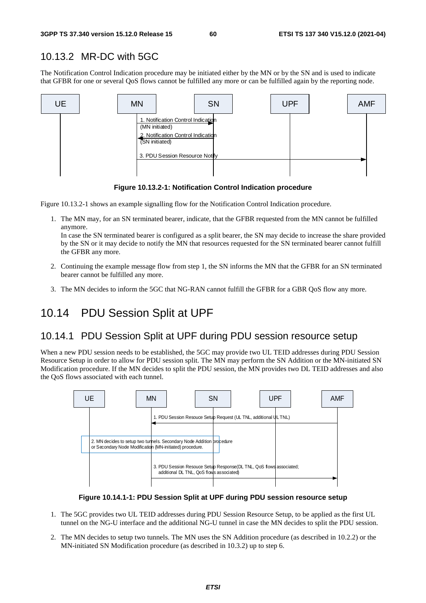## 10.13.2 MR-DC with 5GC

The Notification Control Indication procedure may be initiated either by the MN or by the SN and is used to indicate that GFBR for one or several QoS flows cannot be fulfilled any more or can be fulfilled again by the reporting node.



**Figure 10.13.2-1: Notification Control Indication procedure** 

Figure 10.13.2-1 shows an example signalling flow for the Notification Control Indication procedure.

1. The MN may, for an SN terminated bearer, indicate, that the GFBR requested from the MN cannot be fulfilled anymore.

In case the SN terminated bearer is configured as a split bearer, the SN may decide to increase the share provided by the SN or it may decide to notify the MN that resources requested for the SN terminated bearer cannot fulfill the GFBR any more.

- 2. Continuing the example message flow from step 1, the SN informs the MN that the GFBR for an SN terminated bearer cannot be fulfilled any more.
- 3. The MN decides to inform the 5GC that NG-RAN cannot fulfill the GFBR for a GBR QoS flow any more.

# 10.14 PDU Session Split at UPF

## 10.14.1 PDU Session Split at UPF during PDU session resource setup

When a new PDU session needs to be established, the 5GC may provide two UL TEID addresses during PDU Session Resource Setup in order to allow for PDU session split. The MN may perform the SN Addition or the MN-initiated SN Modification procedure. If the MN decides to split the PDU session, the MN provides two DL TEID addresses and also the QoS flows associated with each tunnel.



**Figure 10.14.1-1: PDU Session Split at UPF during PDU session resource setup** 

- 1. The 5GC provides two UL TEID addresses during PDU Session Resource Setup, to be applied as the first UL tunnel on the NG-U interface and the additional NG-U tunnel in case the MN decides to split the PDU session.
- 2. The MN decides to setup two tunnels. The MN uses the SN Addition procedure (as described in 10.2.2) or the MN-initiated SN Modification procedure (as described in 10.3.2) up to step 6.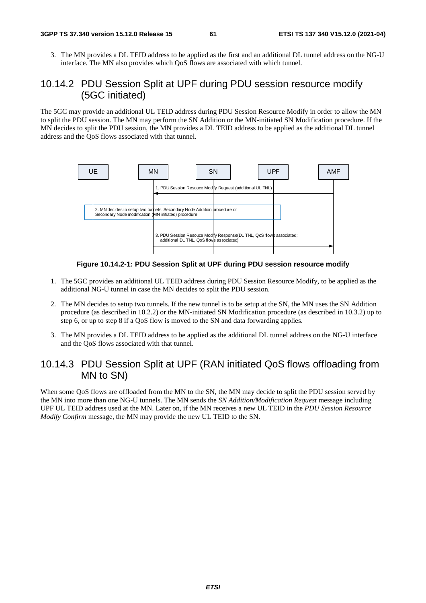3. The MN provides a DL TEID address to be applied as the first and an additional DL tunnel address on the NG-U interface. The MN also provides which QoS flows are associated with which tunnel.

## 10.14.2 PDU Session Split at UPF during PDU session resource modify (5GC initiated)

The 5GC may provide an additional UL TEID address during PDU Session Resource Modify in order to allow the MN to split the PDU session. The MN may perform the SN Addition or the MN-initiated SN Modification procedure. If the MN decides to split the PDU session, the MN provides a DL TEID address to be applied as the additional DL tunnel address and the QoS flows associated with that tunnel.



**Figure 10.14.2-1: PDU Session Split at UPF during PDU session resource modify** 

- 1. The 5GC provides an additional UL TEID address during PDU Session Resource Modify, to be applied as the additional NG-U tunnel in case the MN decides to split the PDU session.
- 2. The MN decides to setup two tunnels. If the new tunnel is to be setup at the SN, the MN uses the SN Addition procedure (as described in 10.2.2) or the MN-initiated SN Modification procedure (as described in 10.3.2) up to step 6, or up to step 8 if a QoS flow is moved to the SN and data forwarding applies.
- 3. The MN provides a DL TEID address to be applied as the additional DL tunnel address on the NG-U interface and the QoS flows associated with that tunnel.

## 10.14.3 PDU Session Split at UPF (RAN initiated QoS flows offloading from MN to SN)

When some OoS flows are offloaded from the MN to the SN, the MN may decide to split the PDU session served by the MN into more than one NG-U tunnels. The MN sends the *SN Addition/Modification Request* message including UPF UL TEID address used at the MN. Later on, if the MN receives a new UL TEID in the *PDU Session Resource Modify Confirm* message, the MN may provide the new UL TEID to the SN.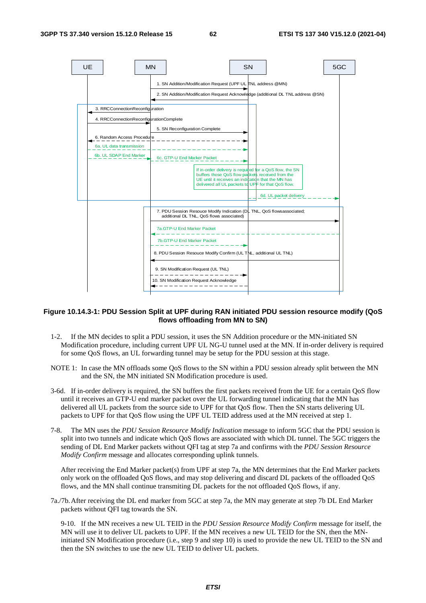

### **Figure 10.14.3-1: PDU Session Split at UPF during RAN initiated PDU session resource modify (QoS flows offloading from MN to SN)**

- 1-2. If the MN decides to split a PDU session, it uses the SN Addition procedure or the MN-initiated SN Modification procedure, including current UPF UL NG-U tunnel used at the MN. If in-order delivery is required for some QoS flows, an UL forwarding tunnel may be setup for the PDU session at this stage.
- NOTE 1: In case the MN offloads some QoS flows to the SN within a PDU session already split between the MN and the SN, the MN initiated SN Modification procedure is used.
- 3-6d. If in-order delivery is required, the SN buffers the first packets received from the UE for a certain QoS flow until it receives an GTP-U end marker packet over the UL forwarding tunnel indicating that the MN has delivered all UL packets from the source side to UPF for that QoS flow. Then the SN starts delivering UL packets to UPF for that QoS flow using the UPF UL TEID address used at the MN received at step 1.
- 7-8. The MN uses the *PDU Session Resource Modify Indication* message to inform 5GC that the PDU session is split into two tunnels and indicate which QoS flows are associated with which DL tunnel. The 5GC triggers the sending of DL End Marker packets without QFI tag at step 7a and confirms with the *PDU Session Resource Modify Confirm* message and allocates corresponding uplink tunnels.

After receiving the End Marker packet(s) from UPF at step 7a, the MN determines that the End Marker packets only work on the offloaded QoS flows, and may stop delivering and discard DL packets of the offloaded QoS flows, and the MN shall continue transmiting DL packets for the not offloaded QoS flows, if any.

7a./7b. After receiving the DL end marker from 5GC at step 7a, the MN may generate at step 7b DL End Marker packets without QFI tag towards the SN.

9-10. If the MN receives a new UL TEID in the *PDU Session Resource Modify Confirm* message for itself, the MN will use it to deliver UL packets to UPF. If the MN receives a new UL TEID for the SN, then the MNinitiated SN Modification procedure (i.e., step 9 and step 10) is used to provide the new UL TEID to the SN and then the SN switches to use the new UL TEID to deliver UL packets.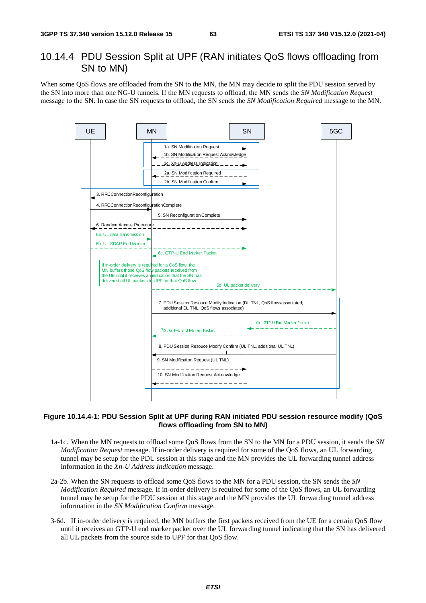## 10.14.4 PDU Session Split at UPF (RAN initiates QoS flows offloading from SN to MN)

When some QoS flows are offloaded from the SN to the MN, the MN may decide to split the PDU session served by the SN into more than one NG-U tunnels. If the MN requests to offload, the MN sends the *SN Modification Request* message to the SN. In case the SN requests to offload, the SN sends the *SN Modification Required* message to the MN.



### **Figure 10.14.4-1: PDU Session Split at UPF during RAN initiated PDU session resource modify (QoS flows offloading from SN to MN)**

- 1a-1c. When the MN requests to offload some QoS flows from the SN to the MN for a PDU session, it sends the *SN Modification Request* message. If in-order delivery is required for some of the QoS flows, an UL forwarding tunnel may be setup for the PDU session at this stage and the MN provides the UL forwarding tunnel address information in the *Xn-U Address Indication* message.
- 2a-2b. When the SN requests to offload some QoS flows to the MN for a PDU session, the SN sends the *SN Modification Required* message. If in-order delivery is required for some of the QoS flows, an UL forwarding tunnel may be setup for the PDU session at this stage and the MN provides the UL forwarding tunnel address information in the *SN Modification Confirm* message.
- 3-6d. If in-order delivery is required, the MN buffers the first packets received from the UE for a certain QoS flow until it receives an GTP-U end marker packet over the UL forwarding tunnel indicating that the SN has delivered all UL packets from the source side to UPF for that QoS flow.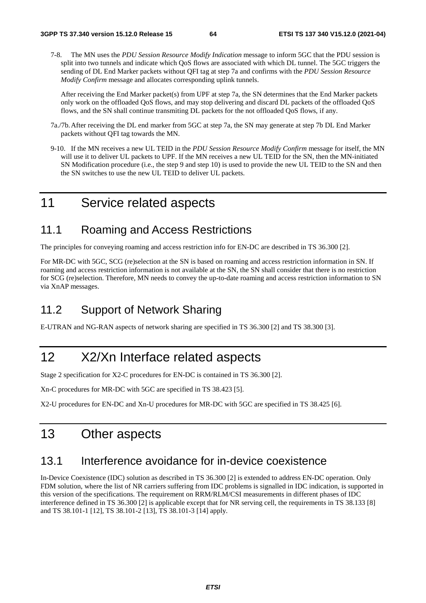7-8. The MN uses the *PDU Session Resource Modify Indication* message to inform 5GC that the PDU session is split into two tunnels and indicate which QoS flows are associated with which DL tunnel. The 5GC triggers the sending of DL End Marker packets without QFI tag at step 7a and confirms with the *PDU Session Resource Modify Confirm* message and allocates corresponding uplink tunnels.

After receiving the End Marker packet(s) from UPF at step 7a, the SN determines that the End Marker packets only work on the offloaded QoS flows, and may stop delivering and discard DL packets of the offloaded QoS flows, and the SN shall continue transmiting DL packets for the not offloaded QoS flows, if any.

- 7a./7b. After receiving the DL end marker from 5GC at step 7a, the SN may generate at step 7b DL End Marker packets without QFI tag towards the MN.
- 9-10. If the MN receives a new UL TEID in the *PDU Session Resource Modify Confirm* message for itself, the MN will use it to deliver UL packets to UPF. If the MN receives a new UL TEID for the SN, then the MN-initiated SN Modification procedure (i.e., the step 9 and step 10) is used to provide the new UL TEID to the SN and then the SN switches to use the new UL TEID to deliver UL packets.

# 11 Service related aspects

# 11.1 Roaming and Access Restrictions

The principles for conveying roaming and access restriction info for EN-DC are described in TS 36.300 [2].

For MR-DC with 5GC, SCG (re)selection at the SN is based on roaming and access restriction information in SN. If roaming and access restriction information is not available at the SN, the SN shall consider that there is no restriction for SCG (re)selection. Therefore, MN needs to convey the up-to-date roaming and access restriction information to SN via XnAP messages.

# 11.2 Support of Network Sharing

E-UTRAN and NG-RAN aspects of network sharing are specified in TS 36.300 [2] and TS 38.300 [3].

# 12 X2/Xn Interface related aspects

Stage 2 specification for X2-C procedures for EN-DC is contained in TS 36.300 [2].

Xn-C procedures for MR-DC with 5GC are specified in TS 38.423 [5].

X2-U procedures for EN-DC and Xn-U procedures for MR-DC with 5GC are specified in TS 38.425 [6].

# 13 Other aspects

## 13.1 Interference avoidance for in-device coexistence

In-Device Coexistence (IDC) solution as described in TS 36.300 [2] is extended to address EN-DC operation. Only FDM solution, where the list of NR carriers suffering from IDC problems is signalled in IDC indication, is supported in this version of the specifications. The requirement on RRM/RLM/CSI measurements in different phases of IDC interference defined in TS 36.300 [2] is applicable except that for NR serving cell, the requirements in TS 38.133 [8] and TS 38.101-1 [12], TS 38.101-2 [13], TS 38.101-3 [14] apply.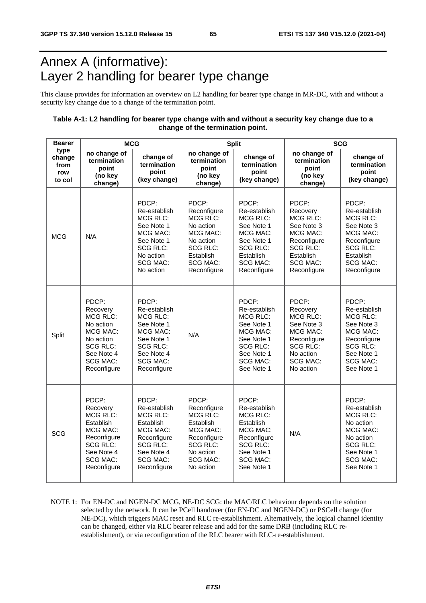# Annex A (informative): Layer 2 handling for bearer type change

This clause provides for information an overview on L2 handling for bearer type change in MR-DC, with and without a security key change due to a change of the termination point.

### **Table A-1: L2 handling for bearer type change with and without a security key change due to a change of the termination point.**

| <b>Bearer</b>                           | <b>MCG</b>                                                                                                                                      |                                                                                                                                                     |                                                                                                                                                 | <b>Split</b>                                                                                                                                       | <b>SCG</b>                                                                                                                             |                                                                                                                                                  |  |
|-----------------------------------------|-------------------------------------------------------------------------------------------------------------------------------------------------|-----------------------------------------------------------------------------------------------------------------------------------------------------|-------------------------------------------------------------------------------------------------------------------------------------------------|----------------------------------------------------------------------------------------------------------------------------------------------------|----------------------------------------------------------------------------------------------------------------------------------------|--------------------------------------------------------------------------------------------------------------------------------------------------|--|
| type<br>change<br>from<br>row<br>to col | no change of<br>termination<br>point<br>(no key<br>change)                                                                                      | change of<br>termination<br>point<br>(key change)                                                                                                   | no change of<br>termination<br>point<br>(no key<br>change)                                                                                      | change of<br>termination<br>point<br>(key change)                                                                                                  | no change of<br>termination<br>point<br>(no key<br>change)                                                                             | change of<br>termination<br>point<br>(key change)                                                                                                |  |
| <b>MCG</b>                              | N/A                                                                                                                                             | PDCP:<br>Re-establish<br>MCG RLC:<br>See Note 1<br>MCG MAC:<br>See Note 1<br><b>SCG RLC:</b><br>No action<br><b>SCG MAC:</b><br>No action           | PDCP:<br>Reconfigure<br>MCG RLC:<br>No action<br>MCG MAC:<br>No action<br><b>SCG RLC:</b><br>Establish<br>SCG MAC:<br>Reconfigure               | PDCP:<br>Re-establish<br><b>MCG RLC:</b><br>See Note 1<br>MCG MAC:<br>See Note 1<br><b>SCG RLC:</b><br>Establish<br>SCG MAC:<br>Reconfigure        | PDCP:<br>Recovery<br>MCG RLC:<br>See Note 3<br>MCG MAC:<br>Reconfigure<br>SCG RLC:<br>Establish<br><b>SCG MAC:</b><br>Reconfigure      | PDCP:<br>Re-establish<br><b>MCG RLC:</b><br>See Note 3<br>MCG MAC:<br>Reconfigure<br>SCG RLC:<br>Establish<br><b>SCG MAC:</b><br>Reconfigure     |  |
| Split                                   | PDCP:<br>Recovery<br>MCG RLC:<br>No action<br>MCG MAC:<br>No action<br><b>SCG RLC:</b><br>See Note 4<br><b>SCG MAC:</b><br>Reconfigure          | PDCP:<br>Re-establish<br><b>MCG RLC:</b><br>See Note 1<br>MCG MAC:<br>See Note 1<br><b>SCG RLC:</b><br>See Note 4<br><b>SCG MAC:</b><br>Reconfigure | N/A                                                                                                                                             | PDCP:<br>Re-establish<br><b>MCG RLC:</b><br>See Note 1<br>MCG MAC:<br>See Note 1<br><b>SCG RLC:</b><br>See Note 1<br><b>SCG MAC:</b><br>See Note 1 | PDCP:<br>Recovery<br>MCG RLC:<br>See Note 3<br>MCG MAC:<br>Reconfigure<br><b>SCG RLC:</b><br>No action<br><b>SCG MAC:</b><br>No action | PDCP:<br>Re-establish<br><b>MCG RLC:</b><br>See Note 3<br>MCG MAC:<br>Reconfigure<br>SCG RLC:<br>See Note 1<br>SCG MAC:<br>See Note 1            |  |
| SCG                                     | PDCP:<br>Recovery<br><b>MCG RLC:</b><br>Establish<br>MCG MAC:<br>Reconfigure<br><b>SCG RLC:</b><br>See Note 4<br><b>SCG MAC:</b><br>Reconfigure | PDCP:<br>Re-establish<br><b>MCG RLC:</b><br>Establish<br>MCG MAC:<br>Reconfigure<br><b>SCG RLC:</b><br>See Note 4<br><b>SCG MAC:</b><br>Reconfigure | PDCP:<br>Reconfigure<br><b>MCG RLC:</b><br>Establish<br>MCG MAC:<br>Reconfigure<br><b>SCG RLC:</b><br>No action<br><b>SCG MAC:</b><br>No action | PDCP:<br>Re-establish<br><b>MCG RLC:</b><br>Establish<br>MCG MAC:<br>Reconfigure<br><b>SCG RLC:</b><br>See Note 1<br><b>SCG MAC:</b><br>See Note 1 | N/A                                                                                                                                    | PDCP:<br>Re-establish<br><b>MCG RLC:</b><br>No action<br>MCG MAC:<br>No action<br><b>SCG RLC:</b><br>See Note 1<br><b>SCG MAC:</b><br>See Note 1 |  |

NOTE 1: For EN-DC and NGEN-DC MCG, NE-DC SCG: the MAC/RLC behaviour depends on the solution selected by the network. It can be PCell handover (for EN-DC and NGEN-DC) or PSCell change (for NE-DC), which triggers MAC reset and RLC re-establishment. Alternatively, the logical channel identity can be changed, either via RLC bearer release and add for the same DRB (including RLC reestablishment), or via reconfiguration of the RLC bearer with RLC-re-establishment.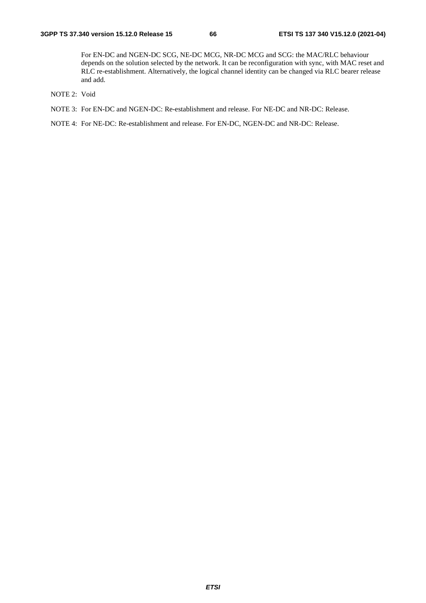For EN-DC and NGEN-DC SCG, NE-DC MCG, NR-DC MCG and SCG: the MAC/RLC behaviour depends on the solution selected by the network. It can be reconfiguration with sync, with MAC reset and RLC re-establishment. Alternatively, the logical channel identity can be changed via RLC bearer release and add.

- NOTE 2: Void
- NOTE 3: For EN-DC and NGEN-DC: Re-establishment and release. For NE-DC and NR-DC: Release.

NOTE 4: For NE-DC: Re-establishment and release. For EN-DC, NGEN-DC and NR-DC: Release.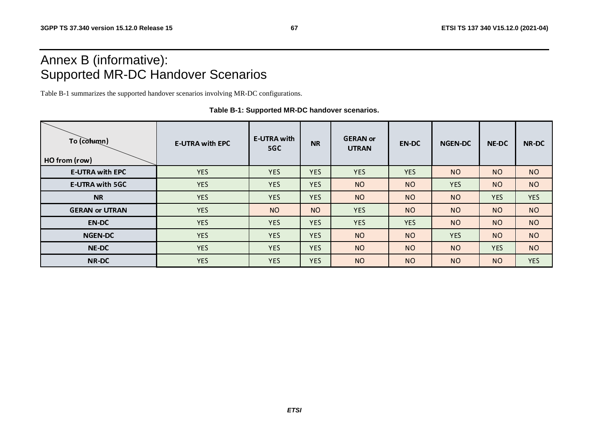# Annex B (informative): Supported MR-DC Handover Scenarios

Table B-1 summarizes the supported handover scenarios involving MR-DC configurations.

| To (column)<br>HO from (row) | <b>E-UTRA with EPC</b> | <b>E-UTRA with</b><br>5GC | <b>NR</b>  | <b>GERAN</b> or<br><b>UTRAN</b> | <b>EN-DC</b> | <b>NGEN-DC</b> | <b>NE-DC</b> | <b>NR-DC</b> |
|------------------------------|------------------------|---------------------------|------------|---------------------------------|--------------|----------------|--------------|--------------|
| <b>E-UTRA with EPC</b>       | <b>YES</b>             | <b>YES</b>                | <b>YES</b> | <b>YES</b>                      | <b>YES</b>   | <b>NO</b>      | <b>NO</b>    | <b>NO</b>    |
| <b>E-UTRA with 5GC</b>       | <b>YES</b>             | <b>YES</b>                | <b>YES</b> | <b>NO</b>                       | <b>NO</b>    | <b>YES</b>     | <b>NO</b>    | <b>NO</b>    |
| <b>NR</b>                    | <b>YES</b>             | <b>YES</b>                | <b>YES</b> | <b>NO</b>                       | <b>NO</b>    | <b>NO</b>      | <b>YES</b>   | <b>YES</b>   |
| <b>GERAN or UTRAN</b>        | <b>YES</b>             | <b>NO</b>                 | <b>NO</b>  | <b>YES</b>                      | <b>NO</b>    | <b>NO</b>      | <b>NO</b>    | <b>NO</b>    |
| <b>EN-DC</b>                 | <b>YES</b>             | <b>YES</b>                | <b>YES</b> | <b>YES</b>                      | <b>YES</b>   | <b>NO</b>      | <b>NO</b>    | <b>NO</b>    |
| <b>NGEN-DC</b>               | <b>YES</b>             | <b>YES</b>                | <b>YES</b> | <b>NO</b>                       | <b>NO</b>    | <b>YES</b>     | <b>NO</b>    | <b>NO</b>    |
| <b>NE-DC</b>                 | <b>YES</b>             | <b>YES</b>                | <b>YES</b> | <b>NO</b>                       | <b>NO</b>    | <b>NO</b>      | <b>YES</b>   | <b>NO</b>    |
| <b>NR-DC</b>                 | <b>YES</b>             | <b>YES</b>                | <b>YES</b> | <b>NO</b>                       | <b>NO</b>    | <b>NO</b>      | <b>NO</b>    | <b>YES</b>   |

**Table B-1: Supported MR-DC handover scenarios.**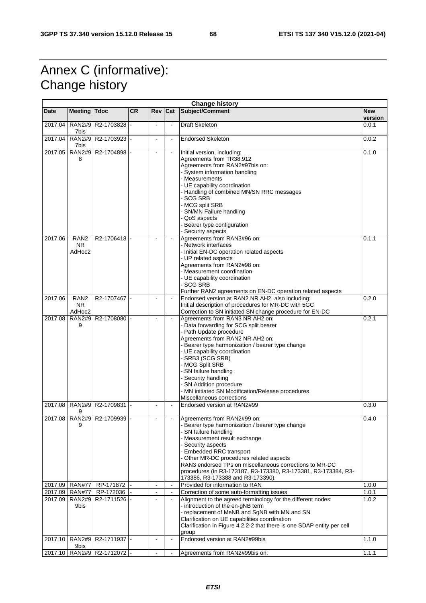# Annex C (informative): Change history

| <b>Change history</b> |                                        |                                  |           |                |                          |                                                                                                                                                                                                                                                                                                                                                                                                                                 |                       |  |
|-----------------------|----------------------------------------|----------------------------------|-----------|----------------|--------------------------|---------------------------------------------------------------------------------------------------------------------------------------------------------------------------------------------------------------------------------------------------------------------------------------------------------------------------------------------------------------------------------------------------------------------------------|-----------------------|--|
| <b>Date</b>           | <b>Meeting</b>                         | <b>Tdoc</b>                      | <b>CR</b> | Rev            | Cat                      | Subject/Comment                                                                                                                                                                                                                                                                                                                                                                                                                 | <b>New</b><br>version |  |
| 2017.04               | <b>RAN2#9</b><br>7bis                  | R2-1703828                       |           |                | $\blacksquare$           | <b>Draft Skeleton</b>                                                                                                                                                                                                                                                                                                                                                                                                           | 0.0.1                 |  |
| 2017.04               | 7bis                                   | RAN2#9 R2-1703923 -              |           | $\blacksquare$ | $\blacksquare$           | <b>Endorsed Skeleton</b>                                                                                                                                                                                                                                                                                                                                                                                                        | 0.0.2                 |  |
| 2017.05               | <b>RAN2#9</b><br>8                     | R2-1704898                       |           |                |                          | Initial version, including:<br>Agreements from TR38.912<br>Agreements from RAN2#97bis on:<br>- System information handling<br>- Measurements<br>- UE capability coordination<br>- Handling of combined MN/SN RRC messages<br>- SCG SRB<br>- MCG split SRB<br>- SN/MN Failure handling<br>- QoS aspects                                                                                                                          | 0.1.0                 |  |
| 2017.06               | RAN <sub>2</sub><br><b>NR</b>          | R2-1706418                       |           |                |                          | - Bearer type configuration<br>- Security aspects<br>Agreements from RAN3#96 on:<br>- Network interfaces                                                                                                                                                                                                                                                                                                                        | 0.1.1                 |  |
|                       | AdHoc2                                 |                                  |           |                |                          | - Initial EN-DC operation related aspects<br>- UP related aspects<br>Agreements from RAN2#98 on:<br>- Measurement coordination<br>- UE capability coordination<br>- SCG SRB<br>Further RAN2 agreements on EN-DC operation related aspects                                                                                                                                                                                       |                       |  |
| 2017.06               | RAN <sub>2</sub><br>NR.<br>AdHoc2      | R2-1707467                       |           |                |                          | Endorsed version at RAN2 NR AH2, also including:<br>Initial description of procedures for MR-DC with 5GC<br>Correction to SN initiated SN change procedure for EN-DC                                                                                                                                                                                                                                                            | 0.2.0                 |  |
| 2017.08               | <b>RAN2#9</b><br>9                     | R2-1708080                       |           | $\overline{a}$ | $\bar{\phantom{a}}$      | Agreements from RAN3 NR AH2 on:<br>- Data forwarding for SCG split bearer<br>- Path Update procedure<br>Agreements from RAN2 NR AH2 on:<br>- Bearer type harmonization / bearer type change<br>- UE capability coordination<br>- SRB3 (SCG SRB)<br>- MCG Split SRB<br>- SN failure handling<br>- Security handling<br>- SN Addition procedure<br>- MN initiated SN Modification/Release procedures<br>Miscellaneous corrections | 0.2.1                 |  |
| 2017.08               | 9                                      | RAN2#9 R2-1709831                |           |                | $\blacksquare$           | Endorsed version at RAN2#99                                                                                                                                                                                                                                                                                                                                                                                                     | 0.3.0                 |  |
|                       | 9                                      | 2017.08   RAN2#9   R2-1709939  - |           |                |                          | Agreements from RAN2#99 on:<br>- Bearer type harmonization / bearer type change<br>- SN failure handling<br>- Measurement result exchange<br>- Security aspects<br>- Embedded RRC transport<br>- Other MR-DC procedures related aspects<br>RAN3 endorsed TPs on miscellaneous corrections to MR-DC<br>procedures (in R3-173187, R3-173380, R3-173381, R3-173384, R3-<br>173386, R3-173388 and R3-173390),                       | 0.4.0                 |  |
| 2017.09               | <b>RAN#77</b>                          | RP-171872                        |           | $\blacksquare$ | $\blacksquare$           | Provided for information to RAN                                                                                                                                                                                                                                                                                                                                                                                                 | 1.0.0                 |  |
| 2017.09<br>2017.09    | <b>RAN#77</b><br><b>RAN2#9</b><br>9bis | RP-172036<br>R2-1711526          |           | $\blacksquare$ | $\blacksquare$<br>$\Box$ | Correction of some auto-formatting issues<br>Alignment to the agreed terminology for the different nodes:<br>- introduction of the en-gNB term<br>- replacement of MeNB and SgNB with MN and SN<br>Clarification on UE capabilities coordination<br>Clarification in Figure 4.2.2-2 that there is one SDAP entity per cell<br>group                                                                                             | 1.0.1<br>1.0.2        |  |
| 2017.10               | 9bis                                   | RAN2#9   R2-1711937  -           |           |                | $\blacksquare$           | Endorsed version at RAN2#99bis                                                                                                                                                                                                                                                                                                                                                                                                  | 1.1.0                 |  |
|                       |                                        | 2017.10   RAN2#9   R2-1712072  - |           | $\blacksquare$ | $\blacksquare$           | Agreements from RAN2#99bis on:                                                                                                                                                                                                                                                                                                                                                                                                  | 1.1.1                 |  |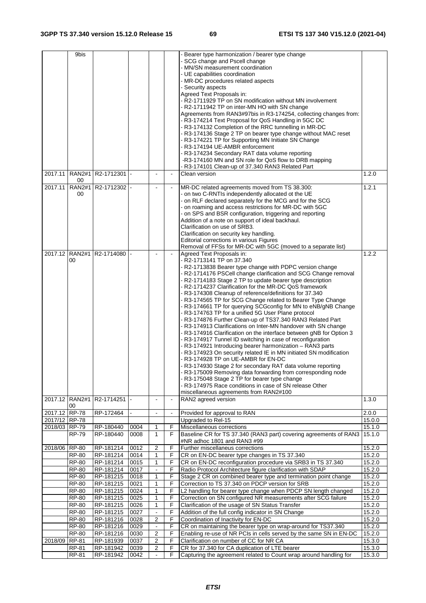|               | 9bis                 |                             |      |                |                |                                                                     |        |
|---------------|----------------------|-----------------------------|------|----------------|----------------|---------------------------------------------------------------------|--------|
|               |                      |                             |      |                |                | Bearer type harmonization / bearer type change                      |        |
|               |                      |                             |      |                |                | SCG change and Pscell change                                        |        |
|               |                      |                             |      |                |                | MN/SN measurement coordination                                      |        |
|               |                      |                             |      |                |                | UE capabilities coordination                                        |        |
|               |                      |                             |      |                |                | - MR-DC procedures related aspects                                  |        |
|               |                      |                             |      |                |                | Security aspects                                                    |        |
|               |                      |                             |      |                |                | Agreed Text Proposals in:                                           |        |
|               |                      |                             |      |                |                | - R2-1711929 TP on SN modification without MN involvement           |        |
|               |                      |                             |      |                |                | - R2-1711942 TP on inter-MN HO with SN change                       |        |
|               |                      |                             |      |                |                | Agreements from RAN3#97bis in R3-174254, collecting changes from:   |        |
|               |                      |                             |      |                |                | - R3-174214 Text Proposal for QoS Handling in 5GC DC                |        |
|               |                      |                             |      |                |                | - R3-174132 Completion of the RRC tunnelling in MR-DC               |        |
|               |                      |                             |      |                |                | - R3-174136 Stage 2 TP on bearer type change without MAC reset      |        |
|               |                      |                             |      |                |                | - R3-174221 TP for Supporting MN Initiate SN Change                 |        |
|               |                      |                             |      |                |                | - R3-174194 UE-AMBR enforcement                                     |        |
|               |                      |                             |      |                |                | - R3-174234 Secondary RAT data volume reporting                     |        |
|               |                      |                             |      |                |                | -R3-174160 MN and SN role for QoS flow to DRB mapping               |        |
|               |                      |                             |      |                |                | R3-174101 Clean-up of 37.340 RAN3 Related Part                      |        |
|               |                      |                             |      |                |                | Clean version                                                       |        |
| 2017.11       | <b>RAN2#1</b><br>00  | R2-1712301 -                |      |                |                |                                                                     | 1.2.0  |
| 2017.11       | $\overline{RAN2\#1}$ | R2-1712302 -                |      |                |                | MR-DC related agreements moved from TS 38.300:                      | 1.2.1  |
|               | 00                   |                             |      |                |                | - on two C-RNTIs independently allocated ot the UE                  |        |
|               |                      |                             |      |                |                | - on RLF declared separately for the MCG and for the SCG            |        |
|               |                      |                             |      |                |                |                                                                     |        |
|               |                      |                             |      |                |                | - on roaming and access restrictions for MR-DC with 5GC             |        |
|               |                      |                             |      |                |                | - on SPS and BSR configuration, triggering and reporting            |        |
|               |                      |                             |      |                |                | Addition of a note on support of ideal backhaul.                    |        |
|               |                      |                             |      |                |                | Clarification on use of SRB3.                                       |        |
|               |                      |                             |      |                |                | Clarification on security key handling.                             |        |
|               |                      |                             |      |                |                | Editorial corrections in various Figures                            |        |
|               |                      |                             |      |                |                | Removal of FFSs for MR-DC with 5GC (moved to a separate list)       |        |
|               |                      | 2017.12 RAN2#1 R2-1714080   |      |                |                | Agreed Text Proposals in:                                           | 1.2.2  |
|               | 00                   |                             |      |                |                | - R2-1713141 TP on 37.340                                           |        |
|               |                      |                             |      |                |                | - R2-1713838 Bearer type change with PDPC version change            |        |
|               |                      |                             |      |                |                | - R2-1714176 PSCell change clarification and SCG Change removal     |        |
|               |                      |                             |      |                |                | - R2-1714183 Stage 2 TP to update bearer type description           |        |
|               |                      |                             |      |                |                | R2-1714237 Clarification for the MR-DC QoS framework                |        |
|               |                      |                             |      |                |                | R3-174308 Cleanup of reference/definitions for 37.340               |        |
|               |                      |                             |      |                |                | R3-174565 TP for SCG Change related to Bearer Type Change           |        |
|               |                      |                             |      |                |                | R3-174661 TP for querying SCGconfig for MN to eNB/gNB Change        |        |
|               |                      |                             |      |                |                | - R3-174763 TP for a unified 5G User Plane protocol                 |        |
|               |                      |                             |      |                |                | - R3-174876 Further Clean-up of TS37.340 RAN3 Related Part          |        |
|               |                      |                             |      |                |                |                                                                     |        |
|               |                      |                             |      |                |                | - R3-174913 Clarifications on Inter-MN handover with SN change      |        |
|               |                      |                             |      |                |                | - R3-174916 Clarification on the interface between gNB for Option 3 |        |
|               |                      |                             |      |                |                | - R3-174917 Tunnel ID switching in case of reconfiguration          |        |
|               |                      |                             |      |                |                | - R3-174921 Introducing bearer harmonization - RAN3 parts           |        |
|               |                      |                             |      |                |                | - R3-174923 On security related IE in MN initiated SN modification  |        |
|               |                      |                             |      |                |                | - R3-174928 TP on UE-AMBR for EN-DC                                 |        |
|               |                      |                             |      |                |                | - R3-174930 Stage 2 for secondary RAT data volume reporting         |        |
|               |                      |                             |      |                |                | - R3-175009 Removing data forwarding from corresponding node        |        |
|               |                      |                             |      |                |                | - R3-175048 Stage 2 TP for bearer type change                       |        |
|               |                      |                             |      |                |                | - R3-174975 Race conditions in case of SN release Other             |        |
|               |                      |                             |      |                |                | miscellaneous agreements from RAN2#100                              |        |
|               |                      | 2017.12 RAN2#1 R2-1714251 - |      | $\overline{a}$ | $\blacksquare$ | RAN2 agreed version                                                 | 1.3.0  |
|               | 00                   |                             |      |                |                |                                                                     |        |
| 2017.12       | <b>RP-78</b>         | RP-172464                   |      |                |                | Provided for approval to RAN                                        | 2.0.0  |
| 2017/12 RP-78 |                      |                             |      |                |                | Upgraded to Rel-15                                                  | 15.0.0 |
| 2018/03 RP-79 |                      | RP-180440                   | 0004 | 1              | F              | Miscellaneous corrections                                           | 15.1.0 |
|               | <b>RP-79</b>         | RP-180440                   | 0008 | $\mathbf{1}$   | F              | Baseline CR for TS 37.340 (RAN3 part) covering agreements of RAN3   | 15.1.0 |
|               |                      |                             |      |                |                | #NR adhoc 1801 and RAN3 #99                                         |        |
| 2018/06       | <b>RP-80</b>         | RP-181214                   | 0012 | 2              | F              | Further miscellaneus corrections                                    | 15.2.0 |
|               | <b>RP-80</b>         | RP-181214                   | 0014 | $\mathbf{1}$   | F              | CR on EN-DC bearer type changes in TS 37.340                        | 15.2.0 |
|               | <b>RP-80</b>         | RP-181214                   | 0015 | 1              | F              | CR on EN-DC reconfiguration procedure via SRB3 in TS 37.340         | 15.2.0 |
|               | <b>RP-80</b>         | RP-181214                   | 0017 |                | F              | Radio Protocol Architecture figure clarification with SDAP          | 15.2.0 |
|               | <b>RP-80</b>         | RP-181215                   | 0018 | $\mathbf{1}$   | F              | Stage 2 CR on combined bearer type and termination point change     | 15.2.0 |
|               |                      |                             |      | $\mathbf{1}$   |                |                                                                     |        |
|               | <b>RP-80</b>         | RP-181215                   | 0021 |                | F              | Correction to TS 37.340 on PDCP version for SRB                     | 15.2.0 |
|               | <b>RP-80</b>         | RP-181215                   | 0024 | 1              | F              | L2 handling for bearer type change when PDCP SN length changed      | 15.2.0 |
|               | <b>RP-80</b>         | RP-181215                   | 0025 | $\mathbf{1}$   | F              | Correction on SN configured NR measurements after SCG failure       | 15.2.0 |
|               | <b>RP-80</b>         | RP-181215                   | 0026 | $\mathbf{1}$   | F              | Clarification of the usage of SN Status Transfer                    | 15.2.0 |
|               | <b>RP-80</b>         | RP-181215                   | 0027 |                | F              | Addition of the full config indicator in SN Change                  | 15.2.0 |
|               | <b>RP-80</b>         | RP-181216                   | 0028 | 2              | F              | Coordination of Inactivity for EN-DC                                | 15.2.0 |
|               | <b>RP-80</b>         | RP-181216                   | 0029 |                | F              | CR on maintaining the bearer type on wrap-around for TS37.340       | 15.2.0 |
|               | <b>RP-80</b>         | RP-181216                   | 0030 | $\overline{c}$ | F              | Enabling re-use of NR PCIs in cells served by the same SN in EN-DC  | 15.2.0 |
| 2018/09       | RP-81                | RP-181939                   | 0037 | 2              | F              | Clarification on number of CC for NR CA                             | 15.3.0 |
|               |                      |                             |      |                |                |                                                                     |        |
|               | RP-81                | RP-181942                   | 0039 | $\overline{c}$ | F              | CR for 37.340 for CA duplication of LTE bearer                      | 15.3.0 |
|               | RP-81                | RP-181942                   | 0042 |                | F              | Capturing the agreement related to Count wrap around handling for   | 15.3.0 |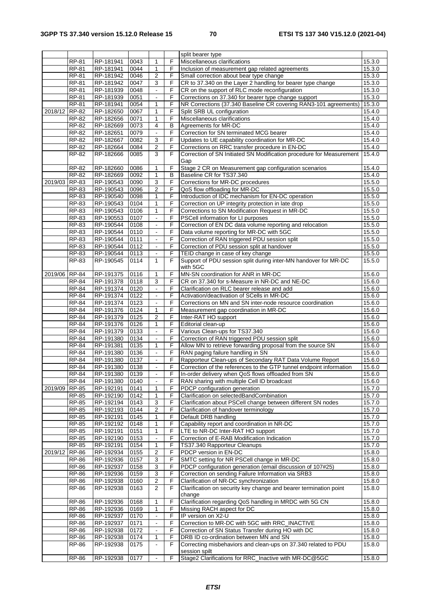|               |              |           |      |                          |                | split bearer type                                                    |        |
|---------------|--------------|-----------|------|--------------------------|----------------|----------------------------------------------------------------------|--------|
|               | <b>RP-81</b> | RP-181941 | 0043 | $\mathbf{1}$             | F              | Miscellaneous clarifications                                         | 15.3.0 |
|               | RP-81        | RP-181941 | 0044 | 1                        | F              | Inclusion of measurement gap related agreements                      | 15.3.0 |
|               | RP-81        | RP-181942 | 0046 | $\sqrt{2}$               | F              | Small correction about bear type change                              | 15.3.0 |
|               | <b>RP-81</b> | RP-181942 | 0047 | 3                        | F              | CR to 37.340 on the Layer 2 handling for bearer type change          | 15.3.0 |
|               | RP-81        | RP-181939 | 0048 | $\blacksquare$           | F              | CR on the support of RLC mode reconfiguration                        | 15.3.0 |
|               | <b>RP-81</b> | RP-181939 | 0051 |                          | F              | Corrections on 37.340 for bearer type change support                 | 15.3.0 |
|               | <b>RP-81</b> | RP-181941 | 0054 | $\mathbf{1}$             | F              | NR Corrections (37.340 Baseline CR covering RAN3-101 agreements)     | 15.3.0 |
| 2018/12       | RP-82        | RP-182650 | 0067 | $\mathbf{1}$             | F              | Split SRB UL configuration                                           | 15.4.0 |
|               | RP-82        | RP-182656 | 0071 | 1                        | F              | Miscellaneous clarifications                                         | 15.4.0 |
|               | RP-82        | RP-182669 | 0073 | $\overline{4}$           | $\overline{B}$ | Agreements for MR-DC                                                 | 15.4.0 |
|               | RP-82        | RP-182651 | 0079 | $\omega$                 | F              | Correction for SN terminated MCG bearer                              | 15.4.0 |
|               | RP-82        | RP-182667 | 0082 | 3                        | F              | Updates to UE capability coordination for MR-DC                      | 15.4.0 |
|               | RP-82        | RP-182664 | 0084 | $\overline{2}$           | F              |                                                                      |        |
|               |              |           |      |                          |                | Corrections on RRC transfer procedure in EN-DC                       | 15.4.0 |
|               | RP-82        | RP-182666 | 0085 | 3                        | F              | Correction of SN Initiated SN Modification procedure for Measurement | 15.4.0 |
|               |              |           |      |                          |                | Gap                                                                  |        |
|               | <b>RP-82</b> | RP-182660 | 0086 | 1                        | F              | Stage 2 CR on Measurement gap configuration scenarios                | 15.4.0 |
|               | RP-82        | RP-182669 | 0092 | $\mathbf{1}$             | в              | Baseline CR for TS37.340                                             | 15.4.0 |
| 2019/03 RP-83 |              | RP-190543 | 0090 | 3                        | F              | Corrections for MR-DC procedures                                     | 15.5.0 |
|               | RP-83        | RP-190543 | 0096 | $\overline{2}$           | F              | QoS flow offloading for MR-DC                                        | 15.5.0 |
|               | RP-83        | RP-190540 | 0098 | 1                        | F              | Introduction of IDC mechanism for EN-DC operation                    | 15.5.0 |
|               | RP-83        | RP-190543 | 0104 | 1                        | F              | Correction on UP integrity protection in late drop                   | 15.5.0 |
|               | $RP-83$      | RP-190543 | 0106 | $\mathbf{1}$             | F              | Corrections to SN Modification Request in MR-DC                      | 15.5.0 |
|               | RP-83        | RP-190553 | 0107 | $\blacksquare$           | F              | PSCell information for LI purposes                                   | 15.5.0 |
|               | RP-83        | RP-190544 | 0108 |                          | F              | Correction of EN DC data volume reporting and relocation             | 15.5.0 |
|               | RP-83        | RP-190544 | 0110 | $\blacksquare$           | F              | Data volume reporting for MR-DC with 5GC                             | 15.5.0 |
|               | RP-83        | RP-190544 | 0111 | $\blacksquare$           | F              | Correction of RAN triggered PDU session split                        | 15.5.0 |
|               | RP-83        | RP-190544 | 0112 | $\Box$                   | F              | Correction of PDU session split at handover                          | 15.5.0 |
|               | RP-83        | RP-190544 | 0113 | $\blacksquare$           | F              | TEID change in case of key change                                    | 15.5.0 |
|               | RP-83        | RP-190545 | 0114 | 1                        | F              | Support of PDU session split during inter-MN handover for MR-DC      | 15.5.0 |
|               |              |           |      |                          |                | with 5GC                                                             |        |
| 2019/06 RP-84 |              | RP-191375 | 0116 | 1                        | F              | MN-SN coordination for ANR in MR-DC                                  | 15.6.0 |
|               | RP-84        | RP-191378 | 0118 | 3                        | F              | CR on 37.340 for s-Measure in NR-DC and NE-DC                        | 15.6.0 |
|               | RP-84        | RP-191374 | 0120 | $\blacksquare$           | F.             | Clarification on RLC bearer release and add                          | 15.6.0 |
|               | RP-84        | RP-191374 | 0122 | $\blacksquare$           | F              | Activation/deactivation of SCells in MR-DC                           | 15.6.0 |
|               | <b>RP-84</b> | RP-191374 | 0123 |                          | F              | Corrections on MN and SN inter-node resource coordination            | 15.6.0 |
|               | <b>RP-84</b> | RP-191376 | 0124 | $\mathbf{1}$             | F              | Measurement gap coordination in MR-DC                                | 15.6.0 |
|               | <b>RP-84</b> | RP-191379 | 0125 | $\overline{c}$           | F              | Inter-RAT HO support                                                 | 15.6.0 |
|               | RP-84        |           | 0126 | $\mathbf{1}$             | F              | Editorial clean-up                                                   |        |
|               |              | RP-191376 |      |                          |                |                                                                      | 15.6.0 |
|               | RP-84        | RP-191379 | 0133 | $\blacksquare$           | F              | Various Clean-ups for TS37.340                                       | 15.6.0 |
|               | RP-84        | RP-191380 | 0134 | $\blacksquare$           | F              | Correction of RAN triggered PDU session split                        | 15.6.0 |
|               | <b>RP-84</b> | RP-191381 | 0135 | $\mathbf{1}$             | F              | Allow MN to retrieve forwarding proposal from the source SN          | 15.6.0 |
|               | RP-84        | RP-191380 | 0136 | $\Box$                   | F              | RAN paging failure handling in SN                                    | 15.6.0 |
|               | RP-84        | RP-191380 | 0137 | $\blacksquare$           | F              | Rapporteur Clean-ups of Secondary RAT Data Volume Report             | 15.6.0 |
|               | <b>RP-84</b> | RP-191380 | 0138 | $\overline{\phantom{a}}$ | $\overline{F}$ | Correction of the references to the GTP tunnel endpoint information  | 15.6.0 |
|               | RP-84        | RP-191380 | 0139 | $\blacksquare$           | F              | In-order delivery when QoS flows offloaded from SN                   | 15.6.0 |
|               | RP-84        | RP-191380 | 0140 | $\omega$                 | F              | RAN sharing with multiple Cell ID broadcast                          | 15.6.0 |
| 2019/09 RP-85 |              | RP-192191 | 0141 | 1                        | F              | PDCP configuration generation                                        | 15.7.0 |
|               | RP-85        | RP-192190 | 0142 | 1                        | F              | Clarification on selectedBandCombination                             | 15.7.0 |
|               | RP-85        | RP-192194 | 0143 | 3                        | F              | Clarification about PSCell change between different SN nodes         | 15.7.0 |
|               | $RP-85$      | RP-192193 | 0144 | 2                        | F              | Clarification of handover terminology                                | 15.7.0 |
|               | RP-85        | RP-192191 | 0145 | 1                        | F              | Default DRB handling                                                 | 15.7.0 |
|               | RP-85        | RP-192192 | 0148 | 1                        | F              | Capability report and coordination in NR-DC                          | 15.7.0 |
|               | RP-85        | RP-192191 | 0151 | 1                        | F              | LTE to NR-DC Inter-RAT HO support                                    | 15.7.0 |
|               | RP-85        | RP-192190 | 0153 | $\blacksquare$           | F              | Correction of E-RAB Modification Indication                          | 15.7.0 |
|               | $RP-85$      | RP-192191 | 0154 | 1                        | F              | TS37.340 Rapporteur Cleanups                                         | 15.7.0 |
| 2019/12       | <b>RP-86</b> | RP-192934 | 0155 | $\boldsymbol{2}$         | F              | PDCP version in EN-DC                                                | 15.8.0 |
|               | RP-86        | RP-192936 | 0157 | 3                        | F              | SMTC setting for NR PSCell change in MR-DC                           | 15.8.0 |
|               | RP-86        | RP-192937 | 0158 | 3                        | F              | PDCP configuration generation (email discussion of 107#25)           | 15.8.0 |
|               |              |           |      | 3                        | F              |                                                                      |        |
|               | RP-86        | RP-192936 | 0159 |                          |                | Correction on sending Failure Information via SRB3                   | 15.8.0 |
|               | <b>RP-86</b> | RP-192938 | 0160 | 2                        | F              | Clarification of NR-DC synchronization                               | 15.8.0 |
|               | RP-86        | RP-192938 | 0163 | 2                        | F              | Clarification on security key change and bearer termination point    | 15.8.0 |
|               |              |           |      |                          |                | change                                                               |        |
|               | RP-86        | RP-192936 | 0168 | 1                        | F              | Clarification regarding QoS handling in MRDC with 5G CN              | 15.8.0 |
|               | RP-86        | RP-192936 | 0169 | $\mathbf{1}$             | F              | Missing RACH aspect for DC                                           | 15.8.0 |
|               | RP-86        | RP-192937 | 0170 | $\blacksquare$           | F              | IP version on X2-U                                                   | 15.8.0 |
|               | RP-86        | RP-192937 | 0171 | $\blacksquare$           | F              | Correction to MR-DC with 5GC with RRC_INACTIVE                       | 15.8.0 |
|               | <b>RP-86</b> | RP-192938 | 0172 |                          | F              | Correction of SN Status Transfer during HO with DC                   | 15.8.0 |
|               | RP-86        | RP-192938 | 0174 | 1                        | F              | DRB ID co-ordination between MN and SN                               | 15.8.0 |
|               | $RP-86$      | RP-192938 | 0175 | $\blacksquare$           | F              | Correcting misbehaviors and clean-ups on 37.340 related to PDU       | 15.8.0 |
|               |              |           |      |                          |                | session spilt                                                        |        |
|               | <b>RP-86</b> | RP-192938 | 0177 | $\blacksquare$           | F              | Stage2 Clarifications for RRC_Inactive with MR-DC@5GC                | 15.8.0 |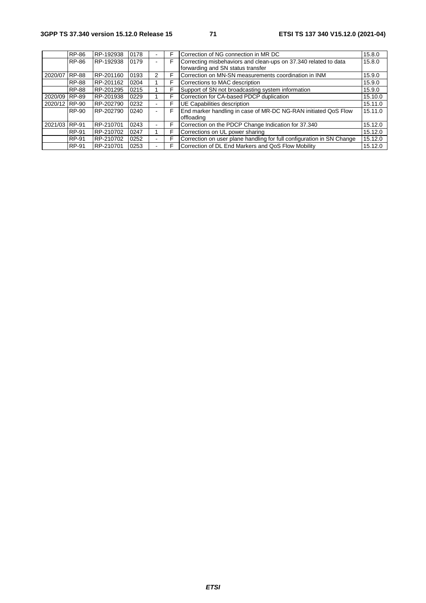|               | RP-86        | RP-192938 | 0178 | F | Correction of NG connection in MR DC                                                                 | 15.8.0  |
|---------------|--------------|-----------|------|---|------------------------------------------------------------------------------------------------------|---------|
|               | RP-86        | RP-192938 | 0179 | F | Correcting misbehaviors and clean-ups on 37.340 related to data<br>forwarding and SN status transfer | 15.8.0  |
| 2020/07       | <b>RP-88</b> | RP-201160 | 0193 | F | Correction on MN-SN measurements coordination in INM                                                 | 15.9.0  |
|               | <b>RP-88</b> | RP-201162 | 0204 | F | Corrections to MAC description                                                                       | 15.9.0  |
|               | <b>RP-88</b> | RP-201295 | 0215 | F | Support of SN not broadcasting system information                                                    | 15.9.0  |
| 2020/09 RP-89 |              | RP-201938 | 0229 | F | Correction for CA-based PDCP duplication                                                             | 15.10.0 |
| 2020/12 RP-90 |              | RP-202790 | 0232 | F | UE Capabilities description                                                                          | 15.11.0 |
|               | <b>RP-90</b> | RP-202790 | 0240 | F | End marker handling in case of MR-DC NG-RAN initiated QoS Flow<br>offloading                         | 15.11.0 |
| 2021/03 RP-91 |              | RP-210701 | 0243 | F | Correction on the PDCP Change Indication for 37.340                                                  | 15.12.0 |
|               | <b>RP-91</b> | RP-210702 | 0247 | F | Corrections on UL power sharing                                                                      | 15.12.0 |
|               | <b>RP-91</b> | RP-210702 | 0252 | F | Correction on user plane handling for full configuration in SN Change                                | 15.12.0 |
|               | RP-91        | RP-210701 | 0253 | F | Correction of DL End Markers and QoS Flow Mobility                                                   | 15.12.0 |